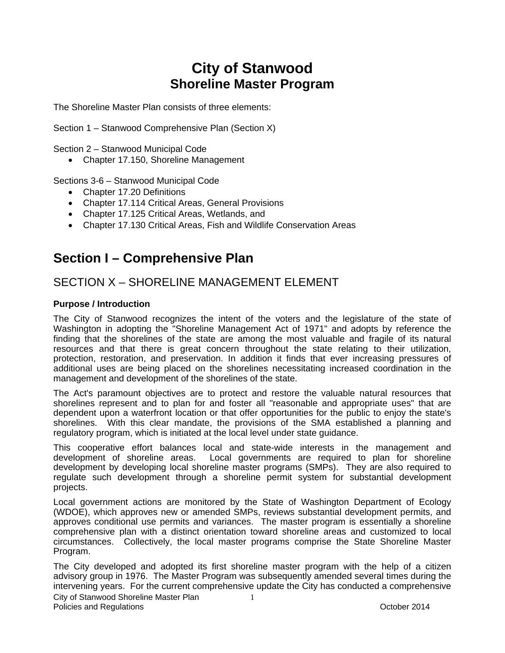# **City of Stanwood Shoreline Master Program**

The Shoreline Master Plan consists of three elements:

Section 1 – Stanwood Comprehensive Plan (Section X)

Section 2 – Stanwood Municipal Code

• Chapter 17.150, Shoreline Management

Sections 3-6 – Stanwood Municipal Code

- Chapter 17.20 Definitions
- Chapter 17.114 Critical Areas, General Provisions
- Chapter 17.125 Critical Areas, Wetlands, and
- Chapter 17.130 Critical Areas, Fish and Wildlife Conservation Areas

# **Section I – Comprehensive Plan**

## SECTION X – SHORELINE MANAGEMENT ELEMENT

### **Purpose / Introduction**

The City of Stanwood recognizes the intent of the voters and the legislature of the state of Washington in adopting the "Shoreline Management Act of 1971" and adopts by reference the finding that the shorelines of the state are among the most valuable and fragile of its natural resources and that there is great concern throughout the state relating to their utilization, protection, restoration, and preservation. In addition it finds that ever increasing pressures of additional uses are being placed on the shorelines necessitating increased coordination in the management and development of the shorelines of the state.

The Act's paramount objectives are to protect and restore the valuable natural resources that shorelines represent and to plan for and foster all "reasonable and appropriate uses" that are dependent upon a waterfront location or that offer opportunities for the public to enjoy the state's shorelines. With this clear mandate, the provisions of the SMA established a planning and regulatory program, which is initiated at the local level under state guidance.

This cooperative effort balances local and state-wide interests in the management and development of shoreline areas. Local governments are required to plan for shoreline development by developing local shoreline master programs (SMPs). They are also required to regulate such development through a shoreline permit system for substantial development projects.

Local government actions are monitored by the State of Washington Department of Ecology (WDOE), which approves new or amended SMPs, reviews substantial development permits, and approves conditional use permits and variances. The master program is essentially a shoreline comprehensive plan with a distinct orientation toward shoreline areas and customized to local circumstances. Collectively, the local master programs comprise the State Shoreline Master Program.

City of Stanwood Shoreline Master Plan 1 The City developed and adopted its first shoreline master program with the help of a citizen advisory group in 1976. The Master Program was subsequently amended several times during the intervening years. For the current comprehensive update the City has conducted a comprehensive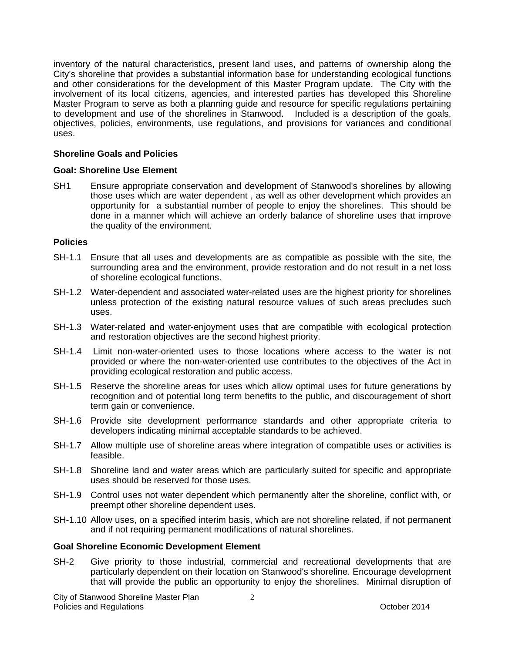inventory of the natural characteristics, present land uses, and patterns of ownership along the City's shoreline that provides a substantial information base for understanding ecological functions and other considerations for the development of this Master Program update. The City with the involvement of its local citizens, agencies, and interested parties has developed this Shoreline Master Program to serve as both a planning guide and resource for specific regulations pertaining to development and use of the shorelines in Stanwood. Included is a description of the goals, objectives, policies, environments, use regulations, and provisions for variances and conditional uses.

### **Shoreline Goals and Policies**

### **Goal: Shoreline Use Element**

SH1 Ensure appropriate conservation and development of Stanwood's shorelines by allowing those uses which are water dependent , as well as other development which provides an opportunity for a substantial number of people to enjoy the shorelines. This should be done in a manner which will achieve an orderly balance of shoreline uses that improve the quality of the environment.

### **Policies**

- SH-1.1 Ensure that all uses and developments are as compatible as possible with the site, the surrounding area and the environment, provide restoration and do not result in a net loss of shoreline ecological functions.
- SH-1.2 Water-dependent and associated water-related uses are the highest priority for shorelines unless protection of the existing natural resource values of such areas precludes such uses.
- SH-1.3 Water-related and water-enjoyment uses that are compatible with ecological protection and restoration objectives are the second highest priority.
- SH-1.4 Limit non-water-oriented uses to those locations where access to the water is not provided or where the non-water-oriented use contributes to the objectives of the Act in providing ecological restoration and public access.
- SH-1.5 Reserve the shoreline areas for uses which allow optimal uses for future generations by recognition and of potential long term benefits to the public, and discouragement of short term gain or convenience.
- SH-1.6 Provide site development performance standards and other appropriate criteria to developers indicating minimal acceptable standards to be achieved.
- SH-1.7 Allow multiple use of shoreline areas where integration of compatible uses or activities is feasible.
- SH-1.8 Shoreline land and water areas which are particularly suited for specific and appropriate uses should be reserved for those uses.
- SH-1.9 Control uses not water dependent which permanently alter the shoreline, conflict with, or preempt other shoreline dependent uses.
- SH-1.10 Allow uses, on a specified interim basis, which are not shoreline related, if not permanent and if not requiring permanent modifications of natural shorelines.

### **Goal Shoreline Economic Development Element**

SH-2 Give priority to those industrial, commercial and recreational developments that are particularly dependent on their location on Stanwood's shoreline. Encourage development that will provide the public an opportunity to enjoy the shorelines. Minimal disruption of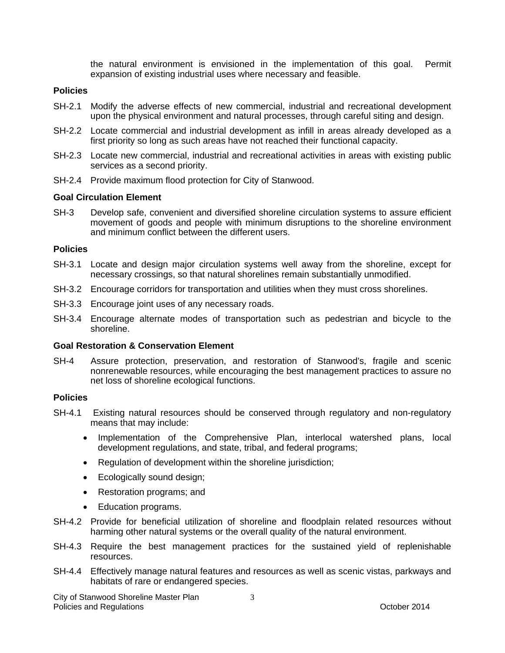the natural environment is envisioned in the implementation of this goal. Permit expansion of existing industrial uses where necessary and feasible.

### **Policies**

- SH-2.1 Modify the adverse effects of new commercial, industrial and recreational development upon the physical environment and natural processes, through careful siting and design.
- SH-2.2 Locate commercial and industrial development as infill in areas already developed as a first priority so long as such areas have not reached their functional capacity.
- SH-2.3 Locate new commercial, industrial and recreational activities in areas with existing public services as a second priority.
- SH-2.4 Provide maximum flood protection for City of Stanwood.

#### **Goal Circulation Element**

SH-3 Develop safe, convenient and diversified shoreline circulation systems to assure efficient movement of goods and people with minimum disruptions to the shoreline environment and minimum conflict between the different users.

### **Policies**

- SH-3.1 Locate and design major circulation systems well away from the shoreline, except for necessary crossings, so that natural shorelines remain substantially unmodified.
- SH-3.2 Encourage corridors for transportation and utilities when they must cross shorelines.
- SH-3.3 Encourage joint uses of any necessary roads.
- SH-3.4 Encourage alternate modes of transportation such as pedestrian and bicycle to the shoreline.

### **Goal Restoration & Conservation Element**

SH-4 Assure protection, preservation, and restoration of Stanwood's, fragile and scenic nonrenewable resources, while encouraging the best management practices to assure no net loss of shoreline ecological functions.

#### **Policies**

- SH-4.1 Existing natural resources should be conserved through regulatory and non-regulatory means that may include:
	- Implementation of the Comprehensive Plan, interlocal watershed plans, local development regulations, and state, tribal, and federal programs;
	- Regulation of development within the shoreline jurisdiction;
	- Ecologically sound design;
	- Restoration programs; and
	- Education programs.
- SH-4.2 Provide for beneficial utilization of shoreline and floodplain related resources without harming other natural systems or the overall quality of the natural environment.
- SH-4.3 Require the best management practices for the sustained yield of replenishable resources.
- SH-4.4 Effectively manage natural features and resources as well as scenic vistas, parkways and habitats of rare or endangered species.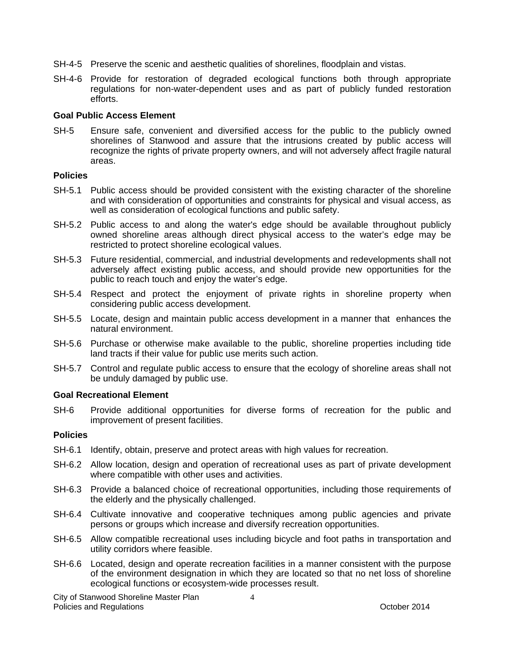- SH-4-5 Preserve the scenic and aesthetic qualities of shorelines, floodplain and vistas.
- SH-4-6 Provide for restoration of degraded ecological functions both through appropriate regulations for non-water-dependent uses and as part of publicly funded restoration efforts.

#### **Goal Public Access Element**

SH-5 Ensure safe, convenient and diversified access for the public to the publicly owned shorelines of Stanwood and assure that the intrusions created by public access will recognize the rights of private property owners, and will not adversely affect fragile natural areas.

#### **Policies**

- SH-5.1 Public access should be provided consistent with the existing character of the shoreline and with consideration of opportunities and constraints for physical and visual access, as well as consideration of ecological functions and public safety.
- SH-5.2 Public access to and along the water's edge should be available throughout publicly owned shoreline areas although direct physical access to the water's edge may be restricted to protect shoreline ecological values.
- SH-5.3 Future residential, commercial, and industrial developments and redevelopments shall not adversely affect existing public access, and should provide new opportunities for the public to reach touch and enjoy the water's edge.
- SH-5.4 Respect and protect the enjoyment of private rights in shoreline property when considering public access development.
- SH-5.5 Locate, design and maintain public access development in a manner that enhances the natural environment.
- SH-5.6 Purchase or otherwise make available to the public, shoreline properties including tide land tracts if their value for public use merits such action.
- SH-5.7 Control and regulate public access to ensure that the ecology of shoreline areas shall not be unduly damaged by public use.

#### **Goal Recreational Element**

SH-6 Provide additional opportunities for diverse forms of recreation for the public and improvement of present facilities.

### **Policies**

- SH-6.1 Identify, obtain, preserve and protect areas with high values for recreation.
- SH-6.2 Allow location, design and operation of recreational uses as part of private development where compatible with other uses and activities.
- SH-6.3 Provide a balanced choice of recreational opportunities, including those requirements of the elderly and the physically challenged.
- SH-6.4 Cultivate innovative and cooperative techniques among public agencies and private persons or groups which increase and diversify recreation opportunities.
- SH-6.5 Allow compatible recreational uses including bicycle and foot paths in transportation and utility corridors where feasible.
- SH-6.6 Located, design and operate recreation facilities in a manner consistent with the purpose of the environment designation in which they are located so that no net loss of shoreline ecological functions or ecosystem-wide processes result.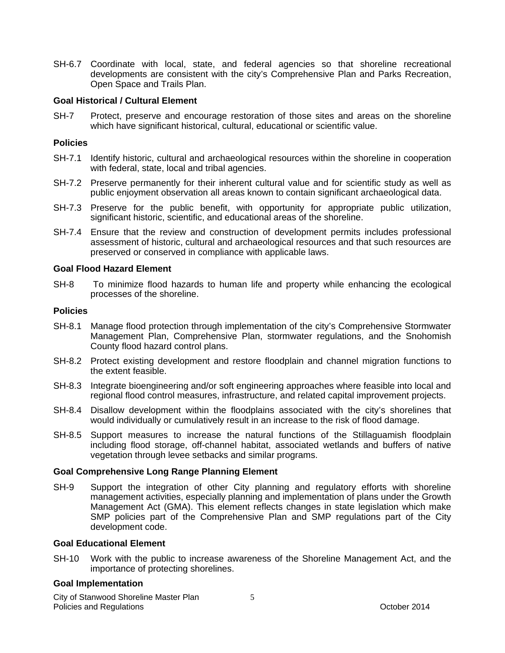SH-6.7 Coordinate with local, state, and federal agencies so that shoreline recreational developments are consistent with the city's Comprehensive Plan and Parks Recreation, Open Space and Trails Plan.

### **Goal Historical / Cultural Element**

SH-7 Protect, preserve and encourage restoration of those sites and areas on the shoreline which have significant historical, cultural, educational or scientific value.

### **Policies**

- SH-7.1 Identify historic, cultural and archaeological resources within the shoreline in cooperation with federal, state, local and tribal agencies.
- SH-7.2 Preserve permanently for their inherent cultural value and for scientific study as well as public enjoyment observation all areas known to contain significant archaeological data.
- SH-7.3 Preserve for the public benefit, with opportunity for appropriate public utilization, significant historic, scientific, and educational areas of the shoreline.
- SH-7.4 Ensure that the review and construction of development permits includes professional assessment of historic, cultural and archaeological resources and that such resources are preserved or conserved in compliance with applicable laws.

#### **Goal Flood Hazard Element**

SH-8 To minimize flood hazards to human life and property while enhancing the ecological processes of the shoreline.

### **Policies**

- SH-8.1 Manage flood protection through implementation of the city's Comprehensive Stormwater Management Plan, Comprehensive Plan, stormwater regulations, and the Snohomish County flood hazard control plans.
- SH-8.2 Protect existing development and restore floodplain and channel migration functions to the extent feasible.
- SH-8.3 Integrate bioengineering and/or soft engineering approaches where feasible into local and regional flood control measures, infrastructure, and related capital improvement projects.
- SH-8.4 Disallow development within the floodplains associated with the city's shorelines that would individually or cumulatively result in an increase to the risk of flood damage.
- SH-8.5 Support measures to increase the natural functions of the Stillaguamish floodplain including flood storage, off-channel habitat, associated wetlands and buffers of native vegetation through levee setbacks and similar programs.

### **Goal Comprehensive Long Range Planning Element**

SH-9 Support the integration of other City planning and regulatory efforts with shoreline management activities, especially planning and implementation of plans under the Growth Management Act (GMA). This element reflects changes in state legislation which make SMP policies part of the Comprehensive Plan and SMP regulations part of the City development code.

### **Goal Educational Element**

SH-10 Work with the public to increase awareness of the Shoreline Management Act, and the importance of protecting shorelines.

#### **Goal Implementation**

City of Stanwood Shoreline Master Plan Policies and Regulations **Provides** and Regulations **Contains a Container and Contains a Container and Contains a Contains a Contains a Contains a Contains a Contains a Contains a Contains a Contains a Contains a Contains**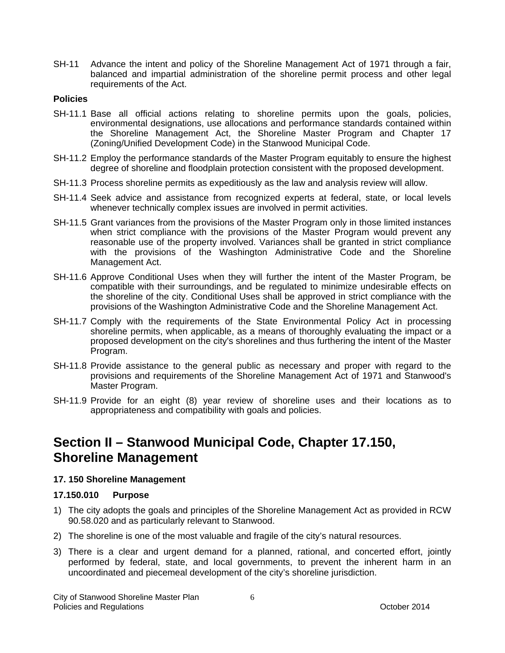SH-11 Advance the intent and policy of the Shoreline Management Act of 1971 through a fair, balanced and impartial administration of the shoreline permit process and other legal requirements of the Act.

#### **Policies**

- SH-11.1 Base all official actions relating to shoreline permits upon the goals, policies, environmental designations, use allocations and performance standards contained within the Shoreline Management Act, the Shoreline Master Program and Chapter 17 (Zoning/Unified Development Code) in the Stanwood Municipal Code.
- SH-11.2 Employ the performance standards of the Master Program equitably to ensure the highest degree of shoreline and floodplain protection consistent with the proposed development.
- SH-11.3 Process shoreline permits as expeditiously as the law and analysis review will allow.
- SH-11.4 Seek advice and assistance from recognized experts at federal, state, or local levels whenever technically complex issues are involved in permit activities.
- SH-11.5 Grant variances from the provisions of the Master Program only in those limited instances when strict compliance with the provisions of the Master Program would prevent any reasonable use of the property involved. Variances shall be granted in strict compliance with the provisions of the Washington Administrative Code and the Shoreline Management Act.
- SH-11.6 Approve Conditional Uses when they will further the intent of the Master Program, be compatible with their surroundings, and be regulated to minimize undesirable effects on the shoreline of the city. Conditional Uses shall be approved in strict compliance with the provisions of the Washington Administrative Code and the Shoreline Management Act.
- SH-11.7 Comply with the requirements of the State Environmental Policy Act in processing shoreline permits, when applicable, as a means of thoroughly evaluating the impact or a proposed development on the city's shorelines and thus furthering the intent of the Master Program.
- SH-11.8 Provide assistance to the general public as necessary and proper with regard to the provisions and requirements of the Shoreline Management Act of 1971 and Stanwood's Master Program.
- SH-11.9 Provide for an eight (8) year review of shoreline uses and their locations as to appropriateness and compatibility with goals and policies.

# **Section II – Stanwood Municipal Code, Chapter 17.150, Shoreline Management**

### **17. 150 Shoreline Management**

#### **17.150.010 Purpose**

- 1) The city adopts the goals and principles of the Shoreline Management Act as provided in RCW 90.58.020 and as particularly relevant to Stanwood.
- 2) The shoreline is one of the most valuable and fragile of the city's natural resources.
- 3) There is a clear and urgent demand for a planned, rational, and concerted effort, jointly performed by federal, state, and local governments, to prevent the inherent harm in an uncoordinated and piecemeal development of the city's shoreline jurisdiction.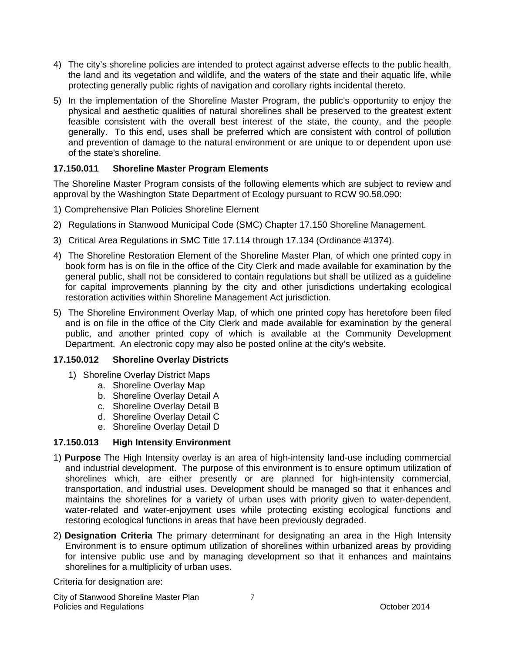- 4) The city's shoreline policies are intended to protect against adverse effects to the public health, the land and its vegetation and wildlife, and the waters of the state and their aquatic life, while protecting generally public rights of navigation and corollary rights incidental thereto.
- 5) In the implementation of the Shoreline Master Program, the public's opportunity to enjoy the physical and aesthetic qualities of natural shorelines shall be preserved to the greatest extent feasible consistent with the overall best interest of the state, the county, and the people generally. To this end, uses shall be preferred which are consistent with control of pollution and prevention of damage to the natural environment or are unique to or dependent upon use of the state's shoreline.

### **17.150.011 Shoreline Master Program Elements**

The Shoreline Master Program consists of the following elements which are subject to review and approval by the Washington State Department of Ecology pursuant to RCW 90.58.090:

- 1) Comprehensive Plan Policies Shoreline Element
- 2) Regulations in Stanwood Municipal Code (SMC) Chapter 17.150 Shoreline Management.
- 3) Critical Area Regulations in SMC Title 17.114 through 17.134 (Ordinance #1374).
- 4) The Shoreline Restoration Element of the Shoreline Master Plan, of which one printed copy in book form has is on file in the office of the City Clerk and made available for examination by the general public, shall not be considered to contain regulations but shall be utilized as a guideline for capital improvements planning by the city and other jurisdictions undertaking ecological restoration activities within Shoreline Management Act jurisdiction.
- 5) The Shoreline Environment Overlay Map, of which one printed copy has heretofore been filed and is on file in the office of the City Clerk and made available for examination by the general public, and another printed copy of which is available at the Community Development Department. An electronic copy may also be posted online at the city's website.

### **17.150.012 Shoreline Overlay Districts**

- 1) Shoreline Overlay District Maps
	- a. Shoreline Overlay Map
	- b. Shoreline Overlay Detail A
	- c. Shoreline Overlay Detail B
	- d. Shoreline Overlay Detail C
	- e. Shoreline Overlay Detail D

### **17.150.013 High Intensity Environment**

- 1) **Purpose** The High Intensity overlay is an area of high-intensity land-use including commercial and industrial development. The purpose of this environment is to ensure optimum utilization of shorelines which, are either presently or are planned for high-intensity commercial, transportation, and industrial uses. Development should be managed so that it enhances and maintains the shorelines for a variety of urban uses with priority given to water-dependent, water-related and water-enjoyment uses while protecting existing ecological functions and restoring ecological functions in areas that have been previously degraded.
- 2) **Designation Criteria** The primary determinant for designating an area in the High Intensity Environment is to ensure optimum utilization of shorelines within urbanized areas by providing for intensive public use and by managing development so that it enhances and maintains shorelines for a multiplicity of urban uses.

Criteria for designation are: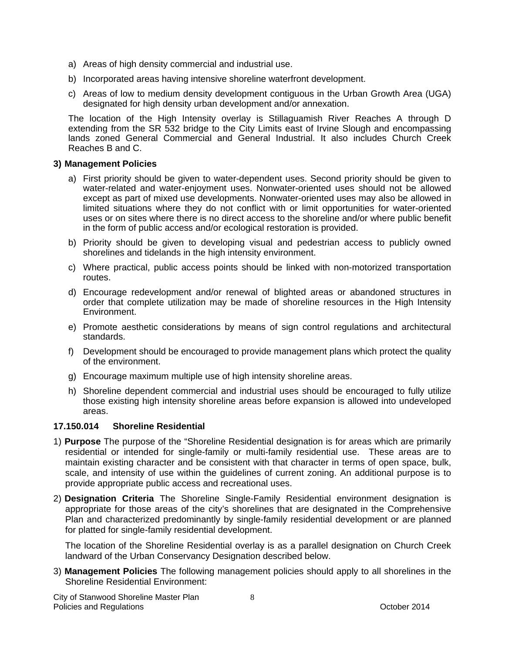- a) Areas of high density commercial and industrial use.
- b) Incorporated areas having intensive shoreline waterfront development.
- c) Areas of low to medium density development contiguous in the Urban Growth Area (UGA) designated for high density urban development and/or annexation.

The location of the High Intensity overlay is Stillaguamish River Reaches A through D extending from the SR 532 bridge to the City Limits east of Irvine Slough and encompassing lands zoned General Commercial and General Industrial. It also includes Church Creek Reaches B and C.

### **3) Management Policies**

- a) First priority should be given to water-dependent uses. Second priority should be given to water-related and water-enjoyment uses. Nonwater-oriented uses should not be allowed except as part of mixed use developments. Nonwater-oriented uses may also be allowed in limited situations where they do not conflict with or limit opportunities for water-oriented uses or on sites where there is no direct access to the shoreline and/or where public benefit in the form of public access and/or ecological restoration is provided.
- b) Priority should be given to developing visual and pedestrian access to publicly owned shorelines and tidelands in the high intensity environment.
- c) Where practical, public access points should be linked with non-motorized transportation routes.
- d) Encourage redevelopment and/or renewal of blighted areas or abandoned structures in order that complete utilization may be made of shoreline resources in the High Intensity Environment.
- e) Promote aesthetic considerations by means of sign control regulations and architectural standards.
- f) Development should be encouraged to provide management plans which protect the quality of the environment.
- g) Encourage maximum multiple use of high intensity shoreline areas.
- h) Shoreline dependent commercial and industrial uses should be encouraged to fully utilize those existing high intensity shoreline areas before expansion is allowed into undeveloped areas.

### **17.150.014 Shoreline Residential**

- 1) **Purpose** The purpose of the "Shoreline Residential designation is for areas which are primarily residential or intended for single-family or multi-family residential use. These areas are to maintain existing character and be consistent with that character in terms of open space, bulk, scale, and intensity of use within the guidelines of current zoning. An additional purpose is to provide appropriate public access and recreational uses.
- 2) **Designation Criteria** The Shoreline Single-Family Residential environment designation is appropriate for those areas of the city's shorelines that are designated in the Comprehensive Plan and characterized predominantly by single-family residential development or are planned for platted for single-family residential development.

The location of the Shoreline Residential overlay is as a parallel designation on Church Creek landward of the Urban Conservancy Designation described below.

3) **Management Policies** The following management policies should apply to all shorelines in the Shoreline Residential Environment:

City of Stanwood Shoreline Master Plan Policies and Regulations **Provides** and Regulations **Contains a Container and Contains a Container and Contains a Contains a Contains a Contains a Contains a Contains a Contains a Contains a Contains a Contains a Contains**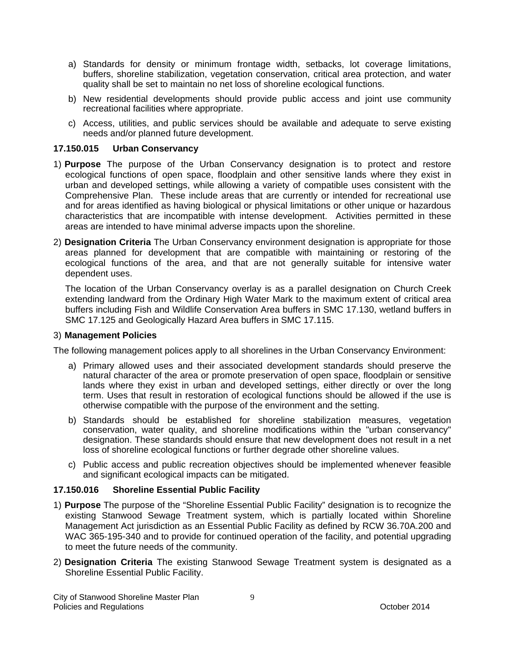- a) Standards for density or minimum frontage width, setbacks, lot coverage limitations, buffers, shoreline stabilization, vegetation conservation, critical area protection, and water quality shall be set to maintain no net loss of shoreline ecological functions.
- b) New residential developments should provide public access and joint use community recreational facilities where appropriate.
- c) Access, utilities, and public services should be available and adequate to serve existing needs and/or planned future development.

### **17.150.015 Urban Conservancy**

- 1) **Purpose** The purpose of the Urban Conservancy designation is to protect and restore ecological functions of open space, floodplain and other sensitive lands where they exist in urban and developed settings, while allowing a variety of compatible uses consistent with the Comprehensive Plan. These include areas that are currently or intended for recreational use and for areas identified as having biological or physical limitations or other unique or hazardous characteristics that are incompatible with intense development. Activities permitted in these areas are intended to have minimal adverse impacts upon the shoreline.
- 2) **Designation Criteria** The Urban Conservancy environment designation is appropriate for those areas planned for development that are compatible with maintaining or restoring of the ecological functions of the area, and that are not generally suitable for intensive water dependent uses.

The location of the Urban Conservancy overlay is as a parallel designation on Church Creek extending landward from the Ordinary High Water Mark to the maximum extent of critical area buffers including Fish and Wildlife Conservation Area buffers in SMC 17.130, wetland buffers in SMC 17.125 and Geologically Hazard Area buffers in SMC 17.115.

#### 3) **Management Policies**

The following management polices apply to all shorelines in the Urban Conservancy Environment:

- a) Primary allowed uses and their associated development standards should preserve the natural character of the area or promote preservation of open space, floodplain or sensitive lands where they exist in urban and developed settings, either directly or over the long term. Uses that result in restoration of ecological functions should be allowed if the use is otherwise compatible with the purpose of the environment and the setting.
- b) Standards should be established for shoreline stabilization measures, vegetation conservation, water quality, and shoreline modifications within the "urban conservancy" designation. These standards should ensure that new development does not result in a net loss of shoreline ecological functions or further degrade other shoreline values.
- c) Public access and public recreation objectives should be implemented whenever feasible and significant ecological impacts can be mitigated.

### **17.150.016 Shoreline Essential Public Facility**

- 1) **Purpose** The purpose of the "Shoreline Essential Public Facility" designation is to recognize the existing Stanwood Sewage Treatment system, which is partially located within Shoreline Management Act jurisdiction as an Essential Public Facility as defined by RCW 36.70A.200 and WAC 365-195-340 and to provide for continued operation of the facility, and potential upgrading to meet the future needs of the community.
- 2) **Designation Criteria** The existing Stanwood Sewage Treatment system is designated as a Shoreline Essential Public Facility.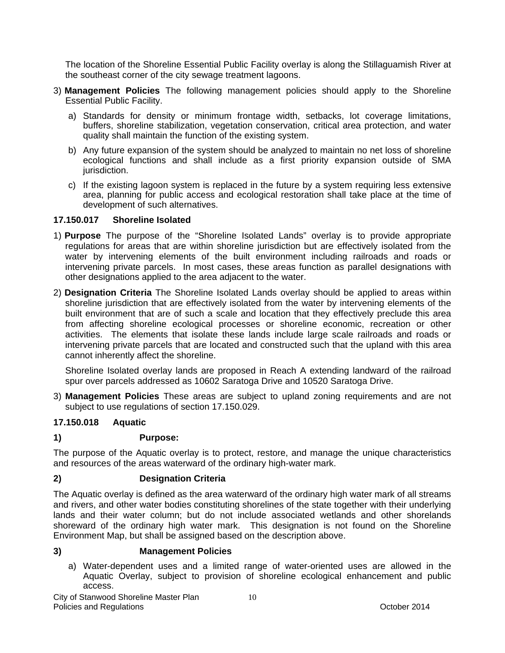The location of the Shoreline Essential Public Facility overlay is along the Stillaguamish River at the southeast corner of the city sewage treatment lagoons.

- 3) **Management Policies** The following management policies should apply to the Shoreline Essential Public Facility.
	- a) Standards for density or minimum frontage width, setbacks, lot coverage limitations, buffers, shoreline stabilization, vegetation conservation, critical area protection, and water quality shall maintain the function of the existing system.
	- b) Any future expansion of the system should be analyzed to maintain no net loss of shoreline ecological functions and shall include as a first priority expansion outside of SMA jurisdiction.
	- c) If the existing lagoon system is replaced in the future by a system requiring less extensive area, planning for public access and ecological restoration shall take place at the time of development of such alternatives.

### **17.150.017 Shoreline Isolated**

- 1) **Purpose** The purpose of the "Shoreline Isolated Lands" overlay is to provide appropriate regulations for areas that are within shoreline jurisdiction but are effectively isolated from the water by intervening elements of the built environment including railroads and roads or intervening private parcels. In most cases, these areas function as parallel designations with other designations applied to the area adjacent to the water.
- 2) **Designation Criteria** The Shoreline Isolated Lands overlay should be applied to areas within shoreline jurisdiction that are effectively isolated from the water by intervening elements of the built environment that are of such a scale and location that they effectively preclude this area from affecting shoreline ecological processes or shoreline economic, recreation or other activities. The elements that isolate these lands include large scale railroads and roads or intervening private parcels that are located and constructed such that the upland with this area cannot inherently affect the shoreline.

Shoreline Isolated overlay lands are proposed in Reach A extending landward of the railroad spur over parcels addressed as 10602 Saratoga Drive and 10520 Saratoga Drive.

3) **Management Policies** These areas are subject to upland zoning requirements and are not subject to use regulations of section 17.150.029.

### **17.150.018 Aquatic**

#### **1) Purpose:**

The purpose of the Aquatic overlay is to protect, restore, and manage the unique characteristics and resources of the areas waterward of the ordinary high-water mark.

### **2) Designation Criteria**

The Aquatic overlay is defined as the area waterward of the ordinary high water mark of all streams and rivers, and other water bodies constituting shorelines of the state together with their underlying lands and their water column; but do not include associated wetlands and other shorelands shoreward of the ordinary high water mark. This designation is not found on the Shoreline Environment Map, but shall be assigned based on the description above.

#### **3) Management Policies**

a) Water-dependent uses and a limited range of water-oriented uses are allowed in the Aquatic Overlay, subject to provision of shoreline ecological enhancement and public access.

City of Stanwood Shoreline Master Plan Policies and Regulations **Provides** and Regulations **Containers Provides** and **Provident Containers Containers CO**ctober 2014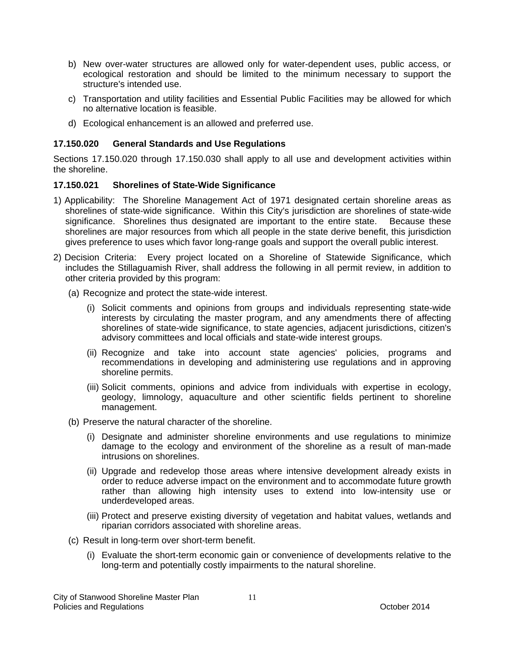- b) New over-water structures are allowed only for water-dependent uses, public access, or ecological restoration and should be limited to the minimum necessary to support the structure's intended use.
- c) Transportation and utility facilities and Essential Public Facilities may be allowed for which no alternative location is feasible.
- d) Ecological enhancement is an allowed and preferred use.

### **17.150.020 General Standards and Use Regulations**

Sections 17.150.020 through 17.150.030 shall apply to all use and development activities within the shoreline.

### **17.150.021 Shorelines of State-Wide Significance**

- 1) Applicability: The Shoreline Management Act of 1971 designated certain shoreline areas as shorelines of state-wide significance. Within this City's jurisdiction are shorelines of state-wide significance. Shorelines thus designated are important to the entire state. Because these shorelines are major resources from which all people in the state derive benefit, this jurisdiction gives preference to uses which favor long-range goals and support the overall public interest.
- 2) Decision Criteria: Every project located on a Shoreline of Statewide Significance, which includes the Stillaguamish River, shall address the following in all permit review, in addition to other criteria provided by this program:
	- (a) Recognize and protect the state-wide interest.
		- (i) Solicit comments and opinions from groups and individuals representing state-wide interests by circulating the master program, and any amendments there of affecting shorelines of state-wide significance, to state agencies, adjacent jurisdictions, citizen's advisory committees and local officials and state-wide interest groups.
		- (ii) Recognize and take into account state agencies' policies, programs and recommendations in developing and administering use regulations and in approving shoreline permits.
		- (iii) Solicit comments, opinions and advice from individuals with expertise in ecology, geology, limnology, aquaculture and other scientific fields pertinent to shoreline management.
	- (b) Preserve the natural character of the shoreline.
		- (i) Designate and administer shoreline environments and use regulations to minimize damage to the ecology and environment of the shoreline as a result of man-made intrusions on shorelines.
		- (ii) Upgrade and redevelop those areas where intensive development already exists in order to reduce adverse impact on the environment and to accommodate future growth rather than allowing high intensity uses to extend into low-intensity use or underdeveloped areas.
		- (iii) Protect and preserve existing diversity of vegetation and habitat values, wetlands and riparian corridors associated with shoreline areas.
	- (c) Result in long-term over short-term benefit.
		- (i) Evaluate the short-term economic gain or convenience of developments relative to the long-term and potentially costly impairments to the natural shoreline.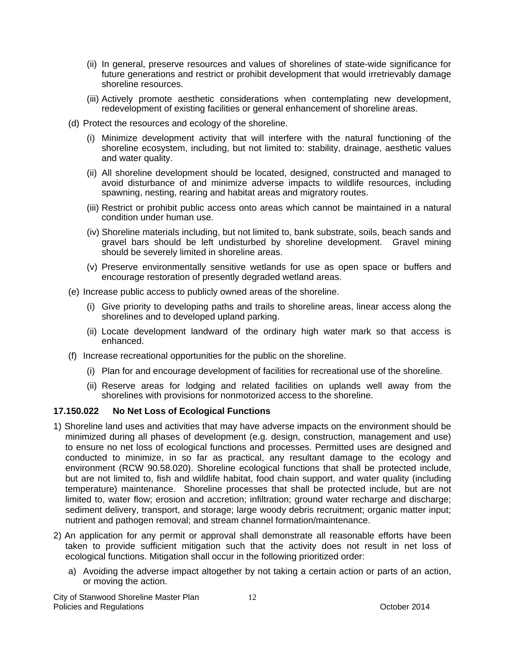- (ii) In general, preserve resources and values of shorelines of state-wide significance for future generations and restrict or prohibit development that would irretrievably damage shoreline resources.
- (iii) Actively promote aesthetic considerations when contemplating new development, redevelopment of existing facilities or general enhancement of shoreline areas.
- (d) Protect the resources and ecology of the shoreline.
	- (i) Minimize development activity that will interfere with the natural functioning of the shoreline ecosystem, including, but not limited to: stability, drainage, aesthetic values and water quality.
	- (ii) All shoreline development should be located, designed, constructed and managed to avoid disturbance of and minimize adverse impacts to wildlife resources, including spawning, nesting, rearing and habitat areas and migratory routes.
	- (iii) Restrict or prohibit public access onto areas which cannot be maintained in a natural condition under human use.
	- (iv) Shoreline materials including, but not limited to, bank substrate, soils, beach sands and gravel bars should be left undisturbed by shoreline development. Gravel mining should be severely limited in shoreline areas.
	- (v) Preserve environmentally sensitive wetlands for use as open space or buffers and encourage restoration of presently degraded wetland areas.
- (e) Increase public access to publicly owned areas of the shoreline.
	- (i) Give priority to developing paths and trails to shoreline areas, linear access along the shorelines and to developed upland parking.
	- (ii) Locate development landward of the ordinary high water mark so that access is enhanced.
- (f) Increase recreational opportunities for the public on the shoreline.
	- (i) Plan for and encourage development of facilities for recreational use of the shoreline.
	- (ii) Reserve areas for lodging and related facilities on uplands well away from the shorelines with provisions for nonmotorized access to the shoreline.

### **17.150.022 No Net Loss of Ecological Functions**

- 1) Shoreline land uses and activities that may have adverse impacts on the environment should be minimized during all phases of development (e.g. design, construction, management and use) to ensure no net loss of ecological functions and processes. Permitted uses are designed and conducted to minimize, in so far as practical, any resultant damage to the ecology and environment (RCW 90.58.020). Shoreline ecological functions that shall be protected include, but are not limited to, fish and wildlife habitat, food chain support, and water quality (including temperature) maintenance. Shoreline processes that shall be protected include, but are not limited to, water flow; erosion and accretion; infiltration; ground water recharge and discharge; sediment delivery, transport, and storage; large woody debris recruitment; organic matter input; nutrient and pathogen removal; and stream channel formation/maintenance.
- 2) An application for any permit or approval shall demonstrate all reasonable efforts have been taken to provide sufficient mitigation such that the activity does not result in net loss of ecological functions. Mitigation shall occur in the following prioritized order:
	- a) Avoiding the adverse impact altogether by not taking a certain action or parts of an action, or moving the action.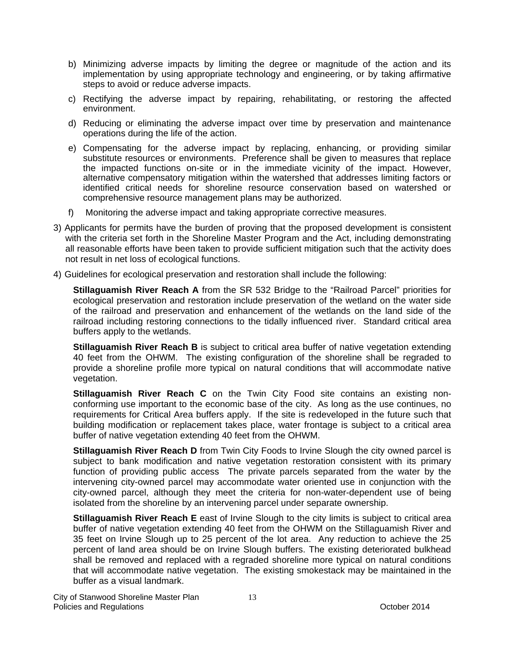- b) Minimizing adverse impacts by limiting the degree or magnitude of the action and its implementation by using appropriate technology and engineering, or by taking affirmative steps to avoid or reduce adverse impacts.
- c) Rectifying the adverse impact by repairing, rehabilitating, or restoring the affected environment.
- d) Reducing or eliminating the adverse impact over time by preservation and maintenance operations during the life of the action.
- e) Compensating for the adverse impact by replacing, enhancing, or providing similar substitute resources or environments. Preference shall be given to measures that replace the impacted functions on-site or in the immediate vicinity of the impact. However, alternative compensatory mitigation within the watershed that addresses limiting factors or identified critical needs for shoreline resource conservation based on watershed or comprehensive resource management plans may be authorized.
- f) Monitoring the adverse impact and taking appropriate corrective measures.
- 3) Applicants for permits have the burden of proving that the proposed development is consistent with the criteria set forth in the Shoreline Master Program and the Act, including demonstrating all reasonable efforts have been taken to provide sufficient mitigation such that the activity does not result in net loss of ecological functions.
- 4) Guidelines for ecological preservation and restoration shall include the following:

**Stillaguamish River Reach A** from the SR 532 Bridge to the "Railroad Parcel" priorities for ecological preservation and restoration include preservation of the wetland on the water side of the railroad and preservation and enhancement of the wetlands on the land side of the railroad including restoring connections to the tidally influenced river. Standard critical area buffers apply to the wetlands.

**Stillaguamish River Reach B** is subject to critical area buffer of native vegetation extending 40 feet from the OHWM. The existing configuration of the shoreline shall be regraded to provide a shoreline profile more typical on natural conditions that will accommodate native vegetation.

**Stillaguamish River Reach C** on the Twin City Food site contains an existing nonconforming use important to the economic base of the city. As long as the use continues, no requirements for Critical Area buffers apply. If the site is redeveloped in the future such that building modification or replacement takes place, water frontage is subject to a critical area buffer of native vegetation extending 40 feet from the OHWM.

**Stillaguamish River Reach D** from Twin City Foods to Irvine Slough the city owned parcel is subject to bank modification and native vegetation restoration consistent with its primary function of providing public access The private parcels separated from the water by the intervening city-owned parcel may accommodate water oriented use in conjunction with the city-owned parcel, although they meet the criteria for non-water-dependent use of being isolated from the shoreline by an intervening parcel under separate ownership.

**Stillaguamish River Reach E** east of Irvine Slough to the city limits is subject to critical area buffer of native vegetation extending 40 feet from the OHWM on the Stillaguamish River and 35 feet on Irvine Slough up to 25 percent of the lot area. Any reduction to achieve the 25 percent of land area should be on Irvine Slough buffers. The existing deteriorated bulkhead shall be removed and replaced with a regraded shoreline more typical on natural conditions that will accommodate native vegetation. The existing smokestack may be maintained in the buffer as a visual landmark.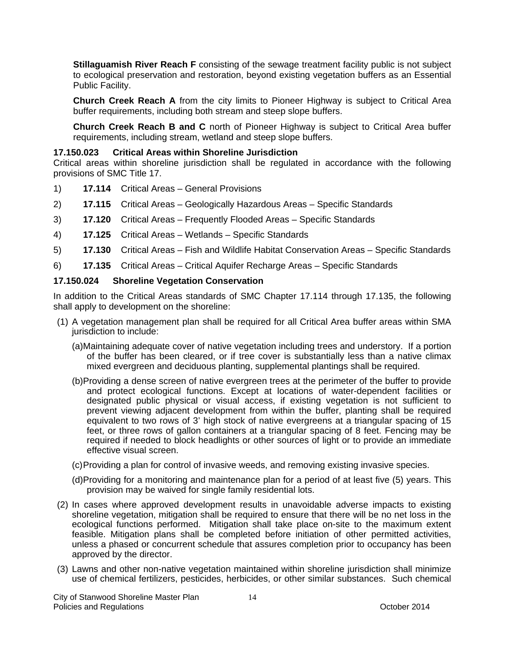**Stillaguamish River Reach F** consisting of the sewage treatment facility public is not subject to ecological preservation and restoration, beyond existing vegetation buffers as an Essential Public Facility.

**Church Creek Reach A** from the city limits to Pioneer Highway is subject to Critical Area buffer requirements, including both stream and steep slope buffers.

**Church Creek Reach B and C** north of Pioneer Highway is subject to Critical Area buffer requirements, including stream, wetland and steep slope buffers.

### **17.150.023 Critical Areas within Shoreline Jurisdiction**

Critical areas within shoreline jurisdiction shall be regulated in accordance with the following provisions of SMC Title 17.

- 1) **17.114** Critical Areas General Provisions
- 2) **17.115** Critical Areas Geologically Hazardous Areas Specific Standards
- 3) **17.120** Critical Areas Frequently Flooded Areas Specific Standards
- 4) **17.125** Critical Areas Wetlands Specific Standards
- 5) **17.130** Critical Areas Fish and Wildlife Habitat Conservation Areas Specific Standards
- 6) **17.135** Critical Areas Critical Aquifer Recharge Areas Specific Standards

### **17.150.024 Shoreline Vegetation Conservation**

In addition to the Critical Areas standards of SMC Chapter 17.114 through 17.135, the following shall apply to development on the shoreline:

- (1) A vegetation management plan shall be required for all Critical Area buffer areas within SMA jurisdiction to include:
	- (a) Maintaining adequate cover of native vegetation including trees and understory. If a portion of the buffer has been cleared, or if tree cover is substantially less than a native climax mixed evergreen and deciduous planting, supplemental plantings shall be required.
	- (b) Providing a dense screen of native evergreen trees at the perimeter of the buffer to provide and protect ecological functions. Except at locations of water-dependent facilities or designated public physical or visual access, if existing vegetation is not sufficient to prevent viewing adjacent development from within the buffer, planting shall be required equivalent to two rows of 3' high stock of native evergreens at a triangular spacing of 15 feet, or three rows of gallon containers at a triangular spacing of 8 feet. Fencing may be required if needed to block headlights or other sources of light or to provide an immediate effective visual screen.
	- (c) Providing a plan for control of invasive weeds, and removing existing invasive species.
	- (d) Providing for a monitoring and maintenance plan for a period of at least five (5) years. This provision may be waived for single family residential lots.
- (2) In cases where approved development results in unavoidable adverse impacts to existing shoreline vegetation, mitigation shall be required to ensure that there will be no net loss in the ecological functions performed. Mitigation shall take place on-site to the maximum extent feasible. Mitigation plans shall be completed before initiation of other permitted activities, unless a phased or concurrent schedule that assures completion prior to occupancy has been approved by the director.
- (3) Lawns and other non-native vegetation maintained within shoreline jurisdiction shall minimize use of chemical fertilizers, pesticides, herbicides, or other similar substances. Such chemical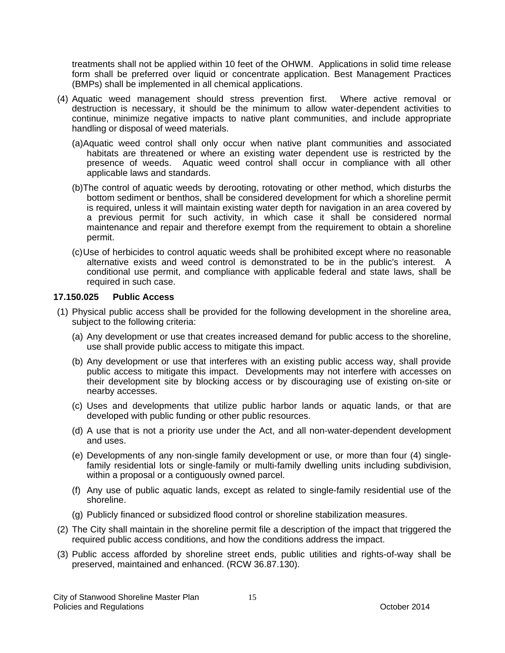treatments shall not be applied within 10 feet of the OHWM. Applications in solid time release form shall be preferred over liquid or concentrate application. Best Management Practices (BMPs) shall be implemented in all chemical applications.

- (4) Aquatic weed management should stress prevention first. Where active removal or destruction is necessary, it should be the minimum to allow water-dependent activities to continue, minimize negative impacts to native plant communities, and include appropriate handling or disposal of weed materials.
	- (a) Aquatic weed control shall only occur when native plant communities and associated habitats are threatened or where an existing water dependent use is restricted by the presence of weeds. Aquatic weed control shall occur in compliance with all other applicable laws and standards.
	- (b) The control of aquatic weeds by derooting, rotovating or other method, which disturbs the bottom sediment or benthos, shall be considered development for which a shoreline permit is required, unless it will maintain existing water depth for navigation in an area covered by a previous permit for such activity, in which case it shall be considered normal maintenance and repair and therefore exempt from the requirement to obtain a shoreline permit.
	- (c) Use of herbicides to control aquatic weeds shall be prohibited except where no reasonable alternative exists and weed control is demonstrated to be in the public's interest. A conditional use permit, and compliance with applicable federal and state laws, shall be required in such case.

#### **17.150.025 Public Access**

- (1) Physical public access shall be provided for the following development in the shoreline area, subject to the following criteria:
	- (a) Any development or use that creates increased demand for public access to the shoreline, use shall provide public access to mitigate this impact.
	- (b) Any development or use that interferes with an existing public access way, shall provide public access to mitigate this impact. Developments may not interfere with accesses on their development site by blocking access or by discouraging use of existing on-site or nearby accesses.
	- (c) Uses and developments that utilize public harbor lands or aquatic lands, or that are developed with public funding or other public resources.
	- (d) A use that is not a priority use under the Act, and all non-water-dependent development and uses.
	- (e) Developments of any non-single family development or use, or more than four (4) singlefamily residential lots or single-family or multi-family dwelling units including subdivision, within a proposal or a contiguously owned parcel.
	- (f) Any use of public aquatic lands, except as related to single-family residential use of the shoreline.
	- (g) Publicly financed or subsidized flood control or shoreline stabilization measures.
- (2) The City shall maintain in the shoreline permit file a description of the impact that triggered the required public access conditions, and how the conditions address the impact.
- (3) Public access afforded by shoreline street ends, public utilities and rights-of-way shall be preserved, maintained and enhanced. (RCW 36.87.130).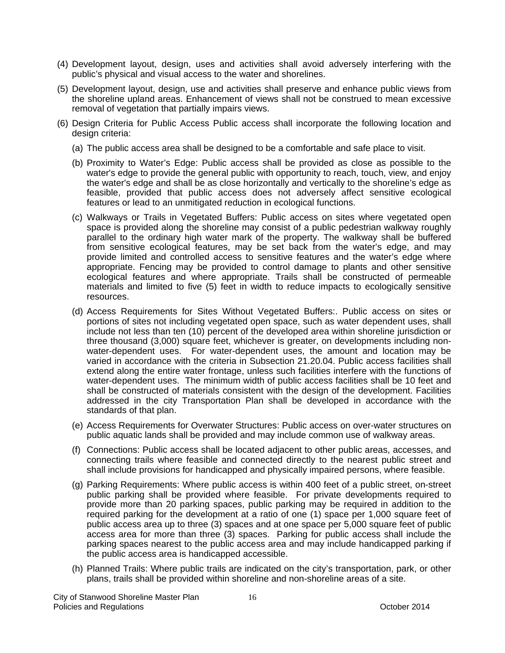- (4) Development layout, design, uses and activities shall avoid adversely interfering with the public's physical and visual access to the water and shorelines.
- (5) Development layout, design, use and activities shall preserve and enhance public views from the shoreline upland areas. Enhancement of views shall not be construed to mean excessive removal of vegetation that partially impairs views.
- (6) Design Criteria for Public Access Public access shall incorporate the following location and design criteria:
	- (a) The public access area shall be designed to be a comfortable and safe place to visit.
	- (b) Proximity to Water's Edge: Public access shall be provided as close as possible to the water's edge to provide the general public with opportunity to reach, touch, view, and enjoy the water's edge and shall be as close horizontally and vertically to the shoreline's edge as feasible, provided that public access does not adversely affect sensitive ecological features or lead to an unmitigated reduction in ecological functions.
	- (c) Walkways or Trails in Vegetated Buffers: Public access on sites where vegetated open space is provided along the shoreline may consist of a public pedestrian walkway roughly parallel to the ordinary high water mark of the property. The walkway shall be buffered from sensitive ecological features, may be set back from the water's edge, and may provide limited and controlled access to sensitive features and the water's edge where appropriate. Fencing may be provided to control damage to plants and other sensitive ecological features and where appropriate. Trails shall be constructed of permeable materials and limited to five (5) feet in width to reduce impacts to ecologically sensitive resources.
	- (d) Access Requirements for Sites Without Vegetated Buffers:. Public access on sites or portions of sites not including vegetated open space, such as water dependent uses, shall include not less than ten (10) percent of the developed area within shoreline jurisdiction or three thousand (3,000) square feet, whichever is greater, on developments including nonwater-dependent uses. For water-dependent uses, the amount and location may be varied in accordance with the criteria in Subsection 21.20.04. Public access facilities shall extend along the entire water frontage, unless such facilities interfere with the functions of water-dependent uses. The minimum width of public access facilities shall be 10 feet and shall be constructed of materials consistent with the design of the development. Facilities addressed in the city Transportation Plan shall be developed in accordance with the standards of that plan.
	- (e) Access Requirements for Overwater Structures: Public access on over-water structures on public aquatic lands shall be provided and may include common use of walkway areas.
	- (f) Connections: Public access shall be located adjacent to other public areas, accesses, and connecting trails where feasible and connected directly to the nearest public street and shall include provisions for handicapped and physically impaired persons, where feasible.
	- (g) Parking Requirements: Where public access is within 400 feet of a public street, on-street public parking shall be provided where feasible. For private developments required to provide more than 20 parking spaces, public parking may be required in addition to the required parking for the development at a ratio of one (1) space per 1,000 square feet of public access area up to three (3) spaces and at one space per 5,000 square feet of public access area for more than three (3) spaces. Parking for public access shall include the parking spaces nearest to the public access area and may include handicapped parking if the public access area is handicapped accessible.
	- (h) Planned Trails: Where public trails are indicated on the city's transportation, park, or other plans, trails shall be provided within shoreline and non-shoreline areas of a site.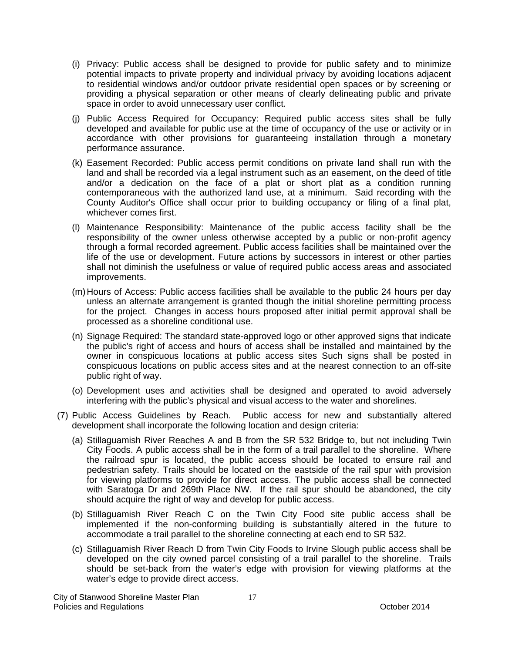- (i) Privacy: Public access shall be designed to provide for public safety and to minimize potential impacts to private property and individual privacy by avoiding locations adjacent to residential windows and/or outdoor private residential open spaces or by screening or providing a physical separation or other means of clearly delineating public and private space in order to avoid unnecessary user conflict.
- (j) Public Access Required for Occupancy: Required public access sites shall be fully developed and available for public use at the time of occupancy of the use or activity or in accordance with other provisions for guaranteeing installation through a monetary performance assurance.
- (k) Easement Recorded: Public access permit conditions on private land shall run with the land and shall be recorded via a legal instrument such as an easement, on the deed of title and/or a dedication on the face of a plat or short plat as a condition running contemporaneous with the authorized land use, at a minimum. Said recording with the County Auditor's Office shall occur prior to building occupancy or filing of a final plat, whichever comes first.
- (l) Maintenance Responsibility: Maintenance of the public access facility shall be the responsibility of the owner unless otherwise accepted by a public or non-profit agency through a formal recorded agreement. Public access facilities shall be maintained over the life of the use or development. Future actions by successors in interest or other parties shall not diminish the usefulness or value of required public access areas and associated improvements.
- (m) Hours of Access: Public access facilities shall be available to the public 24 hours per day unless an alternate arrangement is granted though the initial shoreline permitting process for the project. Changes in access hours proposed after initial permit approval shall be processed as a shoreline conditional use.
- (n) Signage Required: The standard state-approved logo or other approved signs that indicate the public's right of access and hours of access shall be installed and maintained by the owner in conspicuous locations at public access sites Such signs shall be posted in conspicuous locations on public access sites and at the nearest connection to an off-site public right of way.
- (o) Development uses and activities shall be designed and operated to avoid adversely interfering with the public's physical and visual access to the water and shorelines.
- (7) Public Access Guidelines by Reach. Public access for new and substantially altered development shall incorporate the following location and design criteria:
	- (a) Stillaguamish River Reaches A and B from the SR 532 Bridge to, but not including Twin City Foods. A public access shall be in the form of a trail parallel to the shoreline. Where the railroad spur is located, the public access should be located to ensure rail and pedestrian safety. Trails should be located on the eastside of the rail spur with provision for viewing platforms to provide for direct access. The public access shall be connected with Saratoga Dr and 269th Place NW. If the rail spur should be abandoned, the city should acquire the right of way and develop for public access.
	- (b) Stillaguamish River Reach C on the Twin City Food site public access shall be implemented if the non-conforming building is substantially altered in the future to accommodate a trail parallel to the shoreline connecting at each end to SR 532.
	- (c) Stillaguamish River Reach D from Twin City Foods to Irvine Slough public access shall be developed on the city owned parcel consisting of a trail parallel to the shoreline. Trails should be set-back from the water's edge with provision for viewing platforms at the water's edge to provide direct access.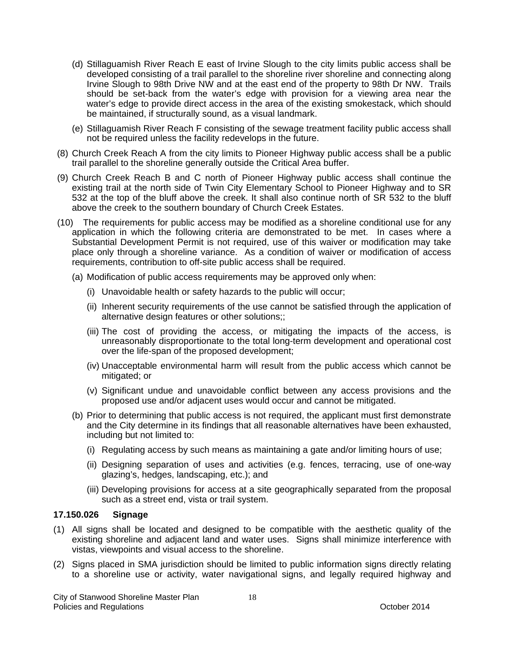- (d) Stillaguamish River Reach E east of Irvine Slough to the city limits public access shall be developed consisting of a trail parallel to the shoreline river shoreline and connecting along Irvine Slough to 98th Drive NW and at the east end of the property to 98th Dr NW. Trails should be set-back from the water's edge with provision for a viewing area near the water's edge to provide direct access in the area of the existing smokestack, which should be maintained, if structurally sound, as a visual landmark.
- (e) Stillaguamish River Reach F consisting of the sewage treatment facility public access shall not be required unless the facility redevelops in the future.
- (8) Church Creek Reach A from the city limits to Pioneer Highway public access shall be a public trail parallel to the shoreline generally outside the Critical Area buffer.
- (9) Church Creek Reach B and C north of Pioneer Highway public access shall continue the existing trail at the north side of Twin City Elementary School to Pioneer Highway and to SR 532 at the top of the bluff above the creek. It shall also continue north of SR 532 to the bluff above the creek to the southern boundary of Church Creek Estates.
- (10) The requirements for public access may be modified as a shoreline conditional use for any application in which the following criteria are demonstrated to be met. In cases where a Substantial Development Permit is not required, use of this waiver or modification may take place only through a shoreline variance. As a condition of waiver or modification of access requirements, contribution to off-site public access shall be required.
	- (a) Modification of public access requirements may be approved only when:
		- (i) Unavoidable health or safety hazards to the public will occur;
		- (ii) Inherent security requirements of the use cannot be satisfied through the application of alternative design features or other solutions;;
		- (iii) The cost of providing the access, or mitigating the impacts of the access, is unreasonably disproportionate to the total long-term development and operational cost over the life-span of the proposed development;
		- (iv) Unacceptable environmental harm will result from the public access which cannot be mitigated; or
		- (v) Significant undue and unavoidable conflict between any access provisions and the proposed use and/or adjacent uses would occur and cannot be mitigated.
	- (b) Prior to determining that public access is not required, the applicant must first demonstrate and the City determine in its findings that all reasonable alternatives have been exhausted, including but not limited to:
		- (i) Regulating access by such means as maintaining a gate and/or limiting hours of use;
		- (ii) Designing separation of uses and activities (e.g. fences, terracing, use of one-way glazing's, hedges, landscaping, etc.); and
		- (iii) Developing provisions for access at a site geographically separated from the proposal such as a street end, vista or trail system.

### **17.150.026 Signage**

- (1) All signs shall be located and designed to be compatible with the aesthetic quality of the existing shoreline and adjacent land and water uses. Signs shall minimize interference with vistas, viewpoints and visual access to the shoreline.
- (2) Signs placed in SMA jurisdiction should be limited to public information signs directly relating to a shoreline use or activity, water navigational signs, and legally required highway and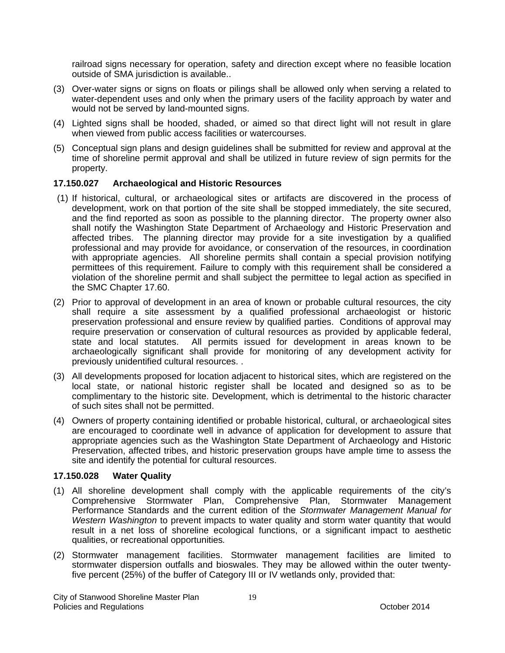railroad signs necessary for operation, safety and direction except where no feasible location outside of SMA jurisdiction is available..

- (3) Over-water signs or signs on floats or pilings shall be allowed only when serving a related to water-dependent uses and only when the primary users of the facility approach by water and would not be served by land-mounted signs.
- (4) Lighted signs shall be hooded, shaded, or aimed so that direct light will not result in glare when viewed from public access facilities or watercourses.
- (5) Conceptual sign plans and design guidelines shall be submitted for review and approval at the time of shoreline permit approval and shall be utilized in future review of sign permits for the property.

### **17.150.027 Archaeological and Historic Resources**

- (1) If historical, cultural, or archaeological sites or artifacts are discovered in the process of development, work on that portion of the site shall be stopped immediately, the site secured, and the find reported as soon as possible to the planning director. The property owner also shall notify the Washington State Department of Archaeology and Historic Preservation and affected tribes. The planning director may provide for a site investigation by a qualified professional and may provide for avoidance, or conservation of the resources, in coordination with appropriate agencies. All shoreline permits shall contain a special provision notifying permittees of this requirement. Failure to comply with this requirement shall be considered a violation of the shoreline permit and shall subject the permittee to legal action as specified in the SMC Chapter 17.60.
- (2) Prior to approval of development in an area of known or probable cultural resources, the city shall require a site assessment by a qualified professional archaeologist or historic preservation professional and ensure review by qualified parties. Conditions of approval may require preservation or conservation of cultural resources as provided by applicable federal, state and local statutes. All permits issued for development in areas known to be archaeologically significant shall provide for monitoring of any development activity for previously unidentified cultural resources. .
- (3) All developments proposed for location adjacent to historical sites, which are registered on the local state, or national historic register shall be located and designed so as to be complimentary to the historic site. Development, which is detrimental to the historic character of such sites shall not be permitted.
- (4) Owners of property containing identified or probable historical, cultural, or archaeological sites are encouraged to coordinate well in advance of application for development to assure that appropriate agencies such as the Washington State Department of Archaeology and Historic Preservation, affected tribes, and historic preservation groups have ample time to assess the site and identify the potential for cultural resources.

### **17.150.028 Water Quality**

- (1) All shoreline development shall comply with the applicable requirements of the city's Comprehensive Stormwater Plan, Comprehensive Plan, Stormwater Management Performance Standards and the current edition of the *Stormwater Management Manual for Western Washington* to prevent impacts to water quality and storm water quantity that would result in a net loss of shoreline ecological functions, or a significant impact to aesthetic qualities, or recreational opportunities*.*
- (2) Stormwater management facilities. Stormwater management facilities are limited to stormwater dispersion outfalls and bioswales. They may be allowed within the outer twentyfive percent (25%) of the buffer of Category III or IV wetlands only, provided that: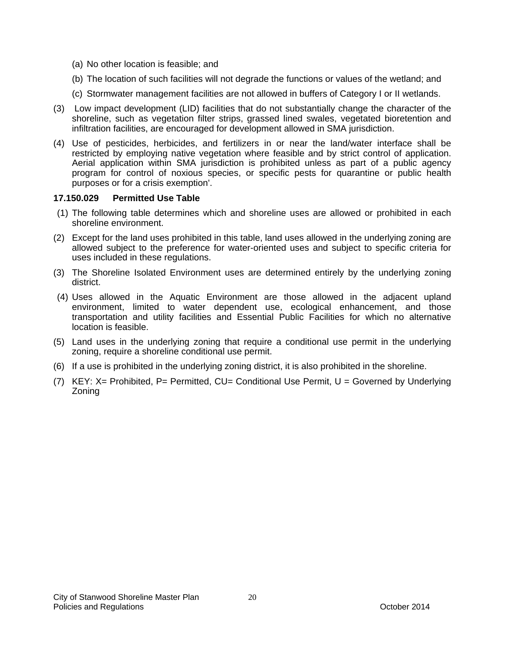- (a) No other location is feasible; and
- (b) The location of such facilities will not degrade the functions or values of the wetland; and
- (c) Stormwater management facilities are not allowed in buffers of Category I or II wetlands.
- (3) Low impact development (LID) facilities that do not substantially change the character of the shoreline, such as vegetation filter strips, grassed lined swales, vegetated bioretention and infiltration facilities, are encouraged for development allowed in SMA jurisdiction.
- (4) Use of pesticides, herbicides, and fertilizers in or near the land/water interface shall be restricted by employing native vegetation where feasible and by strict control of application. Aerial application within SMA jurisdiction is prohibited unless as part of a public agency program for control of noxious species, or specific pests for quarantine or public health purposes or for a crisis exemption'.

### **17.150.029 Permitted Use Table**

- (1) The following table determines which and shoreline uses are allowed or prohibited in each shoreline environment.
- (2) Except for the land uses prohibited in this table, land uses allowed in the underlying zoning are allowed subject to the preference for water-oriented uses and subject to specific criteria for uses included in these regulations.
- (3) The Shoreline Isolated Environment uses are determined entirely by the underlying zoning district.
- (4) Uses allowed in the Aquatic Environment are those allowed in the adjacent upland environment, limited to water dependent use, ecological enhancement, and those transportation and utility facilities and Essential Public Facilities for which no alternative location is feasible.
- (5) Land uses in the underlying zoning that require a conditional use permit in the underlying zoning, require a shoreline conditional use permit.
- (6) If a use is prohibited in the underlying zoning district, it is also prohibited in the shoreline.
- (7) KEY: X= Prohibited, P= Permitted, CU= Conditional Use Permit, U = Governed by Underlying Zoning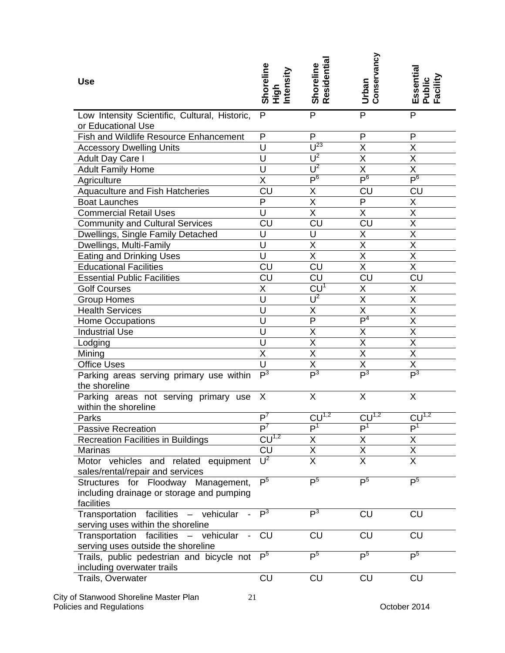| <b>Use</b>                                                                       | Shoreline<br>High<br>Intensity | Shoreline<br>Residential | Conservancy<br>Urban    | Essential<br>Public<br>Facility |
|----------------------------------------------------------------------------------|--------------------------------|--------------------------|-------------------------|---------------------------------|
| Low Intensity Scientific, Cultural, Historic,                                    | P                              | P                        | P                       | P                               |
| or Educational Use                                                               |                                |                          |                         |                                 |
| Fish and Wildlife Resource Enhancement                                           | P                              | P                        | P                       | P                               |
| <b>Accessory Dwelling Units</b>                                                  | U                              | $\overline{U^{23}}$      | X                       | Χ                               |
| Adult Day Care I                                                                 | U                              | $\overline{U^2}$         | $\overline{X}$          | $\overline{\mathsf{x}}$         |
| <b>Adult Family Home</b>                                                         | U                              | $\overline{U^2}$         | $\overline{\mathsf{X}}$ | $\overline{\mathsf{x}}$         |
| Agriculture                                                                      | X                              | P <sub>6</sub>           | $\mathsf{P}^6$          | $\mathsf{P}^6$                  |
| Aquaculture and Fish Hatcheries                                                  | CU                             | Χ                        | CU                      | CU                              |
| <b>Boat Launches</b>                                                             | $\overline{P}$                 | $\overline{\mathsf{X}}$  | P                       | X                               |
| <b>Commercial Retail Uses</b>                                                    | $\overline{\mathsf{U}}$        | $\overline{\mathsf{X}}$  | $\overline{\mathsf{X}}$ | $\overline{\mathsf{x}}$         |
| <b>Community and Cultural Services</b>                                           | CU                             | $\overline{\text{CU}}$   | CU                      | $\overline{\mathsf{X}}$         |
| Dwellings, Single Family Detached                                                | U                              | U                        | $\overline{\sf X}$      | $\overline{\mathsf{X}}$         |
| Dwellings, Multi-Family                                                          | Ù                              | Χ                        | X                       | X                               |
| <b>Eating and Drinking Uses</b>                                                  | U                              | $\overline{\mathsf{x}}$  | $\overline{\mathsf{x}}$ | $\overline{\mathsf{x}}$         |
| <b>Educational Facilities</b>                                                    | <b>CU</b>                      | <b>CU</b>                | X                       | $\overline{X}$                  |
| <b>Essential Public Facilities</b>                                               | CU                             | $\overline{\text{CU}}$   | <b>CU</b>               | <b>CU</b>                       |
| <b>Golf Courses</b>                                                              | Χ                              | $C\overline{U}^T$        | Χ                       | Χ                               |
| <b>Group Homes</b>                                                               | U                              | $U^2$                    | $\overline{\mathsf{x}}$ | $\overline{\mathsf{x}}$         |
| <b>Health Services</b>                                                           | $\overline{\mathsf{U}}$        | $\overline{\mathsf{x}}$  | $\overline{\mathsf{x}}$ | $\overline{\mathsf{x}}$         |
| Home Occupations                                                                 | U                              | $\overline{P}$           | $\mathsf{P}^4$          | $\overline{\mathsf{x}}$         |
| <b>Industrial Use</b>                                                            | U                              | Χ                        | Χ                       | $\overline{\mathsf{X}}$         |
| Lodging                                                                          | U                              | $\overline{\mathsf{x}}$  | $\overline{\mathsf{x}}$ | $\overline{\mathsf{x}}$         |
| Mining                                                                           | X                              | $\overline{X}$           | $\overline{X}$          | $\overline{\mathsf{x}}$         |
| <b>Office Uses</b>                                                               | $\overline{U}$                 | X                        | X                       | $\overline{\mathsf{x}}$         |
| Parking areas serving primary use within                                         | $\overline{P^3}$               | P <sup>3</sup>           | $\overline{P^3}$        | P <sup>3</sup>                  |
| the shoreline                                                                    |                                |                          |                         |                                 |
| Parking areas not serving primary use<br>within the shoreline                    | X                              | X                        | X                       | X                               |
| Parks                                                                            | $\overline{P^7}$               | $CU^{1,2}$               | $C\overline{U^{1,2}}$   | $CU^{1,2}$                      |
| <b>Passive Recreation</b>                                                        | P <sup>7</sup>                 | P <sup>1</sup>           | P <sup>1</sup>          | P <sup>1</sup>                  |
| <b>Recreation Facilities in Buildings</b>                                        | $CU^{1,2}$                     | X                        | Χ                       | Χ                               |
| <b>Marinas</b>                                                                   | <b>CU</b>                      | $\overline{\mathsf{x}}$  | $\overline{\mathsf{x}}$ | $\overline{\mathsf{x}}$         |
| Motor vehicles and related equipment                                             | $\overline{U^2}$               | $\overline{\mathsf{x}}$  | $\overline{\mathsf{x}}$ | $\overline{\mathsf{x}}$         |
| sales/rental/repair and services                                                 |                                |                          |                         |                                 |
| Structures for Floodway Management,<br>including drainage or storage and pumping | P <sup>5</sup>                 | P <sup>5</sup>           | P <sup>5</sup>          | P <sup>5</sup>                  |
| facilities                                                                       |                                |                          |                         |                                 |
| Transportation facilities - vehicular                                            | $\overline{P^3}$               | $\overline{P^3}$         | <b>CU</b>               | CU                              |
| serving uses within the shoreline                                                |                                |                          |                         |                                 |
| Transportation facilities<br>- vehicular<br>$\overline{\phantom{a}}$             | CU                             | <b>CU</b>                | <b>CU</b>               | CU                              |
| serving uses outside the shoreline                                               |                                |                          |                         |                                 |
| Trails, public pedestrian and bicycle not<br>including overwater trails          | P <sup>5</sup>                 | P <sup>5</sup>           | P <sup>5</sup>          | $\overline{P^5}$                |
| Trails, Overwater                                                                | <b>CU</b>                      | <b>CU</b>                | <b>CU</b>               | <b>CU</b>                       |

#### City of Stanwood Shoreline Master Plan Policies and Regulations **Contract Contract Contract Contract Contract Contract Contract Contract Contract Contract Contract Contract Contract Contract Contract Contract Contract Contract Contract Contract Contract Contrac**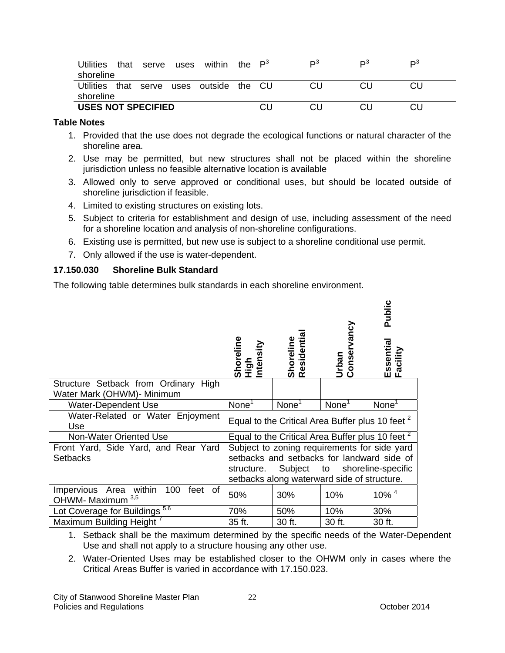| <b>Utilities</b>          | that | serve | uses | within  | the $P^3$ | DЗ | DЗ | DЗ |
|---------------------------|------|-------|------|---------|-----------|----|----|----|
| shoreline                 |      |       |      |         |           |    |    |    |
| Utilities that            |      | serve | uses | outside | the       |    |    |    |
| shoreline                 |      |       |      |         |           |    |    |    |
| <b>USES NOT SPECIFIED</b> |      |       |      |         |           |    |    |    |

#### **Table Notes**

- 1. Provided that the use does not degrade the ecological functions or natural character of the shoreline area.
- 2. Use may be permitted, but new structures shall not be placed within the shoreline jurisdiction unless no feasible alternative location is available
- 3. Allowed only to serve approved or conditional uses, but should be located outside of shoreline jurisdiction if feasible.
- 4. Limited to existing structures on existing lots.
- 5. Subject to criteria for establishment and design of use, including assessment of the need for a shoreline location and analysis of non-shoreline configurations.
- 6. Existing use is permitted, but new use is subject to a shoreline conditional use permit.
- 7. Only allowed if the use is water-dependent.

### **17.150.030 Shoreline Bulk Standard**

The following table determines bulk standards in each shoreline environment.

|                                                                    |                                                             |                          |                                                             | Public                |
|--------------------------------------------------------------------|-------------------------------------------------------------|--------------------------|-------------------------------------------------------------|-----------------------|
|                                                                    | Shoreline<br>High<br>Intensity                              | Shoreline<br>Residential | Urban<br>Conservancy                                        | Essential<br>Facility |
| Structure Setback from Ordinary High<br>Water Mark (OHWM)- Minimum |                                                             |                          |                                                             |                       |
| <b>Water-Dependent Use</b>                                         | None <sup>1</sup>                                           | None <sup>1</sup>        | None <sup>1</sup>                                           | None <sup>1</sup>     |
| Water-Related or Water Enjoyment<br>Use                            | Equal to the Critical Area Buffer plus 10 feet <sup>2</sup> |                          |                                                             |                       |
| <b>Non-Water Oriented Use</b>                                      |                                                             |                          | Equal to the Critical Area Buffer plus 10 feet <sup>2</sup> |                       |
| Front Yard, Side Yard, and Rear Yard                               | Subject to zoning requirements for side yard                |                          |                                                             |                       |
| <b>Setbacks</b>                                                    | setbacks and setbacks for landward side of                  |                          |                                                             |                       |
|                                                                    | structure.                                                  | Subject                  | to                                                          | shoreline-specific    |
|                                                                    | setbacks along waterward side of structure.                 |                          |                                                             |                       |
| Area within<br>100<br>Impervious<br>feet of<br>OHWM- Maximum 3,5   | 50%                                                         | 30%                      | 10%                                                         | $10\%$ <sup>4</sup>   |
| Lot Coverage for Buildings <sup>5,6</sup>                          | 70%                                                         | 50%                      | 10%                                                         | 30%                   |
| <b>Maximum Building Height</b>                                     | 35 ft.                                                      | 30 ft.                   | 30 ft.                                                      | 30 ft.                |

1. Setback shall be the maximum determined by the specific needs of the Water-Dependent Use and shall not apply to a structure housing any other use.

2. Water-Oriented Uses may be established closer to the OHWM only in cases where the Critical Areas Buffer is varied in accordance with 17.150.023.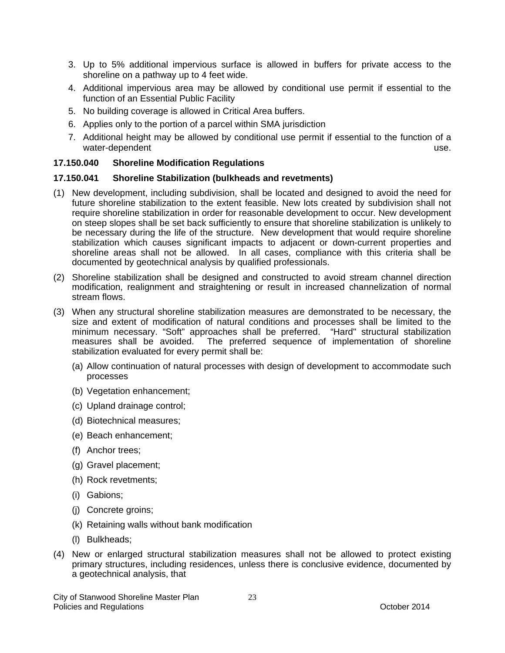- 3. Up to 5% additional impervious surface is allowed in buffers for private access to the shoreline on a pathway up to 4 feet wide.
- 4. Additional impervious area may be allowed by conditional use permit if essential to the function of an Essential Public Facility
- 5. No building coverage is allowed in Critical Area buffers.
- 6. Applies only to the portion of a parcel within SMA jurisdiction
- 7. Additional height may be allowed by conditional use permit if essential to the function of a water-dependent use. The contract of the contract of the contract of the contract of the contract of the contract of the contract of the contract of the contract of the contract of the contract of the contract of the contr

### **17.150.040 Shoreline Modification Regulations**

### **17.150.041 Shoreline Stabilization (bulkheads and revetments)**

- (1) New development, including subdivision, shall be located and designed to avoid the need for future shoreline stabilization to the extent feasible. New lots created by subdivision shall not require shoreline stabilization in order for reasonable development to occur. New development on steep slopes shall be set back sufficiently to ensure that shoreline stabilization is unlikely to be necessary during the life of the structure. New development that would require shoreline stabilization which causes significant impacts to adjacent or down-current properties and shoreline areas shall not be allowed. In all cases, compliance with this criteria shall be documented by geotechnical analysis by qualified professionals.
- (2) Shoreline stabilization shall be designed and constructed to avoid stream channel direction modification, realignment and straightening or result in increased channelization of normal stream flows.
- (3) When any structural shoreline stabilization measures are demonstrated to be necessary, the size and extent of modification of natural conditions and processes shall be limited to the minimum necessary. "Soft" approaches shall be preferred. "Hard" structural stabilization measures shall be avoided. The preferred sequence of implementation of shoreline stabilization evaluated for every permit shall be:
	- (a) Allow continuation of natural processes with design of development to accommodate such processes
	- (b) Vegetation enhancement;
	- (c) Upland drainage control;
	- (d) Biotechnical measures;
	- (e) Beach enhancement;
	- (f) Anchor trees;
	- (g) Gravel placement;
	- (h) Rock revetments;
	- (i) Gabions;
	- (j) Concrete groins;
	- (k) Retaining walls without bank modification
	- (l) Bulkheads;
- (4) New or enlarged structural stabilization measures shall not be allowed to protect existing primary structures, including residences, unless there is conclusive evidence, documented by a geotechnical analysis, that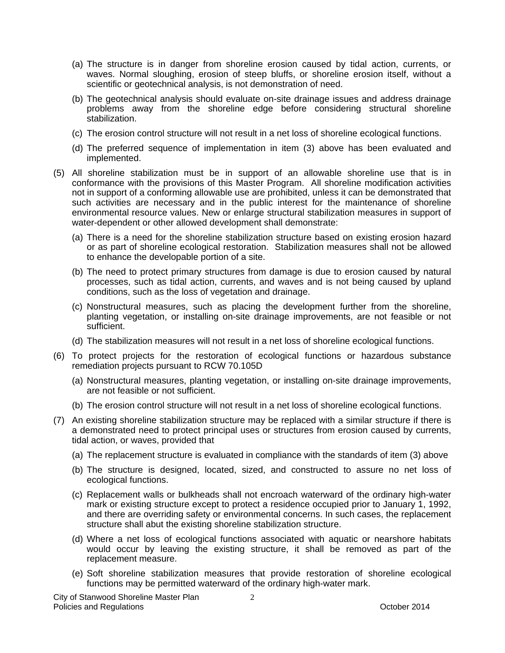- (a) The structure is in danger from shoreline erosion caused by tidal action, currents, or waves. Normal sloughing, erosion of steep bluffs, or shoreline erosion itself, without a scientific or geotechnical analysis, is not demonstration of need.
- (b) The geotechnical analysis should evaluate on-site drainage issues and address drainage problems away from the shoreline edge before considering structural shoreline stabilization.
- (c) The erosion control structure will not result in a net loss of shoreline ecological functions.
- (d) The preferred sequence of implementation in item (3) above has been evaluated and implemented.
- (5) All shoreline stabilization must be in support of an allowable shoreline use that is in conformance with the provisions of this Master Program. All shoreline modification activities not in support of a conforming allowable use are prohibited, unless it can be demonstrated that such activities are necessary and in the public interest for the maintenance of shoreline environmental resource values. New or enlarge structural stabilization measures in support of water-dependent or other allowed development shall demonstrate:
	- (a) There is a need for the shoreline stabilization structure based on existing erosion hazard or as part of shoreline ecological restoration. Stabilization measures shall not be allowed to enhance the developable portion of a site.
	- (b) The need to protect primary structures from damage is due to erosion caused by natural processes, such as tidal action, currents, and waves and is not being caused by upland conditions, such as the loss of vegetation and drainage.
	- (c) Nonstructural measures, such as placing the development further from the shoreline, planting vegetation, or installing on-site drainage improvements, are not feasible or not sufficient.
	- (d) The stabilization measures will not result in a net loss of shoreline ecological functions.
- (6) To protect projects for the restoration of ecological functions or hazardous substance remediation projects pursuant to RCW 70.105D
	- (a) Nonstructural measures, planting vegetation, or installing on-site drainage improvements, are not feasible or not sufficient.
	- (b) The erosion control structure will not result in a net loss of shoreline ecological functions.
- (7) An existing shoreline stabilization structure may be replaced with a similar structure if there is a demonstrated need to protect principal uses or structures from erosion caused by currents, tidal action, or waves, provided that
	- (a) The replacement structure is evaluated in compliance with the standards of item (3) above
	- (b) The structure is designed, located, sized, and constructed to assure no net loss of ecological functions.
	- (c) Replacement walls or bulkheads shall not encroach waterward of the ordinary high-water mark or existing structure except to protect a residence occupied prior to January 1, 1992, and there are overriding safety or environmental concerns. In such cases, the replacement structure shall abut the existing shoreline stabilization structure.
	- (d) Where a net loss of ecological functions associated with aquatic or nearshore habitats would occur by leaving the existing structure, it shall be removed as part of the replacement measure.
	- (e) Soft shoreline stabilization measures that provide restoration of shoreline ecological functions may be permitted waterward of the ordinary high-water mark.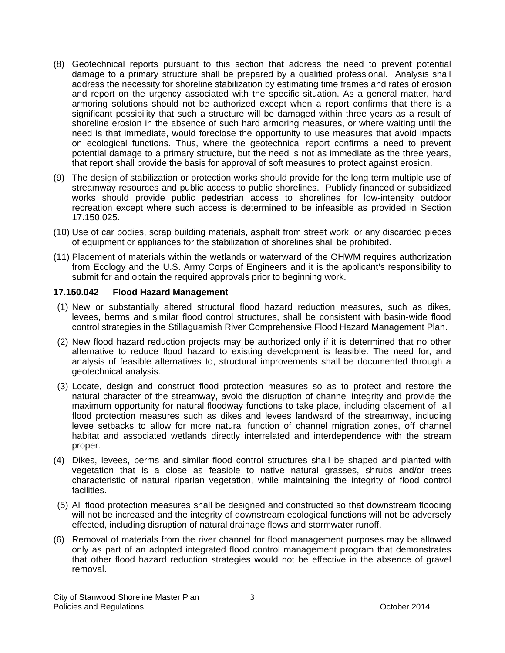- (8) Geotechnical reports pursuant to this section that address the need to prevent potential damage to a primary structure shall be prepared by a qualified professional. Analysis shall address the necessity for shoreline stabilization by estimating time frames and rates of erosion and report on the urgency associated with the specific situation. As a general matter, hard armoring solutions should not be authorized except when a report confirms that there is a significant possibility that such a structure will be damaged within three years as a result of shoreline erosion in the absence of such hard armoring measures, or where waiting until the need is that immediate, would foreclose the opportunity to use measures that avoid impacts on ecological functions. Thus, where the geotechnical report confirms a need to prevent potential damage to a primary structure, but the need is not as immediate as the three years, that report shall provide the basis for approval of soft measures to protect against erosion.
- (9) The design of stabilization or protection works should provide for the long term multiple use of streamway resources and public access to public shorelines. Publicly financed or subsidized works should provide public pedestrian access to shorelines for low-intensity outdoor recreation except where such access is determined to be infeasible as provided in Section 17.150.025.
- (10) Use of car bodies, scrap building materials, asphalt from street work, or any discarded pieces of equipment or appliances for the stabilization of shorelines shall be prohibited.
- (11) Placement of materials within the wetlands or waterward of the OHWM requires authorization from Ecology and the U.S. Army Corps of Engineers and it is the applicant's responsibility to submit for and obtain the required approvals prior to beginning work.

### **17.150.042 Flood Hazard Management**

- (1) New or substantially altered structural flood hazard reduction measures, such as dikes, levees, berms and similar flood control structures, shall be consistent with basin-wide flood control strategies in the Stillaguamish River Comprehensive Flood Hazard Management Plan.
- (2) New flood hazard reduction projects may be authorized only if it is determined that no other alternative to reduce flood hazard to existing development is feasible. The need for, and analysis of feasible alternatives to, structural improvements shall be documented through a geotechnical analysis.
- (3) Locate, design and construct flood protection measures so as to protect and restore the natural character of the streamway, avoid the disruption of channel integrity and provide the maximum opportunity for natural floodway functions to take place, including placement of all flood protection measures such as dikes and levees landward of the streamway, including levee setbacks to allow for more natural function of channel migration zones, off channel habitat and associated wetlands directly interrelated and interdependence with the stream proper.
- (4) Dikes, levees, berms and similar flood control structures shall be shaped and planted with vegetation that is a close as feasible to native natural grasses, shrubs and/or trees characteristic of natural riparian vegetation, while maintaining the integrity of flood control facilities.
- (5) All flood protection measures shall be designed and constructed so that downstream flooding will not be increased and the integrity of downstream ecological functions will not be adversely effected, including disruption of natural drainage flows and stormwater runoff.
- (6) Removal of materials from the river channel for flood management purposes may be allowed only as part of an adopted integrated flood control management program that demonstrates that other flood hazard reduction strategies would not be effective in the absence of gravel removal.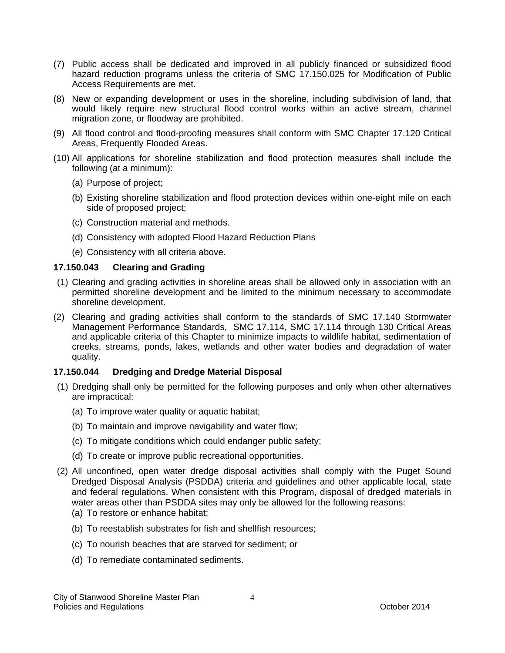- (7) Public access shall be dedicated and improved in all publicly financed or subsidized flood hazard reduction programs unless the criteria of SMC 17.150.025 for Modification of Public Access Requirements are met.
- (8) New or expanding development or uses in the shoreline, including subdivision of land, that would likely require new structural flood control works within an active stream, channel migration zone, or floodway are prohibited.
- (9) All flood control and flood-proofing measures shall conform with SMC Chapter 17.120 Critical Areas, Frequently Flooded Areas.
- (10) All applications for shoreline stabilization and flood protection measures shall include the following (at a minimum):
	- (a) Purpose of project;
	- (b) Existing shoreline stabilization and flood protection devices within one-eight mile on each side of proposed project;
	- (c) Construction material and methods.
	- (d) Consistency with adopted Flood Hazard Reduction Plans
	- (e) Consistency with all criteria above.

### **17.150.043 Clearing and Grading**

- (1) Clearing and grading activities in shoreline areas shall be allowed only in association with an permitted shoreline development and be limited to the minimum necessary to accommodate shoreline development.
- (2) Clearing and grading activities shall conform to the standards of SMC 17.140 Stormwater Management Performance Standards, SMC 17.114, SMC 17.114 through 130 Critical Areas and applicable criteria of this Chapter to minimize impacts to wildlife habitat, sedimentation of creeks, streams, ponds, lakes, wetlands and other water bodies and degradation of water quality.

### **17.150.044 Dredging and Dredge Material Disposal**

- (1) Dredging shall only be permitted for the following purposes and only when other alternatives are impractical:
	- (a) To improve water quality or aquatic habitat;
	- (b) To maintain and improve navigability and water flow;
	- (c) To mitigate conditions which could endanger public safety;
	- (d) To create or improve public recreational opportunities.
- (2) All unconfined, open water dredge disposal activities shall comply with the Puget Sound Dredged Disposal Analysis (PSDDA) criteria and guidelines and other applicable local, state and federal regulations. When consistent with this Program, disposal of dredged materials in water areas other than PSDDA sites may only be allowed for the following reasons: (a) To restore or enhance habitat;
	- (b) To reestablish substrates for fish and shellfish resources;
	- (c) To nourish beaches that are starved for sediment; or
	- (d) To remediate contaminated sediments.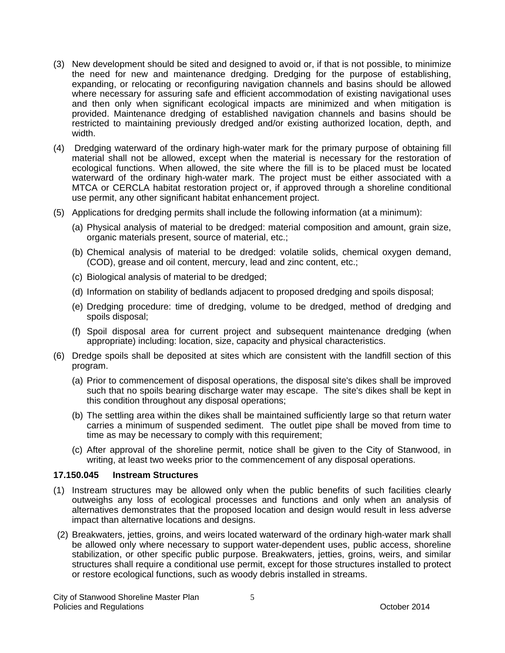- (3) New development should be sited and designed to avoid or, if that is not possible, to minimize the need for new and maintenance dredging. Dredging for the purpose of establishing, expanding, or relocating or reconfiguring navigation channels and basins should be allowed where necessary for assuring safe and efficient accommodation of existing navigational uses and then only when significant ecological impacts are minimized and when mitigation is provided. Maintenance dredging of established navigation channels and basins should be restricted to maintaining previously dredged and/or existing authorized location, depth, and width.
- (4) Dredging waterward of the ordinary high-water mark for the primary purpose of obtaining fill material shall not be allowed, except when the material is necessary for the restoration of ecological functions. When allowed, the site where the fill is to be placed must be located waterward of the ordinary high-water mark. The project must be either associated with a MTCA or CERCLA habitat restoration project or, if approved through a shoreline conditional use permit, any other significant habitat enhancement project.
- (5) Applications for dredging permits shall include the following information (at a minimum):
	- (a) Physical analysis of material to be dredged: material composition and amount, grain size, organic materials present, source of material, etc.;
	- (b) Chemical analysis of material to be dredged: volatile solids, chemical oxygen demand, (COD), grease and oil content, mercury, lead and zinc content, etc.;
	- (c) Biological analysis of material to be dredged;
	- (d) Information on stability of bedlands adjacent to proposed dredging and spoils disposal;
	- (e) Dredging procedure: time of dredging, volume to be dredged, method of dredging and spoils disposal;
	- (f) Spoil disposal area for current project and subsequent maintenance dredging (when appropriate) including: location, size, capacity and physical characteristics.
- (6) Dredge spoils shall be deposited at sites which are consistent with the landfill section of this program.
	- (a) Prior to commencement of disposal operations, the disposal site's dikes shall be improved such that no spoils bearing discharge water may escape. The site's dikes shall be kept in this condition throughout any disposal operations;
	- (b) The settling area within the dikes shall be maintained sufficiently large so that return water carries a minimum of suspended sediment. The outlet pipe shall be moved from time to time as may be necessary to comply with this requirement;
	- (c) After approval of the shoreline permit, notice shall be given to the City of Stanwood, in writing, at least two weeks prior to the commencement of any disposal operations.

### **17.150.045 Instream Structures**

- (1) Instream structures may be allowed only when the public benefits of such facilities clearly outweighs any loss of ecological processes and functions and only when an analysis of alternatives demonstrates that the proposed location and design would result in less adverse impact than alternative locations and designs.
- (2) Breakwaters, jetties, groins, and weirs located waterward of the ordinary high-water mark shall be allowed only where necessary to support water-dependent uses, public access, shoreline stabilization, or other specific public purpose. Breakwaters, jetties, groins, weirs, and similar structures shall require a conditional use permit, except for those structures installed to protect or restore ecological functions, such as woody debris installed in streams.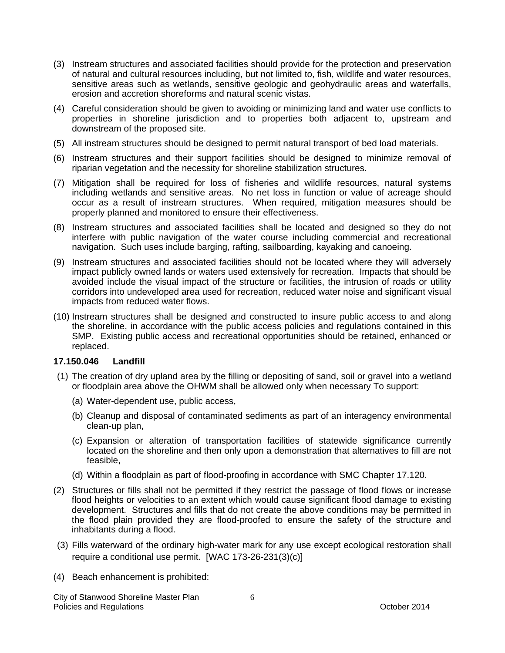- (3) Instream structures and associated facilities should provide for the protection and preservation of natural and cultural resources including, but not limited to, fish, wildlife and water resources, sensitive areas such as wetlands, sensitive geologic and geohydraulic areas and waterfalls, erosion and accretion shoreforms and natural scenic vistas.
- (4) Careful consideration should be given to avoiding or minimizing land and water use conflicts to properties in shoreline jurisdiction and to properties both adjacent to, upstream and downstream of the proposed site.
- (5) All instream structures should be designed to permit natural transport of bed load materials.
- (6) Instream structures and their support facilities should be designed to minimize removal of riparian vegetation and the necessity for shoreline stabilization structures.
- (7) Mitigation shall be required for loss of fisheries and wildlife resources, natural systems including wetlands and sensitive areas. No net loss in function or value of acreage should occur as a result of instream structures. When required, mitigation measures should be properly planned and monitored to ensure their effectiveness.
- (8) Instream structures and associated facilities shall be located and designed so they do not interfere with public navigation of the water course including commercial and recreational navigation. Such uses include barging, rafting, sailboarding, kayaking and canoeing.
- (9) Instream structures and associated facilities should not be located where they will adversely impact publicly owned lands or waters used extensively for recreation. Impacts that should be avoided include the visual impact of the structure or facilities, the intrusion of roads or utility corridors into undeveloped area used for recreation, reduced water noise and significant visual impacts from reduced water flows.
- (10) Instream structures shall be designed and constructed to insure public access to and along the shoreline, in accordance with the public access policies and regulations contained in this SMP. Existing public access and recreational opportunities should be retained, enhanced or replaced.

### **17.150.046 Landfill**

- (1) The creation of dry upland area by the filling or depositing of sand, soil or gravel into a wetland or floodplain area above the OHWM shall be allowed only when necessary To support:
	- (a) Water-dependent use, public access,
	- (b) Cleanup and disposal of contaminated sediments as part of an interagency environmental clean-up plan,
	- (c) Expansion or alteration of transportation facilities of statewide significance currently located on the shoreline and then only upon a demonstration that alternatives to fill are not feasible,
	- (d) Within a floodplain as part of flood-proofing in accordance with SMC Chapter 17.120.
- (2) Structures or fills shall not be permitted if they restrict the passage of flood flows or increase flood heights or velocities to an extent which would cause significant flood damage to existing development. Structures and fills that do not create the above conditions may be permitted in the flood plain provided they are flood-proofed to ensure the safety of the structure and inhabitants during a flood.
- (3) Fills waterward of the ordinary high-water mark for any use except ecological restoration shall require a conditional use permit. [WAC 173-26-231(3)(c)]
- (4) Beach enhancement is prohibited: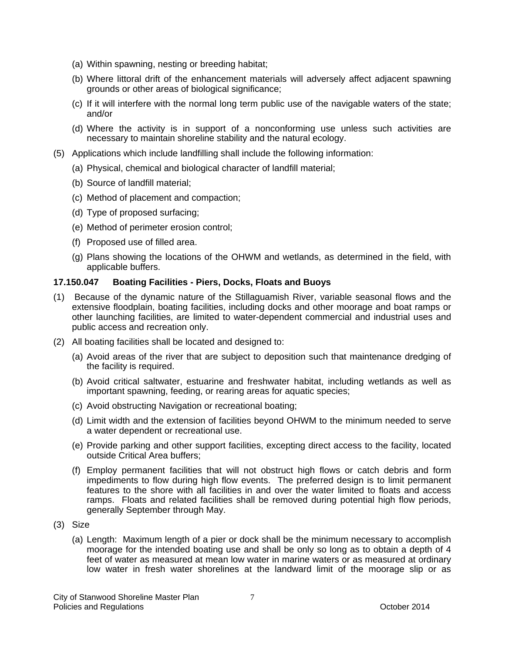- (a) Within spawning, nesting or breeding habitat;
- (b) Where littoral drift of the enhancement materials will adversely affect adjacent spawning grounds or other areas of biological significance;
- (c) If it will interfere with the normal long term public use of the navigable waters of the state; and/or
- (d) Where the activity is in support of a nonconforming use unless such activities are necessary to maintain shoreline stability and the natural ecology.
- (5) Applications which include landfilling shall include the following information:
	- (a) Physical, chemical and biological character of landfill material;
	- (b) Source of landfill material;
	- (c) Method of placement and compaction;
	- (d) Type of proposed surfacing;
	- (e) Method of perimeter erosion control;
	- (f) Proposed use of filled area.
	- (g) Plans showing the locations of the OHWM and wetlands, as determined in the field, with applicable buffers.

### **17.150.047 Boating Facilities - Piers, Docks, Floats and Buoys**

- (1) Because of the dynamic nature of the Stillaguamish River, variable seasonal flows and the extensive floodplain, boating facilities, including docks and other moorage and boat ramps or other launching facilities, are limited to water-dependent commercial and industrial uses and public access and recreation only.
- (2) All boating facilities shall be located and designed to:
	- (a) Avoid areas of the river that are subject to deposition such that maintenance dredging of the facility is required.
	- (b) Avoid critical saltwater, estuarine and freshwater habitat, including wetlands as well as important spawning, feeding, or rearing areas for aquatic species;
	- (c) Avoid obstructing Navigation or recreational boating;
	- (d) Limit width and the extension of facilities beyond OHWM to the minimum needed to serve a water dependent or recreational use.
	- (e) Provide parking and other support facilities, excepting direct access to the facility, located outside Critical Area buffers;
	- (f) Employ permanent facilities that will not obstruct high flows or catch debris and form impediments to flow during high flow events. The preferred design is to limit permanent features to the shore with all facilities in and over the water limited to floats and access ramps. Floats and related facilities shall be removed during potential high flow periods, generally September through May.
- (3) Size
	- (a) Length: Maximum length of a pier or dock shall be the minimum necessary to accomplish moorage for the intended boating use and shall be only so long as to obtain a depth of 4 feet of water as measured at mean low water in marine waters or as measured at ordinary low water in fresh water shorelines at the landward limit of the moorage slip or as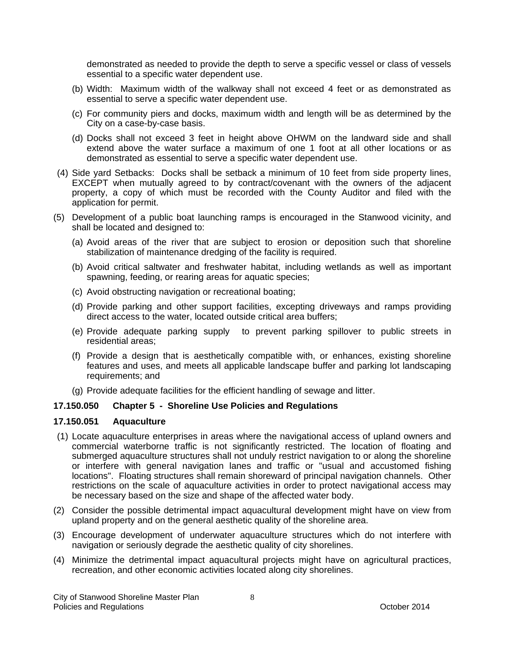demonstrated as needed to provide the depth to serve a specific vessel or class of vessels essential to a specific water dependent use.

- (b) Width: Maximum width of the walkway shall not exceed 4 feet or as demonstrated as essential to serve a specific water dependent use.
- (c) For community piers and docks, maximum width and length will be as determined by the City on a case-by-case basis.
- (d) Docks shall not exceed 3 feet in height above OHWM on the landward side and shall extend above the water surface a maximum of one 1 foot at all other locations or as demonstrated as essential to serve a specific water dependent use.
- (4) Side yard Setbacks: Docks shall be setback a minimum of 10 feet from side property lines, EXCEPT when mutually agreed to by contract/covenant with the owners of the adjacent property, a copy of which must be recorded with the County Auditor and filed with the application for permit.
- (5) Development of a public boat launching ramps is encouraged in the Stanwood vicinity, and shall be located and designed to:
	- (a) Avoid areas of the river that are subject to erosion or deposition such that shoreline stabilization of maintenance dredging of the facility is required.
	- (b) Avoid critical saltwater and freshwater habitat, including wetlands as well as important spawning, feeding, or rearing areas for aquatic species;
	- (c) Avoid obstructing navigation or recreational boating;
	- (d) Provide parking and other support facilities, excepting driveways and ramps providing direct access to the water, located outside critical area buffers;
	- (e) Provide adequate parking supply to prevent parking spillover to public streets in residential areas;
	- (f) Provide a design that is aesthetically compatible with, or enhances, existing shoreline features and uses, and meets all applicable landscape buffer and parking lot landscaping requirements; and
	- (g) Provide adequate facilities for the efficient handling of sewage and litter.

### **17.150.050 Chapter 5 - Shoreline Use Policies and Regulations**

#### **17.150.051 Aquaculture**

- (1) Locate aquaculture enterprises in areas where the navigational access of upland owners and commercial waterborne traffic is not significantly restricted. The location of floating and submerged aquaculture structures shall not unduly restrict navigation to or along the shoreline or interfere with general navigation lanes and traffic or "usual and accustomed fishing locations". Floating structures shall remain shoreward of principal navigation channels. Other restrictions on the scale of aquaculture activities in order to protect navigational access may be necessary based on the size and shape of the affected water body.
- (2) Consider the possible detrimental impact aquacultural development might have on view from upland property and on the general aesthetic quality of the shoreline area.
- (3) Encourage development of underwater aquaculture structures which do not interfere with navigation or seriously degrade the aesthetic quality of city shorelines.
- (4) Minimize the detrimental impact aquacultural projects might have on agricultural practices, recreation, and other economic activities located along city shorelines.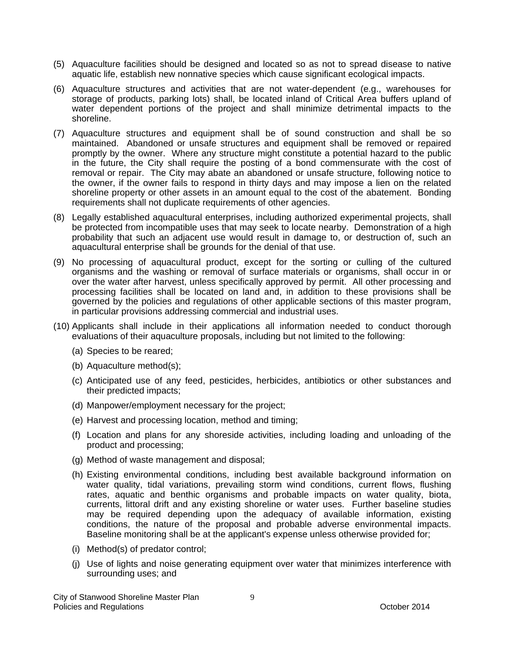- (5) Aquaculture facilities should be designed and located so as not to spread disease to native aquatic life, establish new nonnative species which cause significant ecological impacts.
- (6) Aquaculture structures and activities that are not water-dependent (e.g., warehouses for storage of products, parking lots) shall, be located inland of Critical Area buffers upland of water dependent portions of the project and shall minimize detrimental impacts to the shoreline.
- (7) Aquaculture structures and equipment shall be of sound construction and shall be so maintained. Abandoned or unsafe structures and equipment shall be removed or repaired promptly by the owner. Where any structure might constitute a potential hazard to the public in the future, the City shall require the posting of a bond commensurate with the cost of removal or repair. The City may abate an abandoned or unsafe structure, following notice to the owner, if the owner fails to respond in thirty days and may impose a lien on the related shoreline property or other assets in an amount equal to the cost of the abatement. Bonding requirements shall not duplicate requirements of other agencies.
- (8) Legally established aquacultural enterprises, including authorized experimental projects, shall be protected from incompatible uses that may seek to locate nearby. Demonstration of a high probability that such an adjacent use would result in damage to, or destruction of, such an aquacultural enterprise shall be grounds for the denial of that use.
- (9) No processing of aquacultural product, except for the sorting or culling of the cultured organisms and the washing or removal of surface materials or organisms, shall occur in or over the water after harvest, unless specifically approved by permit. All other processing and processing facilities shall be located on land and, in addition to these provisions shall be governed by the policies and regulations of other applicable sections of this master program, in particular provisions addressing commercial and industrial uses.
- (10) Applicants shall include in their applications all information needed to conduct thorough evaluations of their aquaculture proposals, including but not limited to the following:
	- (a) Species to be reared;
	- (b) Aquaculture method(s);
	- (c) Anticipated use of any feed, pesticides, herbicides, antibiotics or other substances and their predicted impacts;
	- (d) Manpower/employment necessary for the project;
	- (e) Harvest and processing location, method and timing;
	- (f) Location and plans for any shoreside activities, including loading and unloading of the product and processing;
	- (g) Method of waste management and disposal;
	- (h) Existing environmental conditions, including best available background information on water quality, tidal variations, prevailing storm wind conditions, current flows, flushing rates, aquatic and benthic organisms and probable impacts on water quality, biota, currents, littoral drift and any existing shoreline or water uses. Further baseline studies may be required depending upon the adequacy of available information, existing conditions, the nature of the proposal and probable adverse environmental impacts. Baseline monitoring shall be at the applicant's expense unless otherwise provided for;
	- (i) Method(s) of predator control;
	- (j) Use of lights and noise generating equipment over water that minimizes interference with surrounding uses; and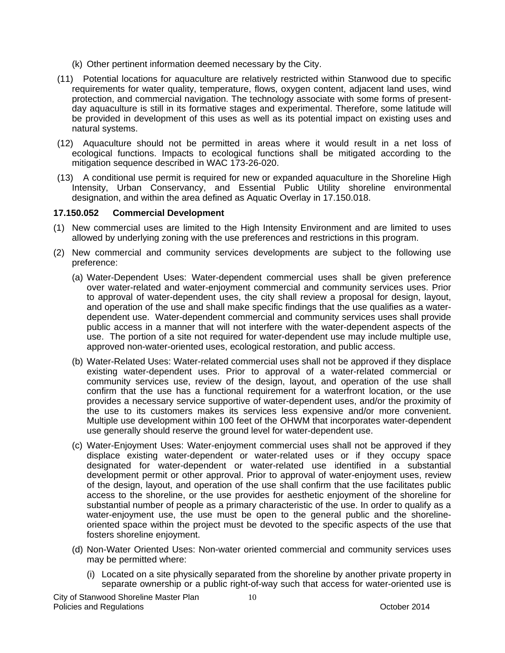- (k) Other pertinent information deemed necessary by the City.
- (11) Potential locations for aquaculture are relatively restricted within Stanwood due to specific requirements for water quality, temperature, flows, oxygen content, adjacent land uses, wind protection, and commercial navigation. The technology associate with some forms of presentday aquaculture is still in its formative stages and experimental. Therefore, some latitude will be provided in development of this uses as well as its potential impact on existing uses and natural systems.
- (12) Aquaculture should not be permitted in areas where it would result in a net loss of ecological functions. Impacts to ecological functions shall be mitigated according to the mitigation sequence described in WAC 173-26-020.
- (13) A conditional use permit is required for new or expanded aquaculture in the Shoreline High Intensity, Urban Conservancy, and Essential Public Utility shoreline environmental designation, and within the area defined as Aquatic Overlay in 17.150.018.

### **17.150.052 Commercial Development**

- (1) New commercial uses are limited to the High Intensity Environment and are limited to uses allowed by underlying zoning with the use preferences and restrictions in this program.
- (2) New commercial and community services developments are subject to the following use preference:
	- (a) Water-Dependent Uses: Water-dependent commercial uses shall be given preference over water-related and water-enjoyment commercial and community services uses. Prior to approval of water-dependent uses, the city shall review a proposal for design, layout, and operation of the use and shall make specific findings that the use qualifies as a waterdependent use. Water-dependent commercial and community services uses shall provide public access in a manner that will not interfere with the water-dependent aspects of the use. The portion of a site not required for water-dependent use may include multiple use, approved non-water-oriented uses, ecological restoration, and public access.
	- (b) Water-Related Uses: Water-related commercial uses shall not be approved if they displace existing water-dependent uses. Prior to approval of a water-related commercial or community services use, review of the design, layout, and operation of the use shall confirm that the use has a functional requirement for a waterfront location, or the use provides a necessary service supportive of water-dependent uses, and/or the proximity of the use to its customers makes its services less expensive and/or more convenient. Multiple use development within 100 feet of the OHWM that incorporates water-dependent use generally should reserve the ground level for water-dependent use.
	- (c) Water-Enjoyment Uses: Water-enjoyment commercial uses shall not be approved if they displace existing water-dependent or water-related uses or if they occupy space designated for water-dependent or water-related use identified in a substantial development permit or other approval. Prior to approval of water-enjoyment uses, review of the design, layout, and operation of the use shall confirm that the use facilitates public access to the shoreline, or the use provides for aesthetic enjoyment of the shoreline for substantial number of people as a primary characteristic of the use. In order to qualify as a water-enjoyment use, the use must be open to the general public and the shorelineoriented space within the project must be devoted to the specific aspects of the use that fosters shoreline enjoyment.
	- (d) Non-Water Oriented Uses: Non-water oriented commercial and community services uses may be permitted where:
		- (i) Located on a site physically separated from the shoreline by another private property in separate ownership or a public right-of-way such that access for water-oriented use is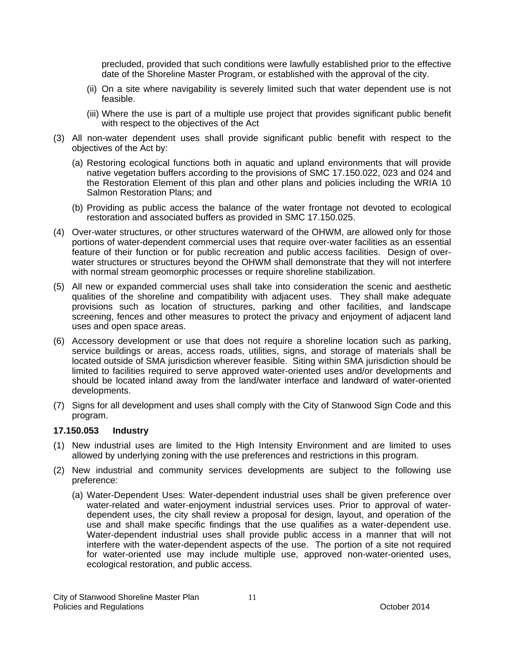precluded, provided that such conditions were lawfully established prior to the effective date of the Shoreline Master Program, or established with the approval of the city.

- (ii) On a site where navigability is severely limited such that water dependent use is not feasible.
- (iii) Where the use is part of a multiple use project that provides significant public benefit with respect to the objectives of the Act
- (3) All non-water dependent uses shall provide significant public benefit with respect to the objectives of the Act by:
	- (a) Restoring ecological functions both in aquatic and upland environments that will provide native vegetation buffers according to the provisions of SMC 17.150.022, 023 and 024 and the Restoration Element of this plan and other plans and policies including the WRIA 10 Salmon Restoration Plans; and
	- (b) Providing as public access the balance of the water frontage not devoted to ecological restoration and associated buffers as provided in SMC 17.150.025.
- (4) Over-water structures, or other structures waterward of the OHWM, are allowed only for those portions of water-dependent commercial uses that require over-water facilities as an essential feature of their function or for public recreation and public access facilities. Design of overwater structures or structures beyond the OHWM shall demonstrate that they will not interfere with normal stream geomorphic processes or require shoreline stabilization.
- (5) All new or expanded commercial uses shall take into consideration the scenic and aesthetic qualities of the shoreline and compatibility with adjacent uses. They shall make adequate provisions such as location of structures, parking and other facilities, and landscape screening, fences and other measures to protect the privacy and enjoyment of adjacent land uses and open space areas.
- (6) Accessory development or use that does not require a shoreline location such as parking, service buildings or areas, access roads, utilities, signs, and storage of materials shall be located outside of SMA jurisdiction wherever feasible. Siting within SMA jurisdiction should be limited to facilities required to serve approved water-oriented uses and/or developments and should be located inland away from the land/water interface and landward of water-oriented developments.
- (7) Signs for all development and uses shall comply with the City of Stanwood Sign Code and this program.

### **17.150.053 Industry**

- (1) New industrial uses are limited to the High Intensity Environment and are limited to uses allowed by underlying zoning with the use preferences and restrictions in this program.
- (2) New industrial and community services developments are subject to the following use preference:
	- (a) Water-Dependent Uses: Water-dependent industrial uses shall be given preference over water-related and water-enjoyment industrial services uses. Prior to approval of waterdependent uses, the city shall review a proposal for design, layout, and operation of the use and shall make specific findings that the use qualifies as a water-dependent use. Water-dependent industrial uses shall provide public access in a manner that will not interfere with the water-dependent aspects of the use. The portion of a site not required for water-oriented use may include multiple use, approved non-water-oriented uses, ecological restoration, and public access.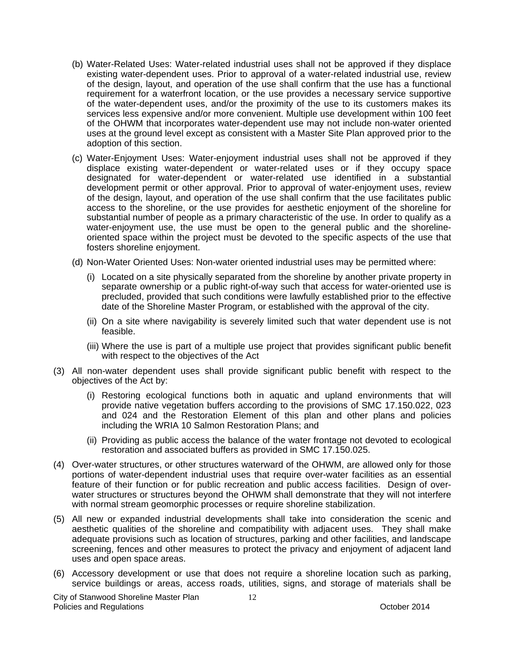- (b) Water-Related Uses: Water-related industrial uses shall not be approved if they displace existing water-dependent uses. Prior to approval of a water-related industrial use, review of the design, layout, and operation of the use shall confirm that the use has a functional requirement for a waterfront location, or the use provides a necessary service supportive of the water-dependent uses, and/or the proximity of the use to its customers makes its services less expensive and/or more convenient. Multiple use development within 100 feet of the OHWM that incorporates water-dependent use may not include non-water oriented uses at the ground level except as consistent with a Master Site Plan approved prior to the adoption of this section.
- (c) Water-Enjoyment Uses: Water-enjoyment industrial uses shall not be approved if they displace existing water-dependent or water-related uses or if they occupy space designated for water-dependent or water-related use identified in a substantial development permit or other approval. Prior to approval of water-enjoyment uses, review of the design, layout, and operation of the use shall confirm that the use facilitates public access to the shoreline, or the use provides for aesthetic enjoyment of the shoreline for substantial number of people as a primary characteristic of the use. In order to qualify as a water-enjoyment use, the use must be open to the general public and the shorelineoriented space within the project must be devoted to the specific aspects of the use that fosters shoreline enjoyment.
- (d) Non-Water Oriented Uses: Non-water oriented industrial uses may be permitted where:
	- (i) Located on a site physically separated from the shoreline by another private property in separate ownership or a public right-of-way such that access for water-oriented use is precluded, provided that such conditions were lawfully established prior to the effective date of the Shoreline Master Program, or established with the approval of the city.
	- (ii) On a site where navigability is severely limited such that water dependent use is not feasible.
	- (iii) Where the use is part of a multiple use project that provides significant public benefit with respect to the objectives of the Act
- (3) All non-water dependent uses shall provide significant public benefit with respect to the objectives of the Act by:
	- (i) Restoring ecological functions both in aquatic and upland environments that will provide native vegetation buffers according to the provisions of SMC 17.150.022, 023 and 024 and the Restoration Element of this plan and other plans and policies including the WRIA 10 Salmon Restoration Plans; and
	- (ii) Providing as public access the balance of the water frontage not devoted to ecological restoration and associated buffers as provided in SMC 17.150.025.
- (4) Over-water structures, or other structures waterward of the OHWM, are allowed only for those portions of water-dependent industrial uses that require over-water facilities as an essential feature of their function or for public recreation and public access facilities. Design of overwater structures or structures beyond the OHWM shall demonstrate that they will not interfere with normal stream geomorphic processes or require shoreline stabilization.
- (5) All new or expanded industrial developments shall take into consideration the scenic and aesthetic qualities of the shoreline and compatibility with adjacent uses. They shall make adequate provisions such as location of structures, parking and other facilities, and landscape screening, fences and other measures to protect the privacy and enjoyment of adjacent land uses and open space areas.
- (6) Accessory development or use that does not require a shoreline location such as parking, service buildings or areas, access roads, utilities, signs, and storage of materials shall be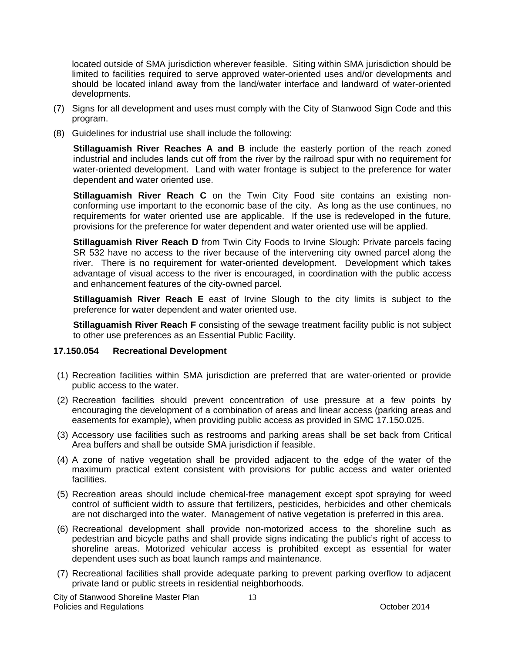located outside of SMA jurisdiction wherever feasible. Siting within SMA jurisdiction should be limited to facilities required to serve approved water-oriented uses and/or developments and should be located inland away from the land/water interface and landward of water-oriented developments.

- (7) Signs for all development and uses must comply with the City of Stanwood Sign Code and this program.
- (8) Guidelines for industrial use shall include the following:

**Stillaguamish River Reaches A and B** include the easterly portion of the reach zoned industrial and includes lands cut off from the river by the railroad spur with no requirement for water-oriented development. Land with water frontage is subject to the preference for water dependent and water oriented use.

**Stillaguamish River Reach C** on the Twin City Food site contains an existing nonconforming use important to the economic base of the city. As long as the use continues, no requirements for water oriented use are applicable. If the use is redeveloped in the future, provisions for the preference for water dependent and water oriented use will be applied.

**Stillaguamish River Reach D** from Twin City Foods to Irvine Slough: Private parcels facing SR 532 have no access to the river because of the intervening city owned parcel along the river. There is no requirement for water-oriented development. Development which takes advantage of visual access to the river is encouraged, in coordination with the public access and enhancement features of the city-owned parcel.

**Stillaguamish River Reach E** east of Irvine Slough to the city limits is subject to the preference for water dependent and water oriented use.

**Stillaguamish River Reach F** consisting of the sewage treatment facility public is not subject to other use preferences as an Essential Public Facility.

#### **17.150.054 Recreational Development**

- (1) Recreation facilities within SMA jurisdiction are preferred that are water-oriented or provide public access to the water.
- (2) Recreation facilities should prevent concentration of use pressure at a few points by encouraging the development of a combination of areas and linear access (parking areas and easements for example), when providing public access as provided in SMC 17.150.025.
- (3) Accessory use facilities such as restrooms and parking areas shall be set back from Critical Area buffers and shall be outside SMA jurisdiction if feasible.
- (4) A zone of native vegetation shall be provided adjacent to the edge of the water of the maximum practical extent consistent with provisions for public access and water oriented facilities.
- (5) Recreation areas should include chemical-free management except spot spraying for weed control of sufficient width to assure that fertilizers, pesticides, herbicides and other chemicals are not discharged into the water. Management of native vegetation is preferred in this area.
- (6) Recreational development shall provide non-motorized access to the shoreline such as pedestrian and bicycle paths and shall provide signs indicating the public's right of access to shoreline areas. Motorized vehicular access is prohibited except as essential for water dependent uses such as boat launch ramps and maintenance.
- (7) Recreational facilities shall provide adequate parking to prevent parking overflow to adjacent private land or public streets in residential neighborhoods.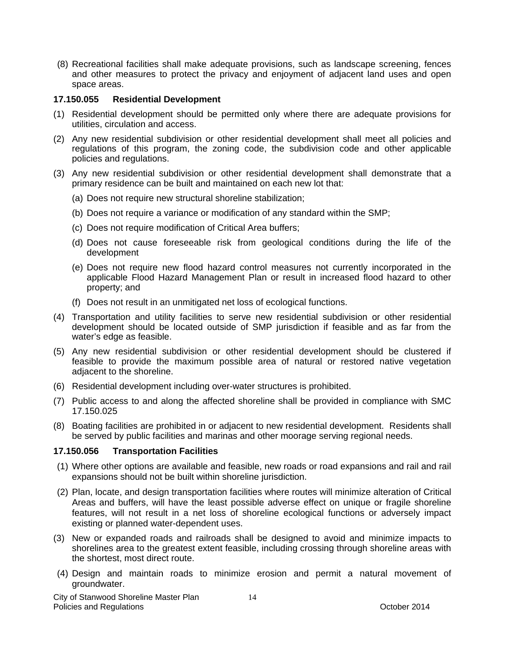(8) Recreational facilities shall make adequate provisions, such as landscape screening, fences and other measures to protect the privacy and enjoyment of adjacent land uses and open space areas.

### **17.150.055 Residential Development**

- (1) Residential development should be permitted only where there are adequate provisions for utilities, circulation and access.
- (2) Any new residential subdivision or other residential development shall meet all policies and regulations of this program, the zoning code, the subdivision code and other applicable policies and regulations.
- (3) Any new residential subdivision or other residential development shall demonstrate that a primary residence can be built and maintained on each new lot that:
	- (a) Does not require new structural shoreline stabilization;
	- (b) Does not require a variance or modification of any standard within the SMP;
	- (c) Does not require modification of Critical Area buffers;
	- (d) Does not cause foreseeable risk from geological conditions during the life of the development
	- (e) Does not require new flood hazard control measures not currently incorporated in the applicable Flood Hazard Management Plan or result in increased flood hazard to other property; and
	- (f) Does not result in an unmitigated net loss of ecological functions.
- (4) Transportation and utility facilities to serve new residential subdivision or other residential development should be located outside of SMP jurisdiction if feasible and as far from the water's edge as feasible.
- (5) Any new residential subdivision or other residential development should be clustered if feasible to provide the maximum possible area of natural or restored native vegetation adjacent to the shoreline.
- (6) Residential development including over-water structures is prohibited.
- (7) Public access to and along the affected shoreline shall be provided in compliance with SMC 17.150.025
- (8) Boating facilities are prohibited in or adjacent to new residential development. Residents shall be served by public facilities and marinas and other moorage serving regional needs.

### **17.150.056 Transportation Facilities**

- (1) Where other options are available and feasible, new roads or road expansions and rail and rail expansions should not be built within shoreline jurisdiction.
- (2) Plan, locate, and design transportation facilities where routes will minimize alteration of Critical Areas and buffers, will have the least possible adverse effect on unique or fragile shoreline features, will not result in a net loss of shoreline ecological functions or adversely impact existing or planned water-dependent uses.
- (3) New or expanded roads and railroads shall be designed to avoid and minimize impacts to shorelines area to the greatest extent feasible, including crossing through shoreline areas with the shortest, most direct route.
- (4) Design and maintain roads to minimize erosion and permit a natural movement of groundwater.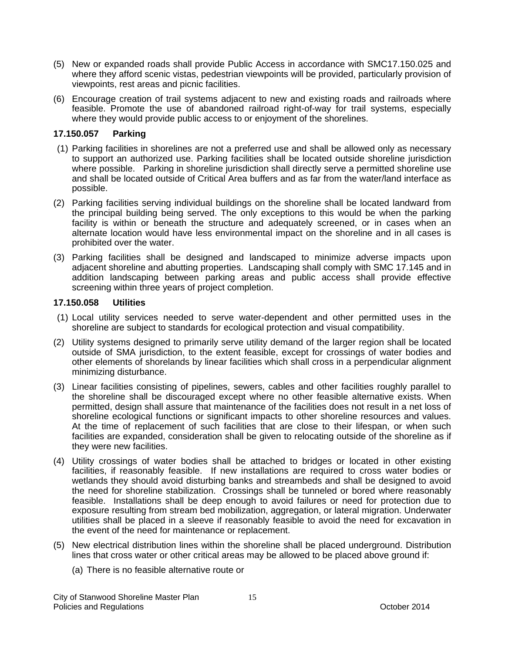- (5) New or expanded roads shall provide Public Access in accordance with SMC17.150.025 and where they afford scenic vistas, pedestrian viewpoints will be provided, particularly provision of viewpoints, rest areas and picnic facilities.
- (6) Encourage creation of trail systems adjacent to new and existing roads and railroads where feasible. Promote the use of abandoned railroad right-of-way for trail systems, especially where they would provide public access to or enjoyment of the shorelines.

### **17.150.057 Parking**

- (1) Parking facilities in shorelines are not a preferred use and shall be allowed only as necessary to support an authorized use. Parking facilities shall be located outside shoreline jurisdiction where possible. Parking in shoreline jurisdiction shall directly serve a permitted shoreline use and shall be located outside of Critical Area buffers and as far from the water/land interface as possible.
- (2) Parking facilities serving individual buildings on the shoreline shall be located landward from the principal building being served. The only exceptions to this would be when the parking facility is within or beneath the structure and adequately screened, or in cases when an alternate location would have less environmental impact on the shoreline and in all cases is prohibited over the water.
- (3) Parking facilities shall be designed and landscaped to minimize adverse impacts upon adjacent shoreline and abutting properties. Landscaping shall comply with SMC 17.145 and in addition landscaping between parking areas and public access shall provide effective screening within three years of project completion.

### **17.150.058 Utilities**

- (1) Local utility services needed to serve water-dependent and other permitted uses in the shoreline are subject to standards for ecological protection and visual compatibility.
- (2) Utility systems designed to primarily serve utility demand of the larger region shall be located outside of SMA jurisdiction, to the extent feasible, except for crossings of water bodies and other elements of shorelands by linear facilities which shall cross in a perpendicular alignment minimizing disturbance.
- (3) Linear facilities consisting of pipelines, sewers, cables and other facilities roughly parallel to the shoreline shall be discouraged except where no other feasible alternative exists. When permitted, design shall assure that maintenance of the facilities does not result in a net loss of shoreline ecological functions or significant impacts to other shoreline resources and values. At the time of replacement of such facilities that are close to their lifespan, or when such facilities are expanded, consideration shall be given to relocating outside of the shoreline as if they were new facilities.
- (4) Utility crossings of water bodies shall be attached to bridges or located in other existing facilities, if reasonably feasible. If new installations are required to cross water bodies or wetlands they should avoid disturbing banks and streambeds and shall be designed to avoid the need for shoreline stabilization. Crossings shall be tunneled or bored where reasonably feasible. Installations shall be deep enough to avoid failures or need for protection due to exposure resulting from stream bed mobilization, aggregation, or lateral migration. Underwater utilities shall be placed in a sleeve if reasonably feasible to avoid the need for excavation in the event of the need for maintenance or replacement.
- (5) New electrical distribution lines within the shoreline shall be placed underground. Distribution lines that cross water or other critical areas may be allowed to be placed above ground if:
	- (a) There is no feasible alternative route or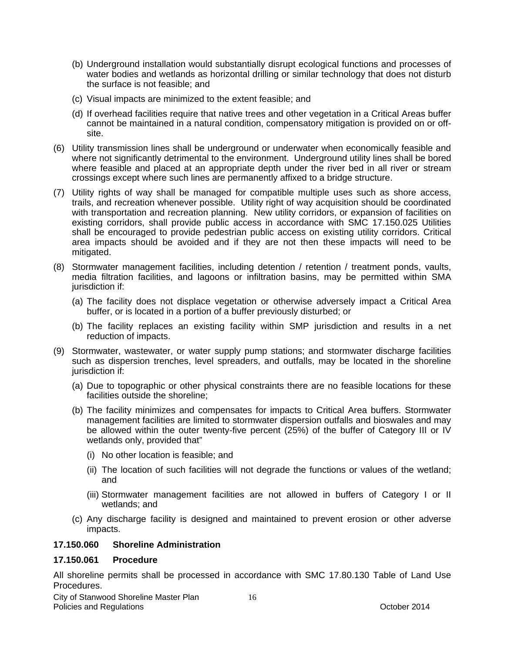- (b) Underground installation would substantially disrupt ecological functions and processes of water bodies and wetlands as horizontal drilling or similar technology that does not disturb the surface is not feasible; and
- (c) Visual impacts are minimized to the extent feasible; and
- (d) If overhead facilities require that native trees and other vegetation in a Critical Areas buffer cannot be maintained in a natural condition, compensatory mitigation is provided on or offsite.
- (6) Utility transmission lines shall be underground or underwater when economically feasible and where not significantly detrimental to the environment. Underground utility lines shall be bored where feasible and placed at an appropriate depth under the river bed in all river or stream crossings except where such lines are permanently affixed to a bridge structure.
- (7) Utility rights of way shall be managed for compatible multiple uses such as shore access, trails, and recreation whenever possible. Utility right of way acquisition should be coordinated with transportation and recreation planning. New utility corridors, or expansion of facilities on existing corridors, shall provide public access in accordance with SMC 17.150.025 Utilities shall be encouraged to provide pedestrian public access on existing utility corridors. Critical area impacts should be avoided and if they are not then these impacts will need to be mitigated.
- (8) Stormwater management facilities, including detention / retention / treatment ponds, vaults, media filtration facilities, and lagoons or infiltration basins, may be permitted within SMA jurisdiction if:
	- (a) The facility does not displace vegetation or otherwise adversely impact a Critical Area buffer, or is located in a portion of a buffer previously disturbed; or
	- (b) The facility replaces an existing facility within SMP jurisdiction and results in a net reduction of impacts.
- (9) Stormwater, wastewater, or water supply pump stations; and stormwater discharge facilities such as dispersion trenches, level spreaders, and outfalls, may be located in the shoreline jurisdiction if:
	- (a) Due to topographic or other physical constraints there are no feasible locations for these facilities outside the shoreline;
	- (b) The facility minimizes and compensates for impacts to Critical Area buffers. Stormwater management facilities are limited to stormwater dispersion outfalls and bioswales and may be allowed within the outer twenty-five percent (25%) of the buffer of Category III or IV wetlands only, provided that"
		- (i) No other location is feasible; and
		- (ii) The location of such facilities will not degrade the functions or values of the wetland; and
		- (iii) Stormwater management facilities are not allowed in buffers of Category I or II wetlands; and
	- (c) Any discharge facility is designed and maintained to prevent erosion or other adverse impacts.

### **17.150.060 Shoreline Administration**

### **17.150.061 Procedure**

All shoreline permits shall be processed in accordance with SMC 17.80.130 Table of Land Use Procedures.

City of Stanwood Shoreline Master Plan Policies and Regulations **Provides** and Regulations **Contains a Container and Contains a Contains a Contains a Contains a Contains a Contains a Contains a Contains a Contains a Contains a Contains a Contains a Contains a C**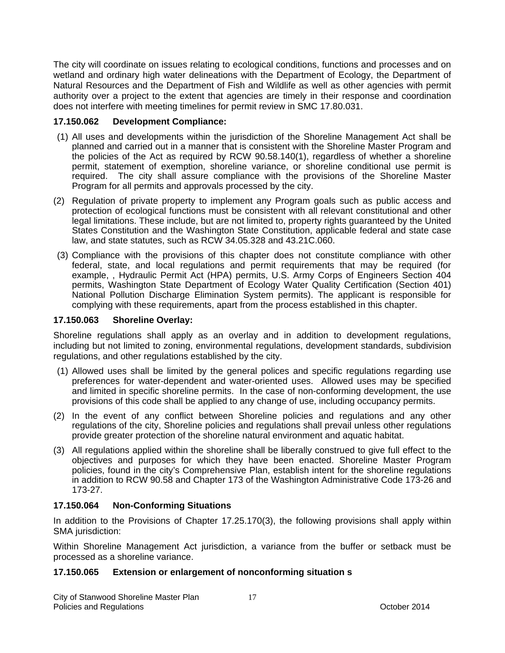The city will coordinate on issues relating to ecological conditions, functions and processes and on wetland and ordinary high water delineations with the Department of Ecology, the Department of Natural Resources and the Department of Fish and Wildlife as well as other agencies with permit authority over a project to the extent that agencies are timely in their response and coordination does not interfere with meeting timelines for permit review in SMC 17.80.031.

### **17.150.062 Development Compliance:**

- (1) All uses and developments within the jurisdiction of the Shoreline Management Act shall be planned and carried out in a manner that is consistent with the Shoreline Master Program and the policies of the Act as required by RCW 90.58.140(1), regardless of whether a shoreline permit, statement of exemption, shoreline variance, or shoreline conditional use permit is required. The city shall assure compliance with the provisions of the Shoreline Master Program for all permits and approvals processed by the city.
- (2) Regulation of private property to implement any Program goals such as public access and protection of ecological functions must be consistent with all relevant constitutional and other legal limitations. These include, but are not limited to, property rights guaranteed by the United States Constitution and the Washington State Constitution, applicable federal and state case law, and state statutes, such as RCW 34.05.328 and 43.21C.060.
- (3) Compliance with the provisions of this chapter does not constitute compliance with other federal, state, and local regulations and permit requirements that may be required (for example, , Hydraulic Permit Act (HPA) permits, U.S. Army Corps of Engineers Section 404 permits, Washington State Department of Ecology Water Quality Certification (Section 401) National Pollution Discharge Elimination System permits). The applicant is responsible for complying with these requirements, apart from the process established in this chapter.

### **17.150.063 Shoreline Overlay:**

Shoreline regulations shall apply as an overlay and in addition to development regulations, including but not limited to zoning, environmental regulations, development standards, subdivision regulations, and other regulations established by the city.

- (1) Allowed uses shall be limited by the general polices and specific regulations regarding use preferences for water-dependent and water-oriented uses. Allowed uses may be specified and limited in specific shoreline permits. In the case of non-conforming development, the use provisions of this code shall be applied to any change of use, including occupancy permits.
- (2) In the event of any conflict between Shoreline policies and regulations and any other regulations of the city, Shoreline policies and regulations shall prevail unless other regulations provide greater protection of the shoreline natural environment and aquatic habitat.
- (3) All regulations applied within the shoreline shall be liberally construed to give full effect to the objectives and purposes for which they have been enacted. Shoreline Master Program policies, found in the city's Comprehensive Plan, establish intent for the shoreline regulations in addition to RCW 90.58 and Chapter 173 of the Washington Administrative Code 173-26 and 173-27.

### **17.150.064 Non-Conforming Situations**

In addition to the Provisions of Chapter 17.25.170(3), the following provisions shall apply within SMA jurisdiction:

Within Shoreline Management Act jurisdiction, a variance from the buffer or setback must be processed as a shoreline variance.

### **17.150.065 Extension or enlargement of nonconforming situation s**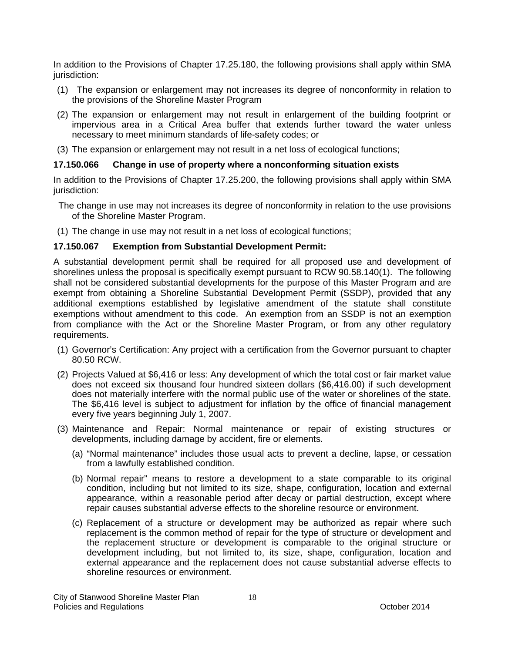In addition to the Provisions of Chapter 17.25.180, the following provisions shall apply within SMA jurisdiction:

- (1) The expansion or enlargement may not increases its degree of nonconformity in relation to the provisions of the Shoreline Master Program
- (2) The expansion or enlargement may not result in enlargement of the building footprint or impervious area in a Critical Area buffer that extends further toward the water unless necessary to meet minimum standards of life-safety codes; or
- (3) The expansion or enlargement may not result in a net loss of ecological functions;

### **17.150.066 Change in use of property where a nonconforming situation exists**

In addition to the Provisions of Chapter 17.25.200, the following provisions shall apply within SMA jurisdiction:

- The change in use may not increases its degree of nonconformity in relation to the use provisions of the Shoreline Master Program.
- (1) The change in use may not result in a net loss of ecological functions;

### **17.150.067 Exemption from Substantial Development Permit:**

A substantial development permit shall be required for all proposed use and development of shorelines unless the proposal is specifically exempt pursuant to RCW 90.58.140(1). The following shall not be considered substantial developments for the purpose of this Master Program and are exempt from obtaining a Shoreline Substantial Development Permit (SSDP), provided that any additional exemptions established by legislative amendment of the statute shall constitute exemptions without amendment to this code. An exemption from an SSDP is not an exemption from compliance with the Act or the Shoreline Master Program, or from any other regulatory requirements.

- (1) Governor's Certification: Any project with a certification from the Governor pursuant to chapter 80.50 RCW.
- (2) Projects Valued at \$6,416 or less: Any development of which the total cost or fair market value does not exceed six thousand four hundred sixteen dollars (\$6,416.00) if such development does not materially interfere with the normal public use of the water or shorelines of the state. The \$6,416 level is subject to adjustment for inflation by the office of financial management every five years beginning July 1, 2007.
- (3) Maintenance and Repair: Normal maintenance or repair of existing structures or developments, including damage by accident, fire or elements.
	- (a) "Normal maintenance" includes those usual acts to prevent a decline, lapse, or cessation from a lawfully established condition.
	- (b) Normal repair" means to restore a development to a state comparable to its original condition, including but not limited to its size, shape, configuration, location and external appearance, within a reasonable period after decay or partial destruction, except where repair causes substantial adverse effects to the shoreline resource or environment.
	- (c) Replacement of a structure or development may be authorized as repair where such replacement is the common method of repair for the type of structure or development and the replacement structure or development is comparable to the original structure or development including, but not limited to, its size, shape, configuration, location and external appearance and the replacement does not cause substantial adverse effects to shoreline resources or environment.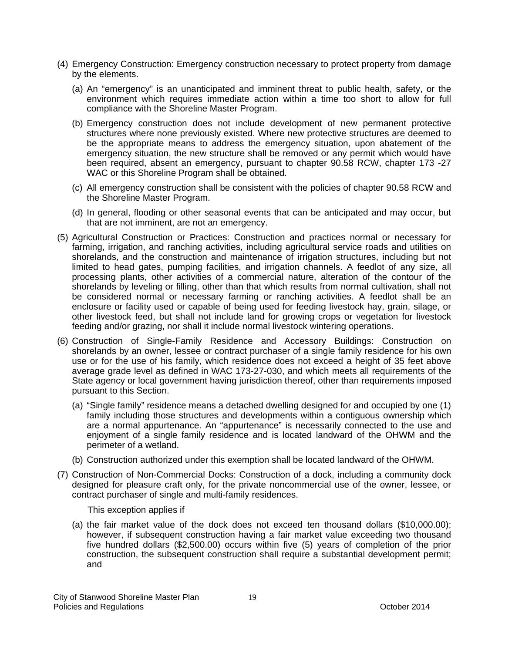- (4) Emergency Construction: Emergency construction necessary to protect property from damage by the elements.
	- (a) An "emergency" is an unanticipated and imminent threat to public health, safety, or the environment which requires immediate action within a time too short to allow for full compliance with the Shoreline Master Program.
	- (b) Emergency construction does not include development of new permanent protective structures where none previously existed. Where new protective structures are deemed to be the appropriate means to address the emergency situation, upon abatement of the emergency situation, the new structure shall be removed or any permit which would have been required, absent an emergency, pursuant to chapter 90.58 RCW, chapter 173 -27 WAC or this Shoreline Program shall be obtained.
	- (c) All emergency construction shall be consistent with the policies of chapter 90.58 RCW and the Shoreline Master Program.
	- (d) In general, flooding or other seasonal events that can be anticipated and may occur, but that are not imminent, are not an emergency.
- (5) Agricultural Construction or Practices: Construction and practices normal or necessary for farming, irrigation, and ranching activities, including agricultural service roads and utilities on shorelands, and the construction and maintenance of irrigation structures, including but not limited to head gates, pumping facilities, and irrigation channels. A feedlot of any size, all processing plants, other activities of a commercial nature, alteration of the contour of the shorelands by leveling or filling, other than that which results from normal cultivation, shall not be considered normal or necessary farming or ranching activities. A feedlot shall be an enclosure or facility used or capable of being used for feeding livestock hay, grain, silage, or other livestock feed, but shall not include land for growing crops or vegetation for livestock feeding and/or grazing, nor shall it include normal livestock wintering operations.
- (6) Construction of Single-Family Residence and Accessory Buildings: Construction on shorelands by an owner, lessee or contract purchaser of a single family residence for his own use or for the use of his family, which residence does not exceed a height of 35 feet above average grade level as defined in WAC 173-27-030, and which meets all requirements of the State agency or local government having jurisdiction thereof, other than requirements imposed pursuant to this Section.
	- (a) "Single family" residence means a detached dwelling designed for and occupied by one (1) family including those structures and developments within a contiguous ownership which are a normal appurtenance. An "appurtenance" is necessarily connected to the use and enjoyment of a single family residence and is located landward of the OHWM and the perimeter of a wetland.
	- (b) Construction authorized under this exemption shall be located landward of the OHWM.
- (7) Construction of Non-Commercial Docks: Construction of a dock, including a community dock designed for pleasure craft only, for the private noncommercial use of the owner, lessee, or contract purchaser of single and multi-family residences.

This exception applies if

(a) the fair market value of the dock does not exceed ten thousand dollars (\$10,000.00); however, if subsequent construction having a fair market value exceeding two thousand five hundred dollars (\$2,500.00) occurs within five (5) years of completion of the prior construction, the subsequent construction shall require a substantial development permit; and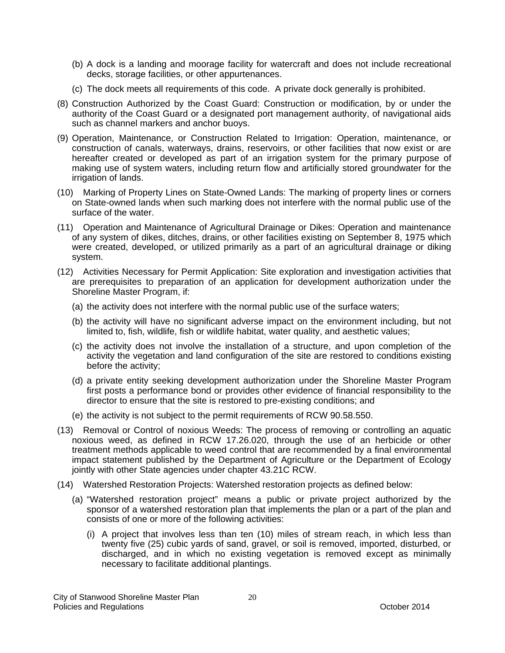- (b) A dock is a landing and moorage facility for watercraft and does not include recreational decks, storage facilities, or other appurtenances.
- (c) The dock meets all requirements of this code. A private dock generally is prohibited.
- (8) Construction Authorized by the Coast Guard: Construction or modification, by or under the authority of the Coast Guard or a designated port management authority, of navigational aids such as channel markers and anchor buoys.
- (9) Operation, Maintenance, or Construction Related to Irrigation: Operation, maintenance, or construction of canals, waterways, drains, reservoirs, or other facilities that now exist or are hereafter created or developed as part of an irrigation system for the primary purpose of making use of system waters, including return flow and artificially stored groundwater for the irrigation of lands.
- (10) Marking of Property Lines on State-Owned Lands: The marking of property lines or corners on State-owned lands when such marking does not interfere with the normal public use of the surface of the water.
- (11) Operation and Maintenance of Agricultural Drainage or Dikes: Operation and maintenance of any system of dikes, ditches, drains, or other facilities existing on September 8, 1975 which were created, developed, or utilized primarily as a part of an agricultural drainage or diking system.
- (12) Activities Necessary for Permit Application: Site exploration and investigation activities that are prerequisites to preparation of an application for development authorization under the Shoreline Master Program, if:
	- (a) the activity does not interfere with the normal public use of the surface waters;
	- (b) the activity will have no significant adverse impact on the environment including, but not limited to, fish, wildlife, fish or wildlife habitat, water quality, and aesthetic values;
	- (c) the activity does not involve the installation of a structure, and upon completion of the activity the vegetation and land configuration of the site are restored to conditions existing before the activity;
	- (d) a private entity seeking development authorization under the Shoreline Master Program first posts a performance bond or provides other evidence of financial responsibility to the director to ensure that the site is restored to pre-existing conditions; and
	- (e) the activity is not subject to the permit requirements of RCW 90.58.550.
- (13) Removal or Control of noxious Weeds: The process of removing or controlling an aquatic noxious weed, as defined in RCW 17.26.020, through the use of an herbicide or other treatment methods applicable to weed control that are recommended by a final environmental impact statement published by the Department of Agriculture or the Department of Ecology jointly with other State agencies under chapter 43.21C RCW.
- (14) Watershed Restoration Projects: Watershed restoration projects as defined below:
	- (a) "Watershed restoration project" means a public or private project authorized by the sponsor of a watershed restoration plan that implements the plan or a part of the plan and consists of one or more of the following activities:
		- (i) A project that involves less than ten (10) miles of stream reach, in which less than twenty five (25) cubic yards of sand, gravel, or soil is removed, imported, disturbed, or discharged, and in which no existing vegetation is removed except as minimally necessary to facilitate additional plantings.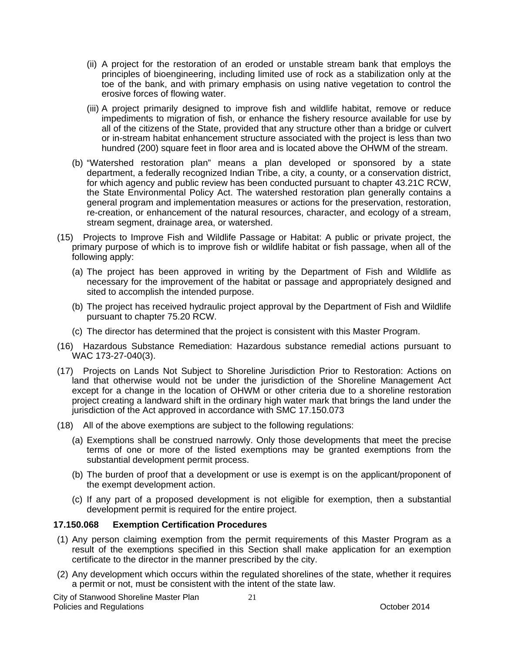- (ii) A project for the restoration of an eroded or unstable stream bank that employs the principles of bioengineering, including limited use of rock as a stabilization only at the toe of the bank, and with primary emphasis on using native vegetation to control the erosive forces of flowing water.
- (iii) A project primarily designed to improve fish and wildlife habitat, remove or reduce impediments to migration of fish, or enhance the fishery resource available for use by all of the citizens of the State, provided that any structure other than a bridge or culvert or in-stream habitat enhancement structure associated with the project is less than two hundred (200) square feet in floor area and is located above the OHWM of the stream.
- (b) "Watershed restoration plan" means a plan developed or sponsored by a state department, a federally recognized Indian Tribe, a city, a county, or a conservation district, for which agency and public review has been conducted pursuant to chapter 43.21C RCW, the State Environmental Policy Act. The watershed restoration plan generally contains a general program and implementation measures or actions for the preservation, restoration, re-creation, or enhancement of the natural resources, character, and ecology of a stream, stream segment, drainage area, or watershed.
- (15) Projects to Improve Fish and Wildlife Passage or Habitat: A public or private project, the primary purpose of which is to improve fish or wildlife habitat or fish passage, when all of the following apply:
	- (a) The project has been approved in writing by the Department of Fish and Wildlife as necessary for the improvement of the habitat or passage and appropriately designed and sited to accomplish the intended purpose.
	- (b) The project has received hydraulic project approval by the Department of Fish and Wildlife pursuant to chapter 75.20 RCW.
	- (c) The director has determined that the project is consistent with this Master Program.
- (16) Hazardous Substance Remediation: Hazardous substance remedial actions pursuant to WAC 173-27-040(3).
- (17) Projects on Lands Not Subject to Shoreline Jurisdiction Prior to Restoration: Actions on land that otherwise would not be under the jurisdiction of the Shoreline Management Act except for a change in the location of OHWM or other criteria due to a shoreline restoration project creating a landward shift in the ordinary high water mark that brings the land under the jurisdiction of the Act approved in accordance with SMC 17.150.073
- (18) All of the above exemptions are subject to the following regulations:
	- (a) Exemptions shall be construed narrowly. Only those developments that meet the precise terms of one or more of the listed exemptions may be granted exemptions from the substantial development permit process.
	- (b) The burden of proof that a development or use is exempt is on the applicant/proponent of the exempt development action.
	- (c) If any part of a proposed development is not eligible for exemption, then a substantial development permit is required for the entire project.

### **17.150.068 Exemption Certification Procedures**

- (1) Any person claiming exemption from the permit requirements of this Master Program as a result of the exemptions specified in this Section shall make application for an exemption certificate to the director in the manner prescribed by the city.
- (2) Any development which occurs within the regulated shorelines of the state, whether it requires a permit or not, must be consistent with the intent of the state law.

City of Stanwood Shoreline Master Plan Policies and Regulations **Provides** and Regulations **Containers Provides** and **Provident Provides COLOR**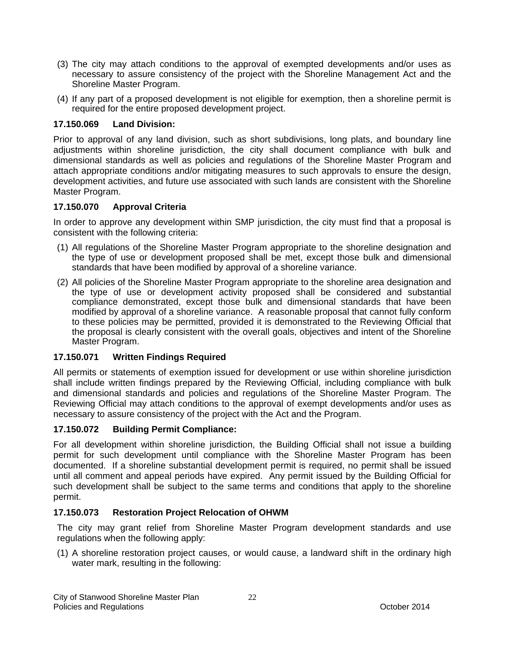- (3) The city may attach conditions to the approval of exempted developments and/or uses as necessary to assure consistency of the project with the Shoreline Management Act and the Shoreline Master Program.
- (4) If any part of a proposed development is not eligible for exemption, then a shoreline permit is required for the entire proposed development project.

### **17.150.069 Land Division:**

Prior to approval of any land division, such as short subdivisions, long plats, and boundary line adjustments within shoreline jurisdiction, the city shall document compliance with bulk and dimensional standards as well as policies and regulations of the Shoreline Master Program and attach appropriate conditions and/or mitigating measures to such approvals to ensure the design, development activities, and future use associated with such lands are consistent with the Shoreline Master Program.

### **17.150.070 Approval Criteria**

In order to approve any development within SMP jurisdiction, the city must find that a proposal is consistent with the following criteria:

- (1) All regulations of the Shoreline Master Program appropriate to the shoreline designation and the type of use or development proposed shall be met, except those bulk and dimensional standards that have been modified by approval of a shoreline variance.
- (2) All policies of the Shoreline Master Program appropriate to the shoreline area designation and the type of use or development activity proposed shall be considered and substantial compliance demonstrated, except those bulk and dimensional standards that have been modified by approval of a shoreline variance. A reasonable proposal that cannot fully conform to these policies may be permitted, provided it is demonstrated to the Reviewing Official that the proposal is clearly consistent with the overall goals, objectives and intent of the Shoreline Master Program.

### **17.150.071 Written Findings Required**

All permits or statements of exemption issued for development or use within shoreline jurisdiction shall include written findings prepared by the Reviewing Official, including compliance with bulk and dimensional standards and policies and regulations of the Shoreline Master Program. The Reviewing Official may attach conditions to the approval of exempt developments and/or uses as necessary to assure consistency of the project with the Act and the Program.

### **17.150.072 Building Permit Compliance:**

For all development within shoreline jurisdiction, the Building Official shall not issue a building permit for such development until compliance with the Shoreline Master Program has been documented. If a shoreline substantial development permit is required, no permit shall be issued until all comment and appeal periods have expired. Any permit issued by the Building Official for such development shall be subject to the same terms and conditions that apply to the shoreline permit.

### **17.150.073 Restoration Project Relocation of OHWM**

The city may grant relief from Shoreline Master Program development standards and use regulations when the following apply:

(1) A shoreline restoration project causes, or would cause, a landward shift in the ordinary high water mark, resulting in the following: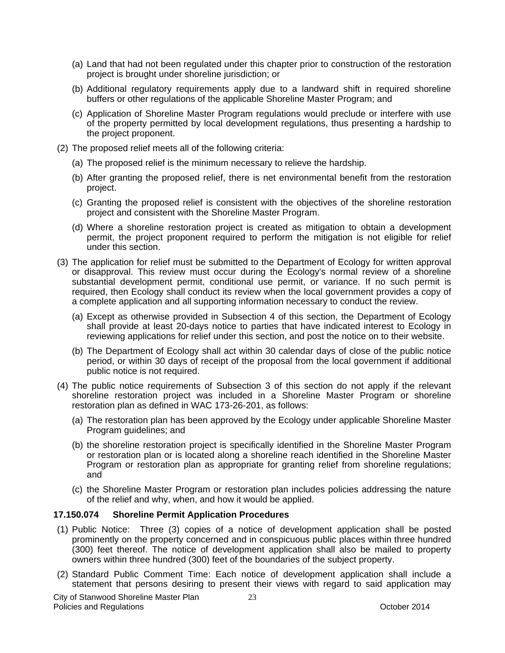- (a) Land that had not been regulated under this chapter prior to construction of the restoration project is brought under shoreline jurisdiction; or
- (b) Additional regulatory requirements apply due to a landward shift in required shoreline buffers or other regulations of the applicable Shoreline Master Program; and
- (c) Application of Shoreline Master Program regulations would preclude or interfere with use of the property permitted by local development regulations, thus presenting a hardship to the project proponent.
- (2) The proposed relief meets all of the following criteria:
	- (a) The proposed relief is the minimum necessary to relieve the hardship.
	- (b) After granting the proposed relief, there is net environmental benefit from the restoration project.
	- (c) Granting the proposed relief is consistent with the objectives of the shoreline restoration project and consistent with the Shoreline Master Program.
	- (d) Where a shoreline restoration project is created as mitigation to obtain a development permit, the project proponent required to perform the mitigation is not eligible for relief under this section.
- (3) The application for relief must be submitted to the Department of Ecology for written approval or disapproval. This review must occur during the Ecology's normal review of a shoreline substantial development permit, conditional use permit, or variance. If no such permit is required, then Ecology shall conduct its review when the local government provides a copy of a complete application and all supporting information necessary to conduct the review.
	- (a) Except as otherwise provided in Subsection 4 of this section, the Department of Ecology shall provide at least 20-days notice to parties that have indicated interest to Ecology in reviewing applications for relief under this section, and post the notice on to their website.
	- (b) The Department of Ecology shall act within 30 calendar days of close of the public notice period, or within 30 days of receipt of the proposal from the local government if additional public notice is not required.
- (4) The public notice requirements of Subsection 3 of this section do not apply if the relevant shoreline restoration project was included in a Shoreline Master Program or shoreline restoration plan as defined in WAC 173-26-201, as follows:
	- (a) The restoration plan has been approved by the Ecology under applicable Shoreline Master Program guidelines; and
	- (b) the shoreline restoration project is specifically identified in the Shoreline Master Program or restoration plan or is located along a shoreline reach identified in the Shoreline Master Program or restoration plan as appropriate for granting relief from shoreline regulations; and
	- (c) the Shoreline Master Program or restoration plan includes policies addressing the nature of the relief and why, when, and how it would be applied.

### **17.150.074 Shoreline Permit Application Procedures**

- (1) Public Notice: Three (3) copies of a notice of development application shall be posted prominently on the property concerned and in conspicuous public places within three hundred (300) feet thereof. The notice of development application shall also be mailed to property owners within three hundred (300) feet of the boundaries of the subject property.
- (2) Standard Public Comment Time: Each notice of development application shall include a statement that persons desiring to present their views with regard to said application may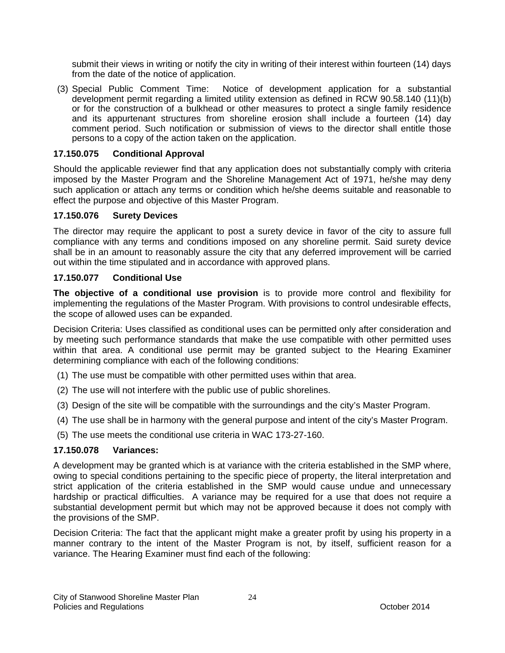submit their views in writing or notify the city in writing of their interest within fourteen (14) days from the date of the notice of application.

(3) Special Public Comment Time: Notice of development application for a substantial development permit regarding a limited utility extension as defined in RCW 90.58.140 (11)(b) or for the construction of a bulkhead or other measures to protect a single family residence and its appurtenant structures from shoreline erosion shall include a fourteen (14) day comment period. Such notification or submission of views to the director shall entitle those persons to a copy of the action taken on the application.

### **17.150.075 Conditional Approval**

Should the applicable reviewer find that any application does not substantially comply with criteria imposed by the Master Program and the Shoreline Management Act of 1971, he/she may deny such application or attach any terms or condition which he/she deems suitable and reasonable to effect the purpose and objective of this Master Program.

### **17.150.076 Surety Devices**

The director may require the applicant to post a surety device in favor of the city to assure full compliance with any terms and conditions imposed on any shoreline permit. Said surety device shall be in an amount to reasonably assure the city that any deferred improvement will be carried out within the time stipulated and in accordance with approved plans.

### **17.150.077 Conditional Use**

**The objective of a conditional use provision** is to provide more control and flexibility for implementing the regulations of the Master Program. With provisions to control undesirable effects, the scope of allowed uses can be expanded.

Decision Criteria: Uses classified as conditional uses can be permitted only after consideration and by meeting such performance standards that make the use compatible with other permitted uses within that area. A conditional use permit may be granted subject to the Hearing Examiner determining compliance with each of the following conditions:

- (1) The use must be compatible with other permitted uses within that area.
- (2) The use will not interfere with the public use of public shorelines.
- (3) Design of the site will be compatible with the surroundings and the city's Master Program.
- (4) The use shall be in harmony with the general purpose and intent of the city's Master Program.
- (5) The use meets the conditional use criteria in WAC 173-27-160.

### **17.150.078 Variances:**

A development may be granted which is at variance with the criteria established in the SMP where, owing to special conditions pertaining to the specific piece of property, the literal interpretation and strict application of the criteria established in the SMP would cause undue and unnecessary hardship or practical difficulties. A variance may be required for a use that does not require a substantial development permit but which may not be approved because it does not comply with the provisions of the SMP.

Decision Criteria: The fact that the applicant might make a greater profit by using his property in a manner contrary to the intent of the Master Program is not, by itself, sufficient reason for a variance. The Hearing Examiner must find each of the following: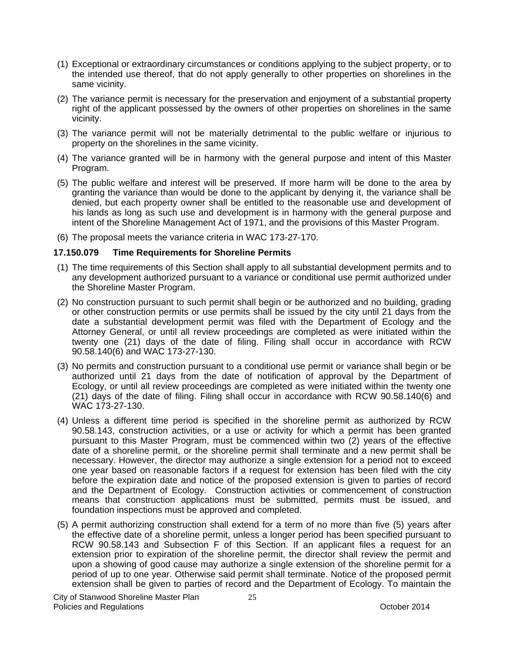- (1) Exceptional or extraordinary circumstances or conditions applying to the subject property, or to the intended use thereof, that do not apply generally to other properties on shorelines in the same vicinity.
- (2) The variance permit is necessary for the preservation and enjoyment of a substantial property right of the applicant possessed by the owners of other properties on shorelines in the same vicinity.
- (3) The variance permit will not be materially detrimental to the public welfare or injurious to property on the shorelines in the same vicinity.
- (4) The variance granted will be in harmony with the general purpose and intent of this Master Program.
- (5) The public welfare and interest will be preserved. If more harm will be done to the area by granting the variance than would be done to the applicant by denying it, the variance shall be denied, but each property owner shall be entitled to the reasonable use and development of his lands as long as such use and development is in harmony with the general purpose and intent of the Shoreline Management Act of 1971, and the provisions of this Master Program.
- (6) The proposal meets the variance criteria in WAC 173-27-170.

### **17.150.079 Time Requirements for Shoreline Permits**

- (1) The time requirements of this Section shall apply to all substantial development permits and to any development authorized pursuant to a variance or conditional use permit authorized under the Shoreline Master Program.
- (2) No construction pursuant to such permit shall begin or be authorized and no building, grading or other construction permits or use permits shall be issued by the city until 21 days from the date a substantial development permit was filed with the Department of Ecology and the Attorney General, or until all review proceedings are completed as were initiated within the twenty one (21) days of the date of filing. Filing shall occur in accordance with RCW 90.58.140(6) and WAC 173-27-130.
- (3) No permits and construction pursuant to a conditional use permit or variance shall begin or be authorized until 21 days from the date of notification of approval by the Department of Ecology, or until all review proceedings are completed as were initiated within the twenty one (21) days of the date of filing. Filing shall occur in accordance with RCW 90.58.140(6) and WAC 173-27-130.
- (4) Unless a different time period is specified in the shoreline permit as authorized by RCW 90.58.143, construction activities, or a use or activity for which a permit has been granted pursuant to this Master Program, must be commenced within two (2) years of the effective date of a shoreline permit, or the shoreline permit shall terminate and a new permit shall be necessary. However, the director may authorize a single extension for a period not to exceed one year based on reasonable factors if a request for extension has been filed with the city before the expiration date and notice of the proposed extension is given to parties of record and the Department of Ecology. Construction activities or commencement of construction means that construction applications must be submitted, permits must be issued, and foundation inspections must be approved and completed.
- (5) A permit authorizing construction shall extend for a term of no more than five (5) years after the effective date of a shoreline permit, unless a longer period has been specified pursuant to RCW 90.58.143 and Subsection F of this Section. If an applicant files a request for an extension prior to expiration of the shoreline permit, the director shall review the permit and upon a showing of good cause may authorize a single extension of the shoreline permit for a period of up to one year. Otherwise said permit shall terminate. Notice of the proposed permit extension shall be given to parties of record and the Department of Ecology. To maintain the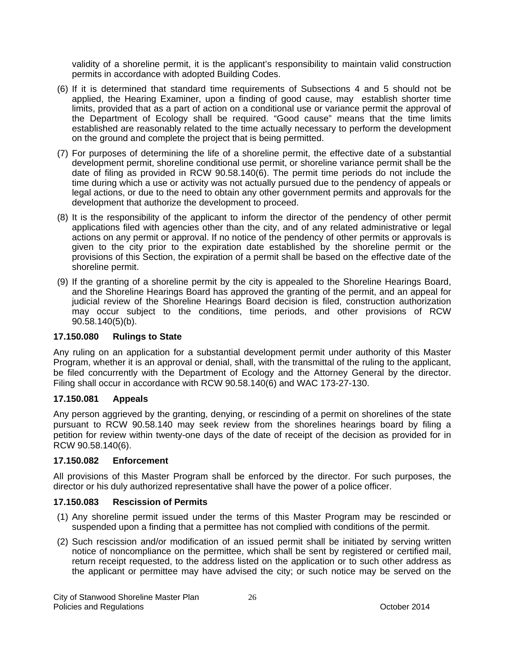validity of a shoreline permit, it is the applicant's responsibility to maintain valid construction permits in accordance with adopted Building Codes.

- (6) If it is determined that standard time requirements of Subsections 4 and 5 should not be applied, the Hearing Examiner, upon a finding of good cause, may establish shorter time limits, provided that as a part of action on a conditional use or variance permit the approval of the Department of Ecology shall be required. "Good cause" means that the time limits established are reasonably related to the time actually necessary to perform the development on the ground and complete the project that is being permitted.
- (7) For purposes of determining the life of a shoreline permit, the effective date of a substantial development permit, shoreline conditional use permit, or shoreline variance permit shall be the date of filing as provided in RCW 90.58.140(6). The permit time periods do not include the time during which a use or activity was not actually pursued due to the pendency of appeals or legal actions, or due to the need to obtain any other government permits and approvals for the development that authorize the development to proceed.
- (8) It is the responsibility of the applicant to inform the director of the pendency of other permit applications filed with agencies other than the city, and of any related administrative or legal actions on any permit or approval. If no notice of the pendency of other permits or approvals is given to the city prior to the expiration date established by the shoreline permit or the provisions of this Section, the expiration of a permit shall be based on the effective date of the shoreline permit.
- (9) If the granting of a shoreline permit by the city is appealed to the Shoreline Hearings Board, and the Shoreline Hearings Board has approved the granting of the permit, and an appeal for judicial review of the Shoreline Hearings Board decision is filed, construction authorization may occur subject to the conditions, time periods, and other provisions of RCW 90.58.140(5)(b).

### **17.150.080 Rulings to State**

Any ruling on an application for a substantial development permit under authority of this Master Program, whether it is an approval or denial, shall, with the transmittal of the ruling to the applicant, be filed concurrently with the Department of Ecology and the Attorney General by the director. Filing shall occur in accordance with RCW 90.58.140(6) and WAC 173-27-130.

### **17.150.081 Appeals**

Any person aggrieved by the granting, denying, or rescinding of a permit on shorelines of the state pursuant to RCW 90.58.140 may seek review from the shorelines hearings board by filing a petition for review within twenty-one days of the date of receipt of the decision as provided for in RCW 90.58.140(6).

### **17.150.082 Enforcement**

All provisions of this Master Program shall be enforced by the director. For such purposes, the director or his duly authorized representative shall have the power of a police officer.

#### **17.150.083 Rescission of Permits**

- (1) Any shoreline permit issued under the terms of this Master Program may be rescinded or suspended upon a finding that a permittee has not complied with conditions of the permit.
- (2) Such rescission and/or modification of an issued permit shall be initiated by serving written notice of noncompliance on the permittee, which shall be sent by registered or certified mail, return receipt requested, to the address listed on the application or to such other address as the applicant or permittee may have advised the city; or such notice may be served on the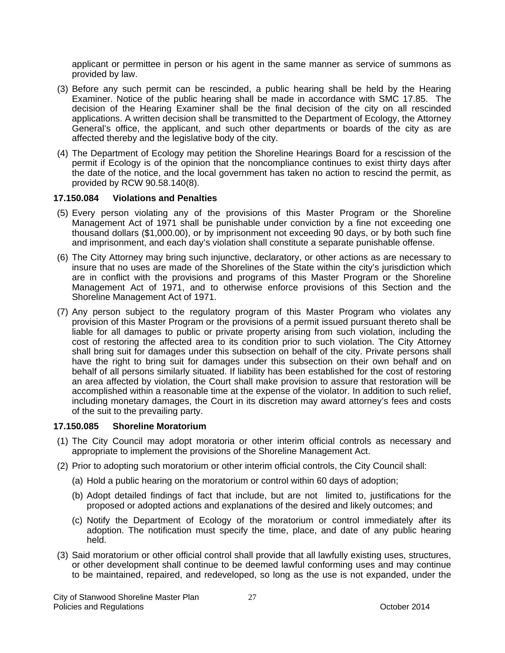applicant or permittee in person or his agent in the same manner as service of summons as provided by law.

- (3) Before any such permit can be rescinded, a public hearing shall be held by the Hearing Examiner. Notice of the public hearing shall be made in accordance with SMC 17.85. The decision of the Hearing Examiner shall be the final decision of the city on all rescinded applications. A written decision shall be transmitted to the Department of Ecology, the Attorney General's office, the applicant, and such other departments or boards of the city as are affected thereby and the legislative body of the city.
- (4) The Department of Ecology may petition the Shoreline Hearings Board for a rescission of the permit if Ecology is of the opinion that the noncompliance continues to exist thirty days after the date of the notice, and the local government has taken no action to rescind the permit, as provided by RCW 90.58.140(8).

### **17.150.084 Violations and Penalties**

- (5) Every person violating any of the provisions of this Master Program or the Shoreline Management Act of 1971 shall be punishable under conviction by a fine not exceeding one thousand dollars (\$1,000.00), or by imprisonment not exceeding 90 days, or by both such fine and imprisonment, and each day's violation shall constitute a separate punishable offense.
- (6) The City Attorney may bring such injunctive, declaratory, or other actions as are necessary to insure that no uses are made of the Shorelines of the State within the city's jurisdiction which are in conflict with the provisions and programs of this Master Program or the Shoreline Management Act of 1971, and to otherwise enforce provisions of this Section and the Shoreline Management Act of 1971.
- (7) Any person subject to the regulatory program of this Master Program who violates any provision of this Master Program or the provisions of a permit issued pursuant thereto shall be liable for all damages to public or private property arising from such violation, including the cost of restoring the affected area to its condition prior to such violation. The City Attorney shall bring suit for damages under this subsection on behalf of the city. Private persons shall have the right to bring suit for damages under this subsection on their own behalf and on behalf of all persons similarly situated. If liability has been established for the cost of restoring an area affected by violation, the Court shall make provision to assure that restoration will be accomplished within a reasonable time at the expense of the violator. In addition to such relief, including monetary damages, the Court in its discretion may award attorney's fees and costs of the suit to the prevailing party.

### **17.150.085 Shoreline Moratorium**

- (1) The City Council may adopt moratoria or other interim official controls as necessary and appropriate to implement the provisions of the Shoreline Management Act.
- (2) Prior to adopting such moratorium or other interim official controls, the City Council shall:
	- (a) Hold a public hearing on the moratorium or control within 60 days of adoption;
	- (b) Adopt detailed findings of fact that include, but are not limited to, justifications for the proposed or adopted actions and explanations of the desired and likely outcomes; and
	- (c) Notify the Department of Ecology of the moratorium or control immediately after its adoption. The notification must specify the time, place, and date of any public hearing held.
- (3) Said moratorium or other official control shall provide that all lawfully existing uses, structures, or other development shall continue to be deemed lawful conforming uses and may continue to be maintained, repaired, and redeveloped, so long as the use is not expanded, under the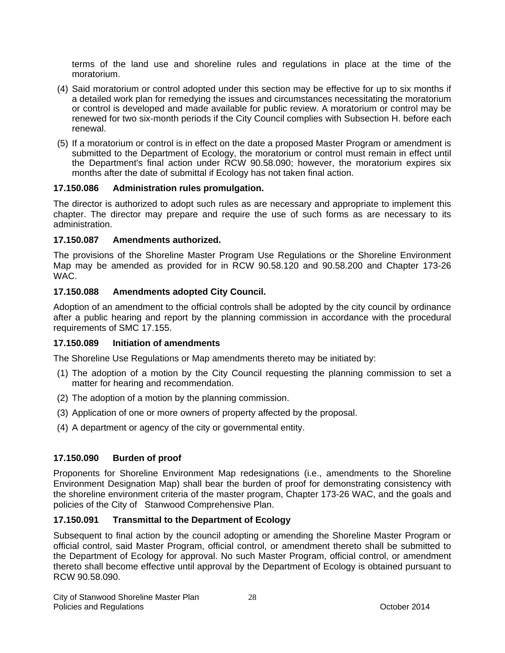terms of the land use and shoreline rules and regulations in place at the time of the moratorium.

- (4) Said moratorium or control adopted under this section may be effective for up to six months if a detailed work plan for remedying the issues and circumstances necessitating the moratorium or control is developed and made available for public review. A moratorium or control may be renewed for two six-month periods if the City Council complies with Subsection H. before each renewal.
- (5) If a moratorium or control is in effect on the date a proposed Master Program or amendment is submitted to the Department of Ecology, the moratorium or control must remain in effect until the Department's final action under RCW 90.58.090; however, the moratorium expires six months after the date of submittal if Ecology has not taken final action.

### **17.150.086 Administration rules promulgation.**

The director is authorized to adopt such rules as are necessary and appropriate to implement this chapter. The director may prepare and require the use of such forms as are necessary to its administration.

### **17.150.087 Amendments authorized.**

The provisions of the Shoreline Master Program Use Regulations or the Shoreline Environment Map may be amended as provided for in RCW 90.58.120 and 90.58.200 and Chapter 173-26 WAC.

### **17.150.088 Amendments adopted City Council.**

Adoption of an amendment to the official controls shall be adopted by the city council by ordinance after a public hearing and report by the planning commission in accordance with the procedural requirements of SMC 17.155.

### **17.150.089 Initiation of amendments**

The Shoreline Use Regulations or Map amendments thereto may be initiated by:

- (1) The adoption of a motion by the City Council requesting the planning commission to set a matter for hearing and recommendation.
- (2) The adoption of a motion by the planning commission.
- (3) Application of one or more owners of property affected by the proposal.
- (4) A department or agency of the city or governmental entity.

### **17.150.090 Burden of proof**

Proponents for Shoreline Environment Map redesignations (i.e., amendments to the Shoreline Environment Designation Map) shall bear the burden of proof for demonstrating consistency with the shoreline environment criteria of the master program, Chapter 173-26 WAC, and the goals and policies of the City of Stanwood Comprehensive Plan.

### **17.150.091 Transmittal to the Department of Ecology**

Subsequent to final action by the council adopting or amending the Shoreline Master Program or official control, said Master Program, official control, or amendment thereto shall be submitted to the Department of Ecology for approval. No such Master Program, official control, or amendment thereto shall become effective until approval by the Department of Ecology is obtained pursuant to RCW 90.58.090.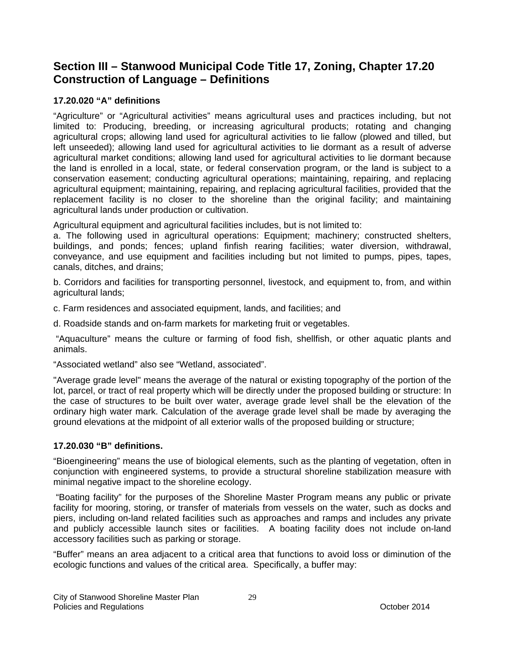# **Section III – Stanwood Municipal Code Title 17, Zoning, Chapter 17.20 Construction of Language – Definitions**

### **17.20.020 "A" definitions**

"Agriculture" or "Agricultural activities" means agricultural uses and practices including, but not limited to: Producing, breeding, or increasing agricultural products; rotating and changing agricultural crops; allowing land used for agricultural activities to lie fallow (plowed and tilled, but left unseeded); allowing land used for agricultural activities to lie dormant as a result of adverse agricultural market conditions; allowing land used for agricultural activities to lie dormant because the land is enrolled in a local, state, or federal conservation program, or the land is subject to a conservation easement; conducting agricultural operations; maintaining, repairing, and replacing agricultural equipment; maintaining, repairing, and replacing agricultural facilities, provided that the replacement facility is no closer to the shoreline than the original facility; and maintaining agricultural lands under production or cultivation.

Agricultural equipment and agricultural facilities includes, but is not limited to:

a. The following used in agricultural operations: Equipment; machinery; constructed shelters, buildings, and ponds; fences; upland finfish rearing facilities; water diversion, withdrawal, conveyance, and use equipment and facilities including but not limited to pumps, pipes, tapes, canals, ditches, and drains;

b. Corridors and facilities for transporting personnel, livestock, and equipment to, from, and within agricultural lands;

c. Farm residences and associated equipment, lands, and facilities; and

d. Roadside stands and on-farm markets for marketing fruit or vegetables.

 "Aquaculture" means the culture or farming of food fish, shellfish, or other aquatic plants and animals.

"Associated wetland" also see "Wetland, associated".

"Average grade level" means the average of the natural or existing topography of the portion of the lot, parcel, or tract of real property which will be directly under the proposed building or structure: In the case of structures to be built over water, average grade level shall be the elevation of the ordinary high water mark. Calculation of the average grade level shall be made by averaging the ground elevations at the midpoint of all exterior walls of the proposed building or structure;

### **17.20.030 "B" definitions.**

"Bioengineering" means the use of biological elements, such as the planting of vegetation, often in conjunction with engineered systems, to provide a structural shoreline stabilization measure with minimal negative impact to the shoreline ecology.

 "Boating facility" for the purposes of the Shoreline Master Program means any public or private facility for mooring, storing, or transfer of materials from vessels on the water, such as docks and piers, including on-land related facilities such as approaches and ramps and includes any private and publicly accessible launch sites or facilities. A boating facility does not include on-land accessory facilities such as parking or storage.

"Buffer" means an area adjacent to a critical area that functions to avoid loss or diminution of the ecologic functions and values of the critical area. Specifically, a buffer may: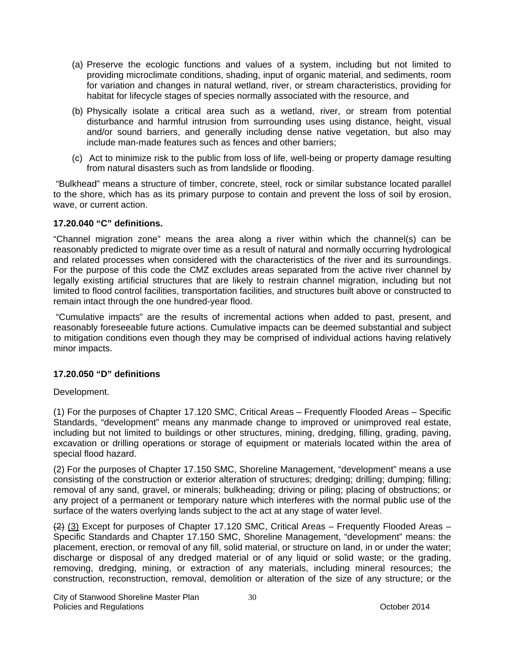- (a) Preserve the ecologic functions and values of a system, including but not limited to providing microclimate conditions, shading, input of organic material, and sediments, room for variation and changes in natural wetland, river, or stream characteristics, providing for habitat for lifecycle stages of species normally associated with the resource, and
- (b) Physically isolate a critical area such as a wetland, river, or stream from potential disturbance and harmful intrusion from surrounding uses using distance, height, visual and/or sound barriers, and generally including dense native vegetation, but also may include man-made features such as fences and other barriers;
- (c) Act to minimize risk to the public from loss of life, well-being or property damage resulting from natural disasters such as from landslide or flooding.

 "Bulkhead" means a structure of timber, concrete, steel, rock or similar substance located parallel to the shore, which has as its primary purpose to contain and prevent the loss of soil by erosion, wave, or current action.

### **17.20.040 "C" definitions.**

"Channel migration zone" means the area along a river within which the channel(s) can be reasonably predicted to migrate over time as a result of natural and normally occurring hydrological and related processes when considered with the characteristics of the river and its surroundings. For the purpose of this code the CMZ excludes areas separated from the active river channel by legally existing artificial structures that are likely to restrain channel migration, including but not limited to flood control facilities, transportation facilities, and structures built above or constructed to remain intact through the one hundred-year flood.

 "Cumulative impacts" are the results of incremental actions when added to past, present, and reasonably foreseeable future actions. Cumulative impacts can be deemed substantial and subject to mitigation conditions even though they may be comprised of individual actions having relatively minor impacts.

### **17.20.050 "D" definitions**

Development.

(1) For the purposes of Chapter 17.120 SMC, Critical Areas – Frequently Flooded Areas – Specific Standards, "development" means any manmade change to improved or unimproved real estate, including but not limited to buildings or other structures, mining, dredging, filling, grading, paving, excavation or drilling operations or storage of equipment or materials located within the area of special flood hazard.

(2) For the purposes of Chapter 17.150 SMC, Shoreline Management, "development" means a use consisting of the construction or exterior alteration of structures; dredging; drilling; dumping; filling; removal of any sand, gravel, or minerals; bulkheading; driving or piling; placing of obstructions; or any project of a permanent or temporary nature which interferes with the normal public use of the surface of the waters overlying lands subject to the act at any stage of water level.

 $(2)$   $(3)$  Except for purposes of Chapter 17.120 SMC, Critical Areas – Frequently Flooded Areas – Specific Standards and Chapter 17.150 SMC, Shoreline Management, "development" means: the placement, erection, or removal of any fill, solid material, or structure on land, in or under the water; discharge or disposal of any dredged material or of any liquid or solid waste; or the grading, removing, dredging, mining, or extraction of any materials, including mineral resources; the construction, reconstruction, removal, demolition or alteration of the size of any structure; or the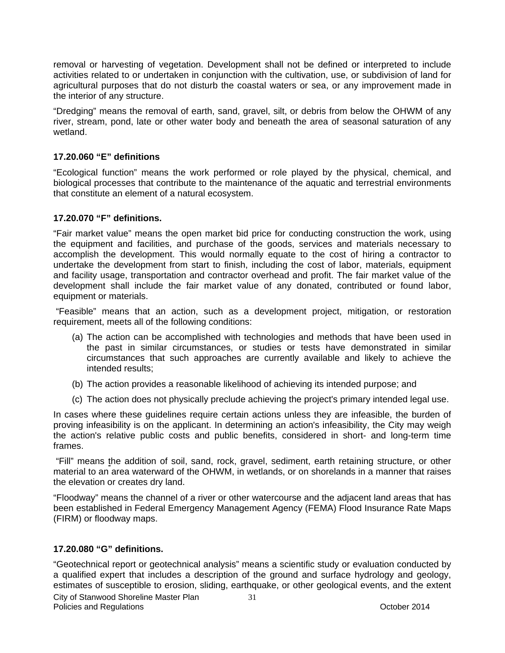removal or harvesting of vegetation. Development shall not be defined or interpreted to include activities related to or undertaken in conjunction with the cultivation, use, or subdivision of land for agricultural purposes that do not disturb the coastal waters or sea, or any improvement made in the interior of any structure.

"Dredging" means the removal of earth, sand, gravel, silt, or debris from below the OHWM of any river, stream, pond, late or other water body and beneath the area of seasonal saturation of any wetland.

### **17.20.060 "E" definitions**

"Ecological function" means the work performed or role played by the physical, chemical, and biological processes that contribute to the maintenance of the aquatic and terrestrial environments that constitute an element of a natural ecosystem.

### **17.20.070 "F" definitions.**

"Fair market value" means the open market bid price for conducting construction the work, using the equipment and facilities, and purchase of the goods, services and materials necessary to accomplish the development. This would normally equate to the cost of hiring a contractor to undertake the development from start to finish, including the cost of labor, materials, equipment and facility usage, transportation and contractor overhead and profit. The fair market value of the development shall include the fair market value of any donated, contributed or found labor, equipment or materials.

 "Feasible" means that an action, such as a development project, mitigation, or restoration requirement, meets all of the following conditions:

- (a) The action can be accomplished with technologies and methods that have been used in the past in similar circumstances, or studies or tests have demonstrated in similar circumstances that such approaches are currently available and likely to achieve the intended results;
- (b) The action provides a reasonable likelihood of achieving its intended purpose; and
- (c) The action does not physically preclude achieving the project's primary intended legal use.

In cases where these guidelines require certain actions unless they are infeasible, the burden of proving infeasibility is on the applicant. In determining an action's infeasibility, the City may weigh the action's relative public costs and public benefits, considered in short- and long-term time frames.

 "Fill" means the addition of soil, sand, rock, gravel, sediment, earth retaining structure, or other material to an area waterward of the OHWM, in wetlands, or on shorelands in a manner that raises the elevation or creates dry land.

"Floodway" means the channel of a river or other watercourse and the adjacent land areas that has been established in Federal Emergency Management Agency (FEMA) Flood Insurance Rate Maps (FIRM) or floodway maps.

### **17.20.080 "G" definitions.**

City of Stanwood Shoreline Master Plan "Geotechnical report or geotechnical analysis" means a scientific study or evaluation conducted by a qualified expert that includes a description of the ground and surface hydrology and geology, estimates of susceptible to erosion, sliding, earthquake, or other geological events, and the extent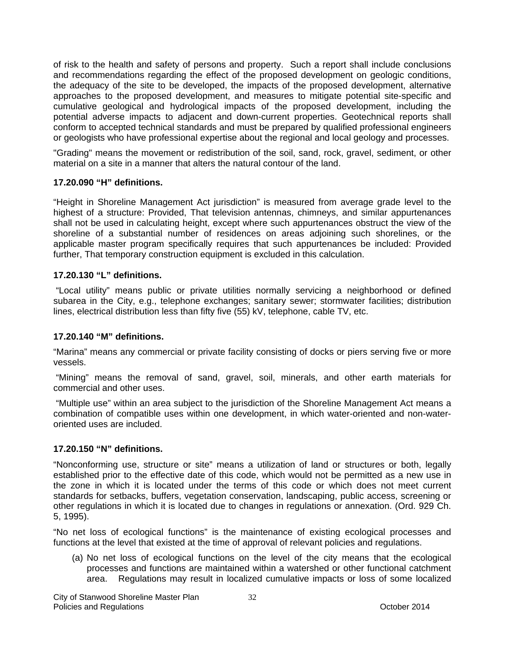of risk to the health and safety of persons and property. Such a report shall include conclusions and recommendations regarding the effect of the proposed development on geologic conditions, the adequacy of the site to be developed, the impacts of the proposed development, alternative approaches to the proposed development, and measures to mitigate potential site-specific and cumulative geological and hydrological impacts of the proposed development, including the potential adverse impacts to adjacent and down-current properties. Geotechnical reports shall conform to accepted technical standards and must be prepared by qualified professional engineers or geologists who have professional expertise about the regional and local geology and processes.

"Grading" means the movement or redistribution of the soil, sand, rock, gravel, sediment, or other material on a site in a manner that alters the natural contour of the land.

### **17.20.090 "H" definitions.**

"Height in Shoreline Management Act jurisdiction" is measured from average grade level to the highest of a structure: Provided, That television antennas, chimneys, and similar appurtenances shall not be used in calculating height, except where such appurtenances obstruct the view of the shoreline of a substantial number of residences on areas adjoining such shorelines, or the applicable master program specifically requires that such appurtenances be included: Provided further, That temporary construction equipment is excluded in this calculation.

### **17.20.130 "L" definitions.**

 "Local utility" means public or private utilities normally servicing a neighborhood or defined subarea in the City, e.g., telephone exchanges; sanitary sewer; stormwater facilities; distribution lines, electrical distribution less than fifty five (55) kV, telephone, cable TV, etc.

### **17.20.140 "M" definitions.**

"Marina" means any commercial or private facility consisting of docks or piers serving five or more vessels.

 "Mining" means the removal of sand, gravel, soil, minerals, and other earth materials for commercial and other uses.

 "Multiple use" within an area subject to the jurisdiction of the Shoreline Management Act means a combination of compatible uses within one development, in which water-oriented and non-wateroriented uses are included.

### **17.20.150 "N" definitions.**

"Nonconforming use, structure or site" means a utilization of land or structures or both, legally established prior to the effective date of this code, which would not be permitted as a new use in the zone in which it is located under the terms of this code or which does not meet current standards for setbacks, buffers, vegetation conservation, landscaping, public access, screening or other regulations in which it is located due to changes in regulations or annexation. (Ord. 929 Ch. 5, 1995).

"No net loss of ecological functions" is the maintenance of existing ecological processes and functions at the level that existed at the time of approval of relevant policies and regulations.

(a) No net loss of ecological functions on the level of the city means that the ecological processes and functions are maintained within a watershed or other functional catchment area. Regulations may result in localized cumulative impacts or loss of some localized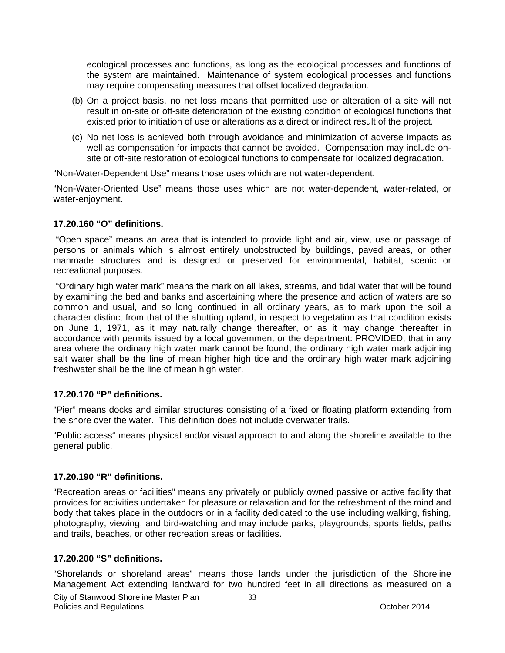ecological processes and functions, as long as the ecological processes and functions of the system are maintained. Maintenance of system ecological processes and functions may require compensating measures that offset localized degradation.

- (b) On a project basis, no net loss means that permitted use or alteration of a site will not result in on-site or off-site deterioration of the existing condition of ecological functions that existed prior to initiation of use or alterations as a direct or indirect result of the project.
- (c) No net loss is achieved both through avoidance and minimization of adverse impacts as well as compensation for impacts that cannot be avoided. Compensation may include onsite or off-site restoration of ecological functions to compensate for localized degradation.

"Non-Water-Dependent Use" means those uses which are not water-dependent.

"Non-Water-Oriented Use" means those uses which are not water-dependent, water-related, or water-enjoyment.

### **17.20.160 "O" definitions.**

 "Open space" means an area that is intended to provide light and air, view, use or passage of persons or animals which is almost entirely unobstructed by buildings, paved areas, or other manmade structures and is designed or preserved for environmental, habitat, scenic or recreational purposes.

 "Ordinary high water mark" means the mark on all lakes, streams, and tidal water that will be found by examining the bed and banks and ascertaining where the presence and action of waters are so common and usual, and so long continued in all ordinary years, as to mark upon the soil a character distinct from that of the abutting upland, in respect to vegetation as that condition exists on June 1, 1971, as it may naturally change thereafter, or as it may change thereafter in accordance with permits issued by a local government or the department: PROVIDED, that in any area where the ordinary high water mark cannot be found, the ordinary high water mark adjoining salt water shall be the line of mean higher high tide and the ordinary high water mark adjoining freshwater shall be the line of mean high water.

### **17.20.170 "P" definitions.**

"Pier" means docks and similar structures consisting of a fixed or floating platform extending from the shore over the water. This definition does not include overwater trails.

"Public access" means physical and/or visual approach to and along the shoreline available to the general public.

### **17.20.190 "R" definitions.**

"Recreation areas or facilities" means any privately or publicly owned passive or active facility that provides for activities undertaken for pleasure or relaxation and for the refreshment of the mind and body that takes place in the outdoors or in a facility dedicated to the use including walking, fishing, photography, viewing, and bird-watching and may include parks, playgrounds, sports fields, paths and trails, beaches, or other recreation areas or facilities.

### **17.20.200 "S" definitions.**

"Shorelands or shoreland areas" means those lands under the jurisdiction of the Shoreline Management Act extending landward for two hundred feet in all directions as measured on a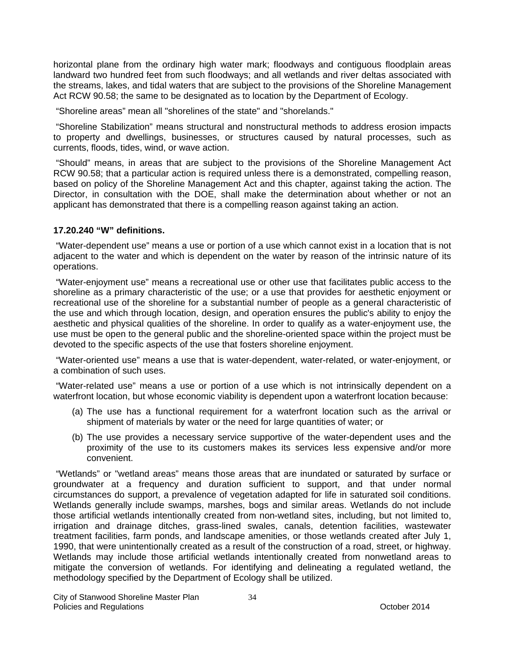horizontal plane from the ordinary high water mark; floodways and contiguous floodplain areas landward two hundred feet from such floodways; and all wetlands and river deltas associated with the streams, lakes, and tidal waters that are subject to the provisions of the Shoreline Management Act RCW 90.58; the same to be designated as to location by the Department of Ecology.

"Shoreline areas" mean all "shorelines of the state" and "shorelands."

 "Shoreline Stabilization" means structural and nonstructural methods to address erosion impacts to property and dwellings, businesses, or structures caused by natural processes, such as currents, floods, tides, wind, or wave action.

 "Should" means, in areas that are subject to the provisions of the Shoreline Management Act RCW 90.58; that a particular action is required unless there is a demonstrated, compelling reason, based on policy of the Shoreline Management Act and this chapter, against taking the action. The Director, in consultation with the DOE, shall make the determination about whether or not an applicant has demonstrated that there is a compelling reason against taking an action.

### **17.20.240 "W" definitions.**

 "Water-dependent use" means a use or portion of a use which cannot exist in a location that is not adjacent to the water and which is dependent on the water by reason of the intrinsic nature of its operations.

 "Water-enjoyment use" means a recreational use or other use that facilitates public access to the shoreline as a primary characteristic of the use; or a use that provides for aesthetic enjoyment or recreational use of the shoreline for a substantial number of people as a general characteristic of the use and which through location, design, and operation ensures the public's ability to enjoy the aesthetic and physical qualities of the shoreline. In order to qualify as a water-enjoyment use, the use must be open to the general public and the shoreline-oriented space within the project must be devoted to the specific aspects of the use that fosters shoreline enjoyment.

 "Water-oriented use" means a use that is water-dependent, water-related, or water-enjoyment, or a combination of such uses.

 "Water-related use" means a use or portion of a use which is not intrinsically dependent on a waterfront location, but whose economic viability is dependent upon a waterfront location because:

- (a) The use has a functional requirement for a waterfront location such as the arrival or shipment of materials by water or the need for large quantities of water; or
- (b) The use provides a necessary service supportive of the water-dependent uses and the proximity of the use to its customers makes its services less expensive and/or more convenient.

 "Wetlands" or "wetland areas" means those areas that are inundated or saturated by surface or groundwater at a frequency and duration sufficient to support, and that under normal circumstances do support, a prevalence of vegetation adapted for life in saturated soil conditions. Wetlands generally include swamps, marshes, bogs and similar areas. Wetlands do not include those artificial wetlands intentionally created from non-wetland sites, including, but not limited to, irrigation and drainage ditches, grass-lined swales, canals, detention facilities, wastewater treatment facilities, farm ponds, and landscape amenities, or those wetlands created after July 1, 1990, that were unintentionally created as a result of the construction of a road, street, or highway. Wetlands may include those artificial wetlands intentionally created from nonwetland areas to mitigate the conversion of wetlands. For identifying and delineating a regulated wetland, the methodology specified by the Department of Ecology shall be utilized.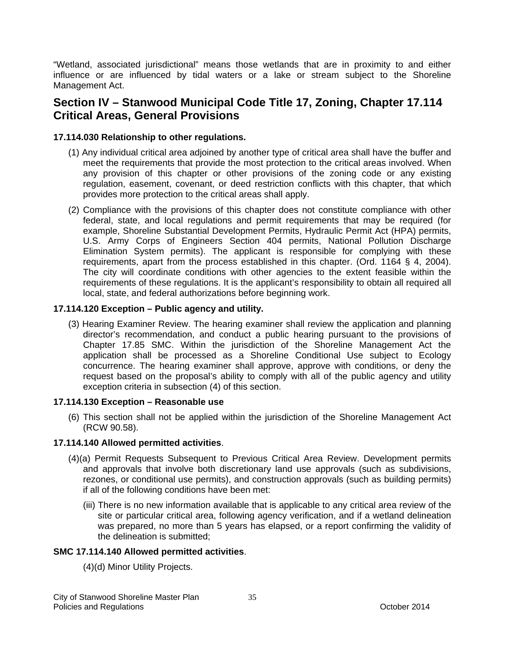"Wetland, associated jurisdictional" means those wetlands that are in proximity to and either influence or are influenced by tidal waters or a lake or stream subject to the Shoreline Management Act.

## **Section IV – Stanwood Municipal Code Title 17, Zoning, Chapter 17.114 Critical Areas, General Provisions**

### **17.114.030 Relationship to other regulations.**

- (1) Any individual critical area adjoined by another type of critical area shall have the buffer and meet the requirements that provide the most protection to the critical areas involved. When any provision of this chapter or other provisions of the zoning code or any existing regulation, easement, covenant, or deed restriction conflicts with this chapter, that which provides more protection to the critical areas shall apply.
- (2) Compliance with the provisions of this chapter does not constitute compliance with other federal, state, and local regulations and permit requirements that may be required (for example, Shoreline Substantial Development Permits, Hydraulic Permit Act (HPA) permits, U.S. Army Corps of Engineers Section 404 permits, National Pollution Discharge Elimination System permits). The applicant is responsible for complying with these requirements, apart from the process established in this chapter. (Ord. 1164 § 4, 2004). The city will coordinate conditions with other agencies to the extent feasible within the requirements of these regulations. It is the applicant's responsibility to obtain all required all local, state, and federal authorizations before beginning work.

### **17.114.120 Exception – Public agency and utility.**

(3) Hearing Examiner Review. The hearing examiner shall review the application and planning director's recommendation, and conduct a public hearing pursuant to the provisions of Chapter 17.85 SMC. Within the jurisdiction of the Shoreline Management Act the application shall be processed as a Shoreline Conditional Use subject to Ecology concurrence. The hearing examiner shall approve, approve with conditions, or deny the request based on the proposal's ability to comply with all of the public agency and utility exception criteria in subsection (4) of this section.

### **17.114.130 Exception – Reasonable use**

(6) This section shall not be applied within the jurisdiction of the Shoreline Management Act (RCW 90.58).

### **17.114.140 Allowed permitted activities**.

- (4)(a) Permit Requests Subsequent to Previous Critical Area Review. Development permits and approvals that involve both discretionary land use approvals (such as subdivisions, rezones, or conditional use permits), and construction approvals (such as building permits) if all of the following conditions have been met:
	- (iii) There is no new information available that is applicable to any critical area review of the site or particular critical area, following agency verification, and if a wetland delineation was prepared, no more than 5 years has elapsed, or a report confirming the validity of the delineation is submitted;

### **SMC 17.114.140 Allowed permitted activities**.

(4)(d) Minor Utility Projects.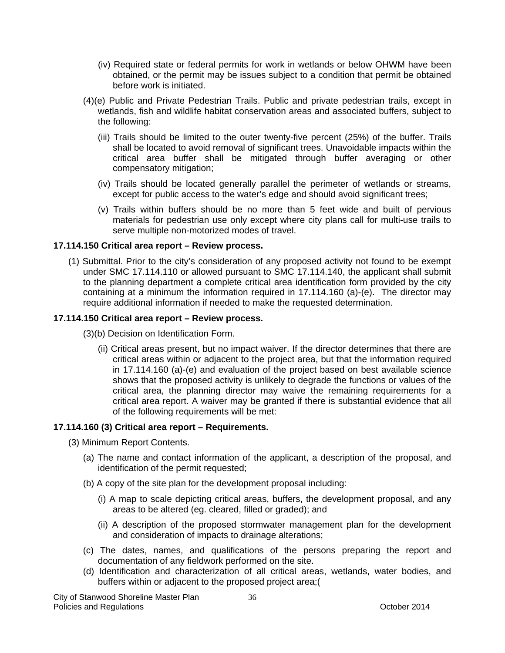- (iv) Required state or federal permits for work in wetlands or below OHWM have been obtained, or the permit may be issues subject to a condition that permit be obtained before work is initiated.
- (4)(e) Public and Private Pedestrian Trails. Public and private pedestrian trails, except in wetlands, fish and wildlife habitat conservation areas and associated buffers, subject to the following:
	- (iii) Trails should be limited to the outer twenty-five percent (25%) of the buffer. Trails shall be located to avoid removal of significant trees. Unavoidable impacts within the critical area buffer shall be mitigated through buffer averaging or other compensatory mitigation;
	- (iv) Trails should be located generally parallel the perimeter of wetlands or streams, except for public access to the water's edge and should avoid significant trees;
	- (v) Trails within buffers should be no more than 5 feet wide and built of pervious materials for pedestrian use only except where city plans call for multi-use trails to serve multiple non-motorized modes of travel.

### **17.114.150 Critical area report – Review process.**

(1) Submittal. Prior to the city's consideration of any proposed activity not found to be exempt under SMC 17.114.110 or allowed pursuant to SMC 17.114.140, the applicant shall submit to the planning department a complete critical area identification form provided by the city containing at a minimum the information required in 17.114.160 (a)-(e). The director may require additional information if needed to make the requested determination.

### **17.114.150 Critical area report – Review process.**

- (3)(b) Decision on Identification Form.
	- (ii) Critical areas present, but no impact waiver. If the director determines that there are critical areas within or adjacent to the project area, but that the information required in 17.114.160 (a)-(e) and evaluation of the project based on best available science shows that the proposed activity is unlikely to degrade the functions or values of the critical area, the planning director may waive the remaining requirements for a critical area report. A waiver may be granted if there is substantial evidence that all of the following requirements will be met:

#### **17.114.160 (3) Critical area report – Requirements.**

- (3) Minimum Report Contents.
	- (a) The name and contact information of the applicant, a description of the proposal, and identification of the permit requested;
	- (b) A copy of the site plan for the development proposal including:
		- (i) A map to scale depicting critical areas, buffers, the development proposal, and any areas to be altered (eg. cleared, filled or graded); and
		- (ii) A description of the proposed stormwater management plan for the development and consideration of impacts to drainage alterations;
	- (c) The dates, names, and qualifications of the persons preparing the report and documentation of any fieldwork performed on the site.
	- (d) Identification and characterization of all critical areas, wetlands, water bodies, and buffers within or adjacent to the proposed project area;(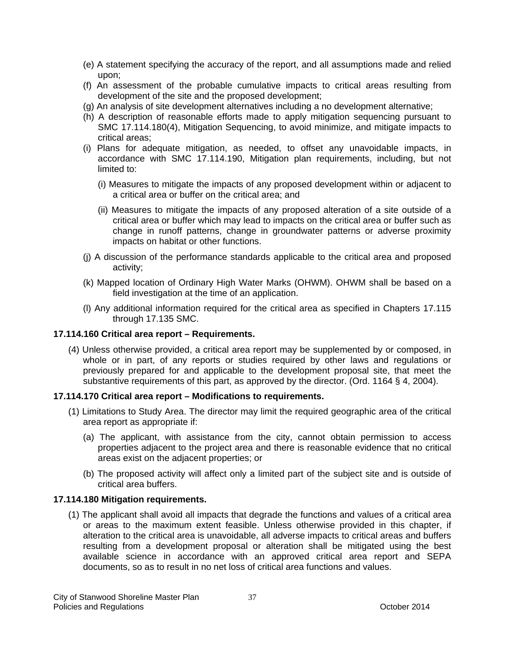- (e) A statement specifying the accuracy of the report, and all assumptions made and relied upon;
- (f) An assessment of the probable cumulative impacts to critical areas resulting from development of the site and the proposed development;
- (g) An analysis of site development alternatives including a no development alternative;
- (h) A description of reasonable efforts made to apply mitigation sequencing pursuant to SMC 17.114.180(4), Mitigation Sequencing, to avoid minimize, and mitigate impacts to critical areas;
- (i) Plans for adequate mitigation, as needed, to offset any unavoidable impacts, in accordance with SMC 17.114.190, Mitigation plan requirements, including, but not limited to:
	- (i) Measures to mitigate the impacts of any proposed development within or adjacent to a critical area or buffer on the critical area; and
	- (ii) Measures to mitigate the impacts of any proposed alteration of a site outside of a critical area or buffer which may lead to impacts on the critical area or buffer such as change in runoff patterns, change in groundwater patterns or adverse proximity impacts on habitat or other functions.
- (j) A discussion of the performance standards applicable to the critical area and proposed activity;
- (k) Mapped location of Ordinary High Water Marks (OHWM). OHWM shall be based on a field investigation at the time of an application.
- (l) Any additional information required for the critical area as specified in Chapters 17.115 through 17.135 SMC.

### **17.114.160 Critical area report – Requirements.**

(4) Unless otherwise provided, a critical area report may be supplemented by or composed, in whole or in part, of any reports or studies required by other laws and regulations or previously prepared for and applicable to the development proposal site, that meet the substantive requirements of this part, as approved by the director. (Ord. 1164 § 4, 2004).

### **17.114.170 Critical area report – Modifications to requirements.**

- (1) Limitations to Study Area. The director may limit the required geographic area of the critical area report as appropriate if:
	- (a) The applicant, with assistance from the city, cannot obtain permission to access properties adjacent to the project area and there is reasonable evidence that no critical areas exist on the adjacent properties; or
	- (b) The proposed activity will affect only a limited part of the subject site and is outside of critical area buffers.

### **17.114.180 Mitigation requirements.**

(1) The applicant shall avoid all impacts that degrade the functions and values of a critical area or areas to the maximum extent feasible. Unless otherwise provided in this chapter, if alteration to the critical area is unavoidable, all adverse impacts to critical areas and buffers resulting from a development proposal or alteration shall be mitigated using the best available science in accordance with an approved critical area report and SEPA documents, so as to result in no net loss of critical area functions and values.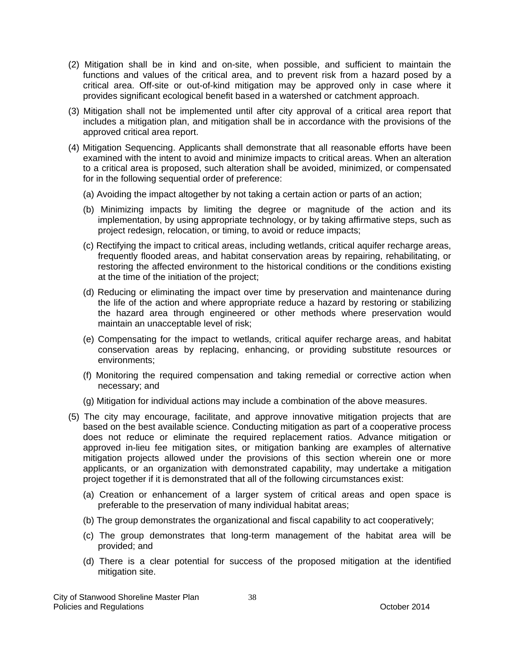- (2) Mitigation shall be in kind and on-site, when possible, and sufficient to maintain the functions and values of the critical area, and to prevent risk from a hazard posed by a critical area. Off-site or out-of-kind mitigation may be approved only in case where it provides significant ecological benefit based in a watershed or catchment approach.
- (3) Mitigation shall not be implemented until after city approval of a critical area report that includes a mitigation plan, and mitigation shall be in accordance with the provisions of the approved critical area report.
- (4) Mitigation Sequencing. Applicants shall demonstrate that all reasonable efforts have been examined with the intent to avoid and minimize impacts to critical areas. When an alteration to a critical area is proposed, such alteration shall be avoided, minimized, or compensated for in the following sequential order of preference:
	- (a) Avoiding the impact altogether by not taking a certain action or parts of an action;
	- (b) Minimizing impacts by limiting the degree or magnitude of the action and its implementation, by using appropriate technology, or by taking affirmative steps, such as project redesign, relocation, or timing, to avoid or reduce impacts;
	- (c) Rectifying the impact to critical areas, including wetlands, critical aquifer recharge areas, frequently flooded areas, and habitat conservation areas by repairing, rehabilitating, or restoring the affected environment to the historical conditions or the conditions existing at the time of the initiation of the project;
	- (d) Reducing or eliminating the impact over time by preservation and maintenance during the life of the action and where appropriate reduce a hazard by restoring or stabilizing the hazard area through engineered or other methods where preservation would maintain an unacceptable level of risk;
	- (e) Compensating for the impact to wetlands, critical aquifer recharge areas, and habitat conservation areas by replacing, enhancing, or providing substitute resources or environments;
	- (f) Monitoring the required compensation and taking remedial or corrective action when necessary; and
	- (g) Mitigation for individual actions may include a combination of the above measures.
- (5) The city may encourage, facilitate, and approve innovative mitigation projects that are based on the best available science. Conducting mitigation as part of a cooperative process does not reduce or eliminate the required replacement ratios. Advance mitigation or approved in-lieu fee mitigation sites, or mitigation banking are examples of alternative mitigation projects allowed under the provisions of this section wherein one or more applicants, or an organization with demonstrated capability, may undertake a mitigation project together if it is demonstrated that all of the following circumstances exist:
	- (a) Creation or enhancement of a larger system of critical areas and open space is preferable to the preservation of many individual habitat areas;
	- (b) The group demonstrates the organizational and fiscal capability to act cooperatively;
	- (c) The group demonstrates that long-term management of the habitat area will be provided; and
	- (d) There is a clear potential for success of the proposed mitigation at the identified mitigation site.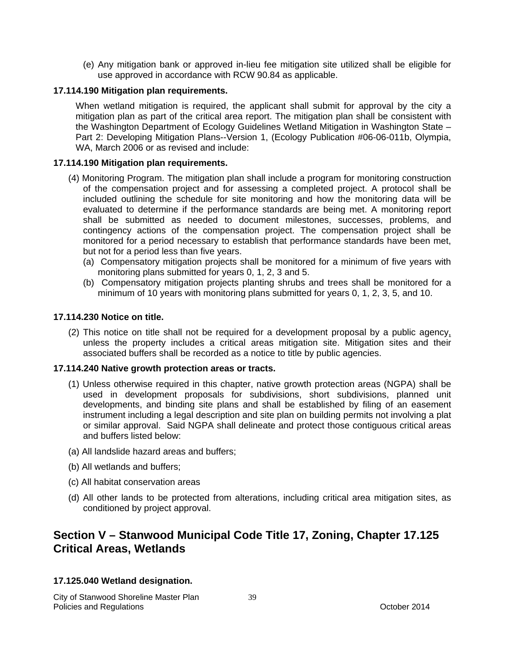(e) Any mitigation bank or approved in-lieu fee mitigation site utilized shall be eligible for use approved in accordance with RCW 90.84 as applicable.

### **17.114.190 Mitigation plan requirements.**

When wetland mitigation is required, the applicant shall submit for approval by the city a mitigation plan as part of the critical area report. The mitigation plan shall be consistent with the Washington Department of Ecology Guidelines Wetland Mitigation in Washington State – Part 2: Developing Mitigation Plans--Version 1, (Ecology Publication #06-06-011b, Olympia, WA, March 2006 or as revised and include:

### **17.114.190 Mitigation plan requirements.**

- (4) Monitoring Program. The mitigation plan shall include a program for monitoring construction of the compensation project and for assessing a completed project. A protocol shall be included outlining the schedule for site monitoring and how the monitoring data will be evaluated to determine if the performance standards are being met. A monitoring report shall be submitted as needed to document milestones, successes, problems, and contingency actions of the compensation project. The compensation project shall be monitored for a period necessary to establish that performance standards have been met, but not for a period less than five years.
	- (a) Compensatory mitigation projects shall be monitored for a minimum of five years with monitoring plans submitted for years 0, 1, 2, 3 and 5.
	- (b) Compensatory mitigation projects planting shrubs and trees shall be monitored for a minimum of 10 years with monitoring plans submitted for years 0, 1, 2, 3, 5, and 10.

### **17.114.230 Notice on title.**

(2) This notice on title shall not be required for a development proposal by a public agency, unless the property includes a critical areas mitigation site. Mitigation sites and their associated buffers shall be recorded as a notice to title by public agencies.

### **17.114.240 Native growth protection areas or tracts.**

- (1) Unless otherwise required in this chapter, native growth protection areas (NGPA) shall be used in development proposals for subdivisions, short subdivisions, planned unit developments, and binding site plans and shall be established by filing of an easement instrument including a legal description and site plan on building permits not involving a plat or similar approval. Said NGPA shall delineate and protect those contiguous critical areas and buffers listed below:
- (a) All landslide hazard areas and buffers;
- (b) All wetlands and buffers;
- (c) All habitat conservation areas
- (d) All other lands to be protected from alterations, including critical area mitigation sites, as conditioned by project approval.

# **Section V – Stanwood Municipal Code Title 17, Zoning, Chapter 17.125 Critical Areas, Wetlands**

### **17.125.040 Wetland designation.**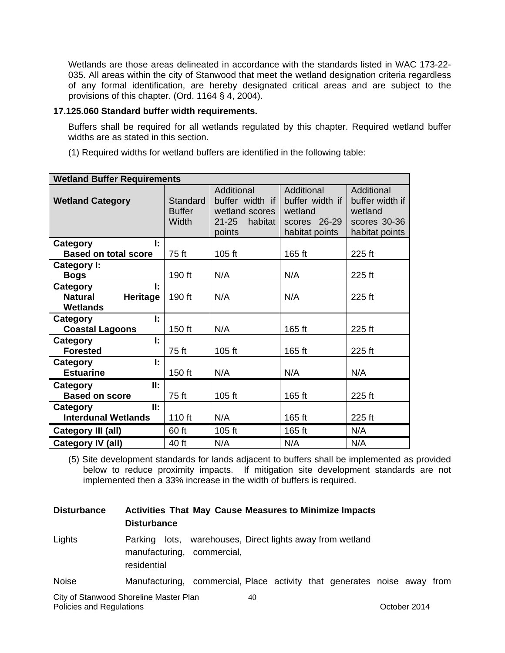Wetlands are those areas delineated in accordance with the standards listed in WAC 173-22- 035. All areas within the city of Stanwood that meet the wetland designation criteria regardless of any formal identification, are hereby designated critical areas and are subject to the provisions of this chapter. (Ord. 1164 § 4, 2004).

### **17.125.060 Standard buffer width requirements.**

Buffers shall be required for all wetlands regulated by this chapter. Required wetland buffer widths are as stated in this section.

| (1) Required widths for wetland buffers are identified in the following table: |  |
|--------------------------------------------------------------------------------|--|
|--------------------------------------------------------------------------------|--|

| <b>Wetland Buffer Requirements</b>                             |                                    |                                                                                   |                                                                            |                                                                            |  |
|----------------------------------------------------------------|------------------------------------|-----------------------------------------------------------------------------------|----------------------------------------------------------------------------|----------------------------------------------------------------------------|--|
| <b>Wetland Category</b>                                        | Standard<br><b>Buffer</b><br>Width | Additional<br>buffer width if<br>wetland scores<br>$21 - 25$<br>habitat<br>points | Additional<br>buffer width if<br>wetland<br>scores 26-29<br>habitat points | Additional<br>buffer width if<br>wetland<br>scores 30-36<br>habitat points |  |
| Ŀ<br><b>Category</b>                                           |                                    |                                                                                   |                                                                            |                                                                            |  |
| <b>Based on total score</b>                                    | 75 ft                              | 105 ft                                                                            | 165 ft                                                                     | 225 ft                                                                     |  |
| Category I:<br><b>Bogs</b>                                     | 190 ft                             | N/A                                                                               | N/A                                                                        | 225 ft                                                                     |  |
| Category<br>Ŀ<br><b>Natural</b><br>Heritage<br><b>Wetlands</b> | 190 ft                             | N/A                                                                               | N/A                                                                        | 225 ft                                                                     |  |
| Ŀ<br>Category<br><b>Coastal Lagoons</b>                        | 150 ft                             | N/A                                                                               | 165 ft                                                                     | 225 ft                                                                     |  |
| Ŀ.<br>Category<br><b>Forested</b>                              | 75 ft                              | 105 ft                                                                            | 165 ft                                                                     | 225 ft                                                                     |  |
| ŀ.<br>Category<br><b>Estuarine</b>                             | 150 ft                             | N/A                                                                               | N/A                                                                        | N/A                                                                        |  |
| II:<br>Category<br><b>Based on score</b>                       | 75 ft                              | 105 ft                                                                            | 165 ft                                                                     | 225 ft                                                                     |  |
| II:<br>Category<br><b>Interdunal Wetlands</b>                  | 110 ft                             | N/A                                                                               | 165 ft                                                                     | 225 ft                                                                     |  |
| Category III (all)                                             | 60 ft                              | 105 ft                                                                            | 165 ft                                                                     | N/A                                                                        |  |
| Category IV (all)                                              | 40 ft                              | N/A                                                                               | N/A                                                                        | N/A                                                                        |  |

(5) Site development standards for lands adjacent to buffers shall be implemented as provided below to reduce proximity impacts. If mitigation site development standards are not implemented then a 33% increase in the width of buffers is required.

40 **Disturbance Activities That May Cause Measures to Minimize Impacts Disturbance**  Lights Parking lots, warehouses, Direct lights away from wetland manufacturing, commercial, residential Noise Manufacturing, commercial, Place activity that generates noise away from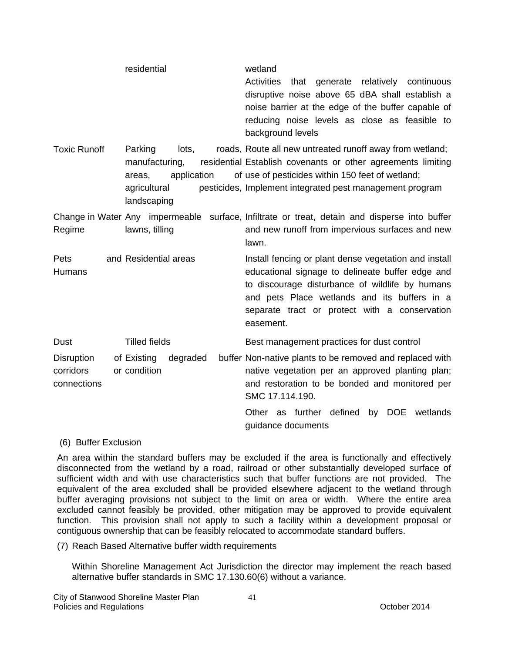|                                                                                                                   | residential                             | wetland<br><b>Activities</b><br>generate relatively<br>that<br>continuous<br>disruptive noise above 65 dBA shall establish a<br>noise barrier at the edge of the buffer capable of<br>reducing noise levels as close as feasible to<br>background levels                   |  |
|-------------------------------------------------------------------------------------------------------------------|-----------------------------------------|----------------------------------------------------------------------------------------------------------------------------------------------------------------------------------------------------------------------------------------------------------------------------|--|
| <b>Toxic Runoff</b><br>Parking<br>lots,<br>manufacturing,<br>application<br>areas,<br>agricultural<br>landscaping |                                         | roads, Route all new untreated runoff away from wetland;<br>residential Establish covenants or other agreements limiting<br>of use of pesticides within 150 feet of wetland;<br>pesticides, Implement integrated pest management program                                   |  |
| Regime                                                                                                            | lawns, tilling                          | Change in Water Any impermeable surface, Infiltrate or treat, detain and disperse into buffer<br>and new runoff from impervious surfaces and new<br>lawn.                                                                                                                  |  |
| Pets<br>Humans                                                                                                    | and Residential areas                   | Install fencing or plant dense vegetation and install<br>educational signage to delineate buffer edge and<br>to discourage disturbance of wildlife by humans<br>and pets Place wetlands and its buffers in a<br>separate tract or protect with a conservation<br>easement. |  |
| Dust                                                                                                              | <b>Tilled fields</b>                    | Best management practices for dust control                                                                                                                                                                                                                                 |  |
| <b>Disruption</b><br>corridors<br>connections                                                                     | of Existing<br>degraded<br>or condition | buffer Non-native plants to be removed and replaced with<br>native vegetation per an approved planting plan;<br>and restoration to be bonded and monitored per<br>SMC 17.114.190.<br>Other as further defined<br>by DOE<br>wetlands<br>guidance documents                  |  |

#### (6) Buffer Exclusion

An area within the standard buffers may be excluded if the area is functionally and effectively disconnected from the wetland by a road, railroad or other substantially developed surface of sufficient width and with use characteristics such that buffer functions are not provided. The equivalent of the area excluded shall be provided elsewhere adjacent to the wetland through buffer averaging provisions not subject to the limit on area or width. Where the entire area excluded cannot feasibly be provided, other mitigation may be approved to provide equivalent function. This provision shall not apply to such a facility within a development proposal or contiguous ownership that can be feasibly relocated to accommodate standard buffers.

(7) Reach Based Alternative buffer width requirements

Within Shoreline Management Act Jurisdiction the director may implement the reach based alternative buffer standards in SMC 17.130.60(6) without a variance.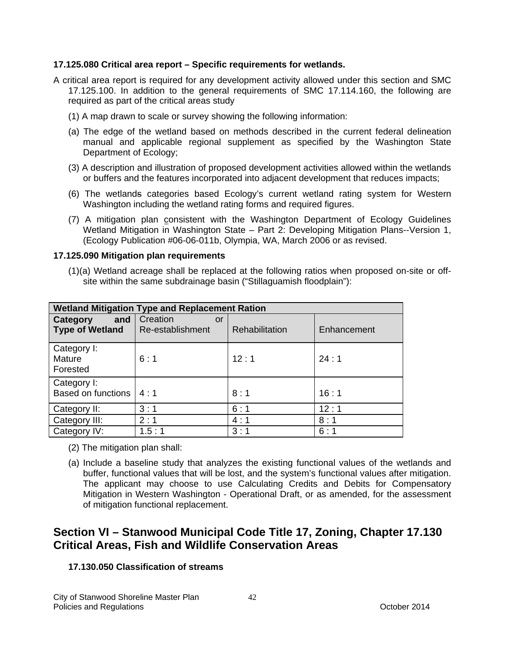### **17.125.080 Critical area report – Specific requirements for wetlands.**

- A critical area report is required for any development activity allowed under this section and SMC 17.125.100. In addition to the general requirements of SMC 17.114.160, the following are required as part of the critical areas study
	- (1) A map drawn to scale or survey showing the following information:
	- (a) The edge of the wetland based on methods described in the current federal delineation manual and applicable regional supplement as specified by the Washington State Department of Ecology;
	- (3) A description and illustration of proposed development activities allowed within the wetlands or buffers and the features incorporated into adjacent development that reduces impacts;
	- (6) The wetlands categories based Ecology's current wetland rating system for Western Washington including the wetland rating forms and required figures.
	- (7) A mitigation plan consistent with the Washington Department of Ecology Guidelines Wetland Mitigation in Washington State – Part 2: Developing Mitigation Plans--Version 1, (Ecology Publication #06-06-011b, Olympia, WA, March 2006 or as revised.

### **17.125.090 Mitigation plan requirements**

(1)(a) Wetland acreage shall be replaced at the following ratios when proposed on-site or offsite within the same subdrainage basin ("Stillaguamish floodplain"):

| <b>Wetland Mitigation Type and Replacement Ration</b> |                                    |                |             |  |  |  |
|-------------------------------------------------------|------------------------------------|----------------|-------------|--|--|--|
| and<br>Category<br><b>Type of Wetland</b>             | Creation<br>or<br>Re-establishment | Rehabilitation | Enhancement |  |  |  |
| Category I:<br>Mature<br>Forested                     | 6:1                                | 12:1           | 24:1        |  |  |  |
| Category I:<br>Based on functions $ 4:1$              |                                    | 8:1            | 16:1        |  |  |  |
| Category II:                                          | 3:1                                | 6:1            | 12:1        |  |  |  |
| Category III:                                         | 2:1                                | 4:1            | 8:1         |  |  |  |
| Category IV:                                          | 1.5:1                              | 3:1            | 6:1         |  |  |  |

- (2) The mitigation plan shall:
- (a) Include a baseline study that analyzes the existing functional values of the wetlands and buffer, functional values that will be lost, and the system's functional values after mitigation. The applicant may choose to use Calculating Credits and Debits for Compensatory Mitigation in Western Washington - Operational Draft, or as amended, for the assessment of mitigation functional replacement.

## **Section VI – Stanwood Municipal Code Title 17, Zoning, Chapter 17.130 Critical Areas, Fish and Wildlife Conservation Areas**

### **17.130.050 Classification of streams**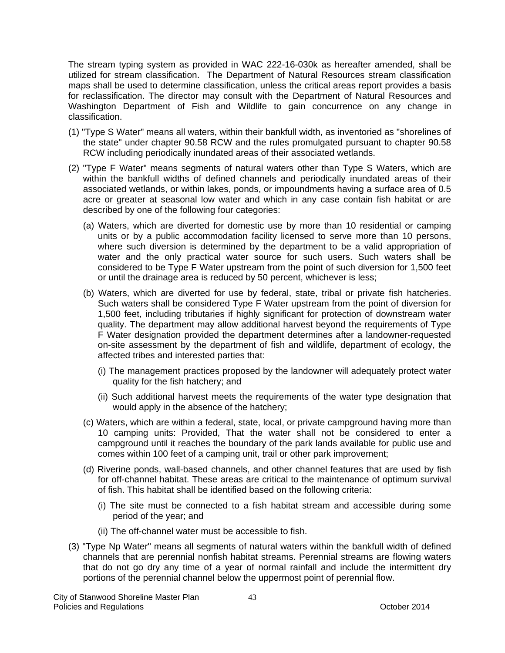The stream typing system as provided in WAC 222-16-030k as hereafter amended, shall be utilized for stream classification. The Department of Natural Resources stream classification maps shall be used to determine classification, unless the critical areas report provides a basis for reclassification. The director may consult with the Department of Natural Resources and Washington Department of Fish and Wildlife to gain concurrence on any change in classification.

- (1) "Type S Water" means all waters, within their bankfull width, as inventoried as "shorelines of the state" under chapter 90.58 RCW and the rules promulgated pursuant to chapter 90.58 RCW including periodically inundated areas of their associated wetlands.
- (2) "Type F Water" means segments of natural waters other than Type S Waters, which are within the bankfull widths of defined channels and periodically inundated areas of their associated wetlands, or within lakes, ponds, or impoundments having a surface area of 0.5 acre or greater at seasonal low water and which in any case contain fish habitat or are described by one of the following four categories:
	- (a) Waters, which are diverted for domestic use by more than 10 residential or camping units or by a public accommodation facility licensed to serve more than 10 persons, where such diversion is determined by the department to be a valid appropriation of water and the only practical water source for such users. Such waters shall be considered to be Type F Water upstream from the point of such diversion for 1,500 feet or until the drainage area is reduced by 50 percent, whichever is less;
	- (b) Waters, which are diverted for use by federal, state, tribal or private fish hatcheries. Such waters shall be considered Type F Water upstream from the point of diversion for 1,500 feet, including tributaries if highly significant for protection of downstream water quality. The department may allow additional harvest beyond the requirements of Type F Water designation provided the department determines after a landowner-requested on-site assessment by the department of fish and wildlife, department of ecology, the affected tribes and interested parties that:
		- (i) The management practices proposed by the landowner will adequately protect water quality for the fish hatchery; and
		- (ii) Such additional harvest meets the requirements of the water type designation that would apply in the absence of the hatchery;
	- (c) Waters, which are within a federal, state, local, or private campground having more than 10 camping units: Provided, That the water shall not be considered to enter a campground until it reaches the boundary of the park lands available for public use and comes within 100 feet of a camping unit, trail or other park improvement;
	- (d) Riverine ponds, wall-based channels, and other channel features that are used by fish for off-channel habitat. These areas are critical to the maintenance of optimum survival of fish. This habitat shall be identified based on the following criteria:
		- (i) The site must be connected to a fish habitat stream and accessible during some period of the year; and
		- (ii) The off-channel water must be accessible to fish.
- (3) "Type Np Water" means all segments of natural waters within the bankfull width of defined channels that are perennial nonfish habitat streams. Perennial streams are flowing waters that do not go dry any time of a year of normal rainfall and include the intermittent dry portions of the perennial channel below the uppermost point of perennial flow.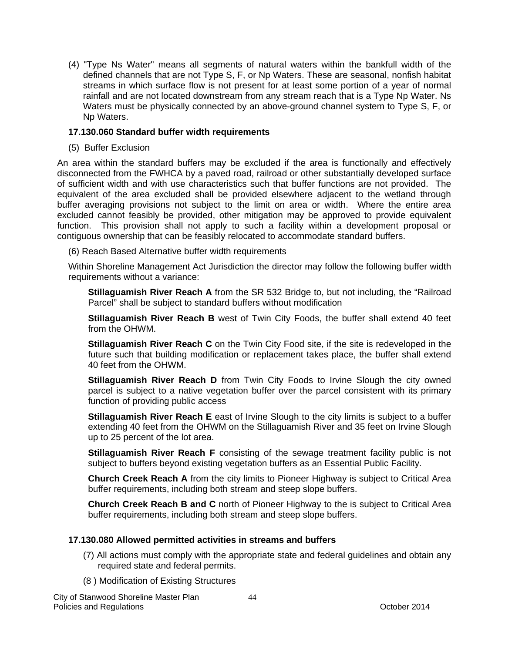(4) "Type Ns Water" means all segments of natural waters within the bankfull width of the defined channels that are not Type S, F, or Np Waters. These are seasonal, nonfish habitat streams in which surface flow is not present for at least some portion of a year of normal rainfall and are not located downstream from any stream reach that is a Type Np Water. Ns Waters must be physically connected by an above-ground channel system to Type S, F, or Np Waters.

### **17.130.060 Standard buffer width requirements**

(5) Buffer Exclusion

An area within the standard buffers may be excluded if the area is functionally and effectively disconnected from the FWHCA by a paved road, railroad or other substantially developed surface of sufficient width and with use characteristics such that buffer functions are not provided. The equivalent of the area excluded shall be provided elsewhere adjacent to the wetland through buffer averaging provisions not subject to the limit on area or width. Where the entire area excluded cannot feasibly be provided, other mitigation may be approved to provide equivalent function. This provision shall not apply to such a facility within a development proposal or contiguous ownership that can be feasibly relocated to accommodate standard buffers.

(6) Reach Based Alternative buffer width requirements

Within Shoreline Management Act Jurisdiction the director may follow the following buffer width requirements without a variance:

**Stillaguamish River Reach A** from the SR 532 Bridge to, but not including, the "Railroad Parcel" shall be subject to standard buffers without modification

**Stillaguamish River Reach B** west of Twin City Foods, the buffer shall extend 40 feet from the OHWM.

**Stillaguamish River Reach C** on the Twin City Food site, if the site is redeveloped in the future such that building modification or replacement takes place, the buffer shall extend 40 feet from the OHWM.

**Stillaguamish River Reach D** from Twin City Foods to Irvine Slough the city owned parcel is subject to a native vegetation buffer over the parcel consistent with its primary function of providing public access

**Stillaguamish River Reach E** east of Irvine Slough to the city limits is subject to a buffer extending 40 feet from the OHWM on the Stillaguamish River and 35 feet on Irvine Slough up to 25 percent of the lot area.

**Stillaguamish River Reach F** consisting of the sewage treatment facility public is not subject to buffers beyond existing vegetation buffers as an Essential Public Facility.

**Church Creek Reach A** from the city limits to Pioneer Highway is subject to Critical Area buffer requirements, including both stream and steep slope buffers.

**Church Creek Reach B and C** north of Pioneer Highway to the is subject to Critical Area buffer requirements, including both stream and steep slope buffers.

### **17.130.080 Allowed permitted activities in streams and buffers**

- (7) All actions must comply with the appropriate state and federal guidelines and obtain any required state and federal permits.
- (8 ) Modification of Existing Structures